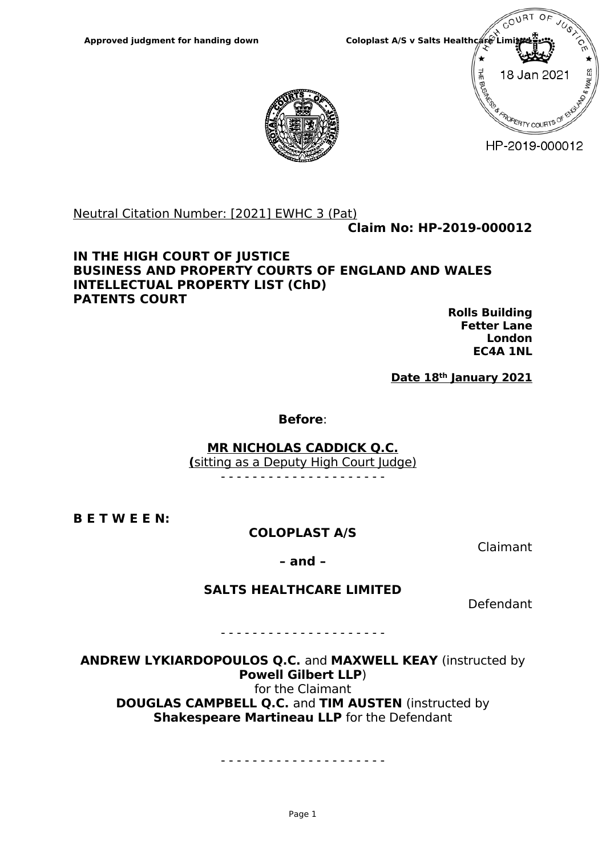

HP-2019-000012



Neutral Citation Number: [2021] EWHC 3 (Pat)

**Claim No: HP-2019-000012**

#### **IN THE HIGH COURT OF JUSTICE BUSINESS AND PROPERTY COURTS OF ENGLAND AND WALES INTELLECTUAL PROPERTY LIST (ChD) PATENTS COURT**

**Rolls Building Fetter Lane London EC4A 1NL**

**Date 18th January 2021**

**Before**:

**MR NICHOLAS CADDICK Q.C.**

**(**sitting as a Deputy High Court Judge)

- - - - - - - - - - - - - - - - - - - - -

**B E T W E E N:**

## **COLOPLAST A/S**

Claimant

**– and –** 

## **SALTS HEALTHCARE LIMITED**

Defendant

- - - - - - - - - - - - - - - - - - - - -

**ANDREW LYKIARDOPOULOS Q.C.** and **MAXWELL KEAY** (instructed by **Powell Gilbert LLP**) for the Claimant **DOUGLAS CAMPBELL Q.C.** and **TIM AUSTEN** (instructed by **Shakespeare Martineau LLP** for the Defendant

. <u>- - - - - - - - - - - - - - - - - -</u> - -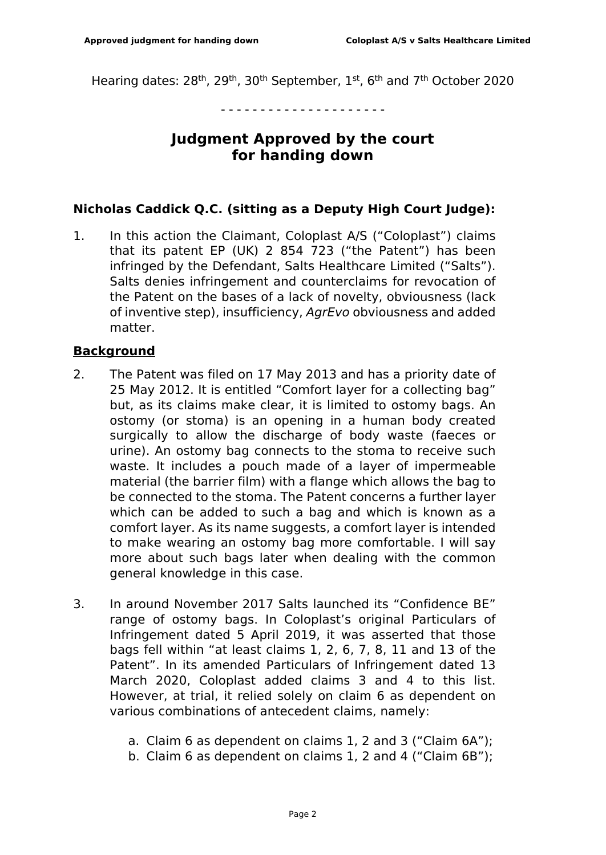Hearing dates: 28<sup>th</sup>, 29<sup>th</sup>, 30<sup>th</sup> September, 1<sup>st</sup>, 6<sup>th</sup> and 7<sup>th</sup> October 2020

- - - - - - - - - - - - - - - - - - - - -

# **Judgment Approved by the court for handing down**

### **Nicholas Caddick Q.C. (sitting as a Deputy High Court Judge):**

1. In this action the Claimant, Coloplast A/S ("Coloplast") claims that its patent EP (UK) 2 854 723 ("the Patent") has been infringed by the Defendant, Salts Healthcare Limited ("Salts"). Salts denies infringement and counterclaims for revocation of the Patent on the bases of a lack of novelty, obviousness (lack of inventive step), insufficiency, *AgrEvo* obviousness and added matter.

### **Background**

- 2. The Patent was filed on 17 May 2013 and has a priority date of 25 May 2012. It is entitled "Comfort layer for a collecting bag" but, as its claims make clear, it is limited to ostomy bags. An ostomy (or stoma) is an opening in a human body created surgically to allow the discharge of body waste (faeces or urine). An ostomy bag connects to the stoma to receive such waste. It includes a pouch made of a layer of impermeable material (the barrier film) with a flange which allows the bag to be connected to the stoma. The Patent concerns a further layer which can be added to such a bag and which is known as a comfort layer. As its name suggests, a comfort layer is intended to make wearing an ostomy bag more comfortable. I will say more about such bags later when dealing with the common general knowledge in this case.
- 3. In around November 2017 Salts launched its "Confidence BE" range of ostomy bags. In Coloplast's original Particulars of Infringement dated 5 April 2019, it was asserted that those bags fell within "at least claims 1, 2, 6, 7, 8, 11 and 13 of the Patent". In its amended Particulars of Infringement dated 13 March 2020, Coloplast added claims 3 and 4 to this list. However, at trial, it relied solely on claim 6 as dependent on various combinations of antecedent claims, namely:
	- a. Claim 6 as dependent on claims 1, 2 and 3 ("Claim 6A");
	- b. Claim 6 as dependent on claims 1, 2 and 4 ("Claim 6B");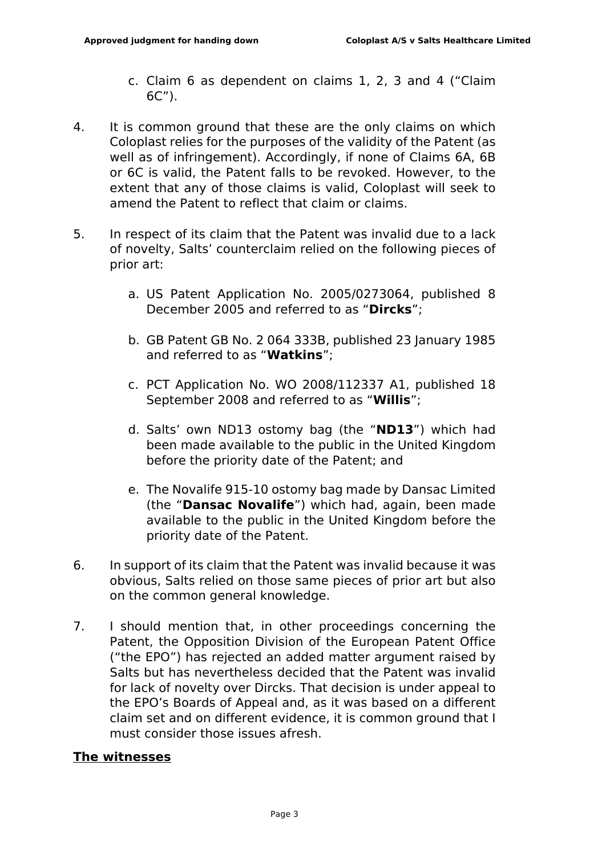- c. Claim 6 as dependent on claims 1, 2, 3 and 4 ("Claim 6C").
- 4. It is common ground that these are the only claims on which Coloplast relies for the purposes of the validity of the Patent (as well as of infringement). Accordingly, if none of Claims 6A, 6B or 6C is valid, the Patent falls to be revoked. However, to the extent that any of those claims is valid, Coloplast will seek to amend the Patent to reflect that claim or claims.
- 5. In respect of its claim that the Patent was invalid due to a lack of novelty, Salts' counterclaim relied on the following pieces of prior art:
	- a. US Patent Application No. 2005/0273064, published 8 December 2005 and referred to as "**Dircks**";
	- b. GB Patent GB No. 2 064 333B, published 23 January 1985 and referred to as "**Watkins**";
	- c. PCT Application No. WO 2008/112337 A1, published 18 September 2008 and referred to as "**Willis**";
	- d. Salts' own ND13 ostomy bag (the "**ND13**") which had been made available to the public in the United Kingdom before the priority date of the Patent; and
	- e. The Novalife 915-10 ostomy bag made by Dansac Limited (the "**Dansac Novalife**") which had, again, been made available to the public in the United Kingdom before the priority date of the Patent.
- 6. In support of its claim that the Patent was invalid because it was obvious, Salts relied on those same pieces of prior art but also on the common general knowledge.
- 7. I should mention that, in other proceedings concerning the Patent, the Opposition Division of the European Patent Office ("the EPO") has rejected an added matter argument raised by Salts but has nevertheless decided that the Patent was invalid for lack of novelty over Dircks. That decision is under appeal to the EPO's Boards of Appeal and, as it was based on a different claim set and on different evidence, it is common ground that I must consider those issues afresh.

## **The witnesses**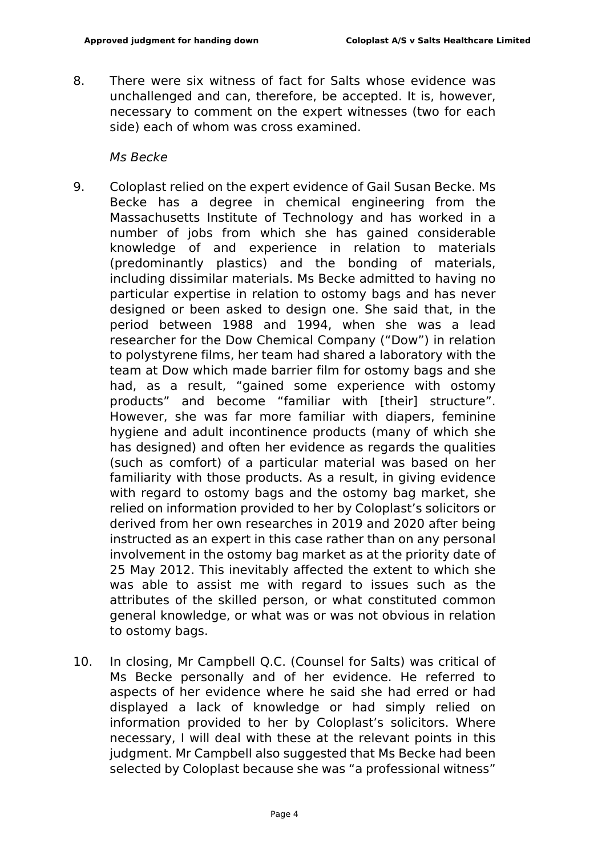8. There were six witness of fact for Salts whose evidence was unchallenged and can, therefore, be accepted. It is, however, necessary to comment on the expert witnesses (two for each side) each of whom was cross examined.

#### *Ms Becke*

- 9. Coloplast relied on the expert evidence of Gail Susan Becke. Ms Becke has a degree in chemical engineering from the Massachusetts Institute of Technology and has worked in a number of jobs from which she has gained considerable knowledge of and experience in relation to materials (predominantly plastics) and the bonding of materials, including dissimilar materials. Ms Becke admitted to having no particular expertise in relation to ostomy bags and has never designed or been asked to design one. She said that, in the period between 1988 and 1994, when she was a lead researcher for the Dow Chemical Company ("Dow") in relation to polystyrene films, her team had shared a laboratory with the team at Dow which made barrier film for ostomy bags and she had, as a result, "gained some experience with ostomy products" and become "familiar with [their] structure". However, she was far more familiar with diapers, feminine hygiene and adult incontinence products (many of which she has designed) and often her evidence as regards the qualities (such as comfort) of a particular material was based on her familiarity with those products. As a result, in giving evidence with regard to ostomy bags and the ostomy bag market, she relied on information provided to her by Coloplast's solicitors or derived from her own researches in 2019 and 2020 after being instructed as an expert in this case rather than on any personal involvement in the ostomy bag market as at the priority date of 25 May 2012. This inevitably affected the extent to which she was able to assist me with regard to issues such as the attributes of the skilled person, or what constituted common general knowledge, or what was or was not obvious in relation to ostomy bags.
- 10. In closing, Mr Campbell Q.C. (Counsel for Salts) was critical of Ms Becke personally and of her evidence. He referred to aspects of her evidence where he said she had erred or had displayed a lack of knowledge or had simply relied on information provided to her by Coloplast's solicitors. Where necessary, I will deal with these at the relevant points in this judgment. Mr Campbell also suggested that Ms Becke had been selected by Coloplast because she was "a professional witness"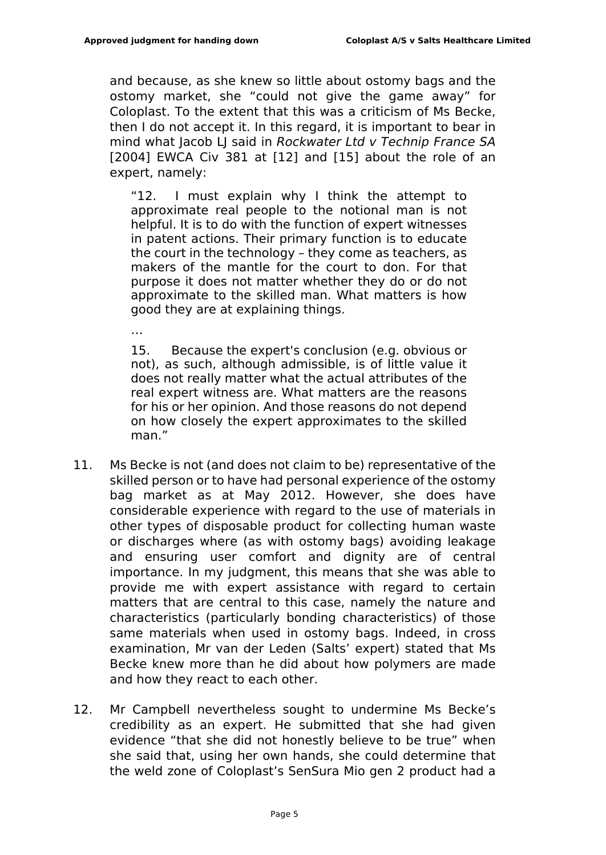and because, as she knew so little about ostomy bags and the ostomy market, she "could not give the game away" for Coloplast. To the extent that this was a criticism of Ms Becke, then I do not accept it. In this regard, it is important to bear in mind what Jacob LJ said in *Rockwater Ltd v Technip France SA*  [2004] EWCA Civ 381 at [12] and [15] about the role of an expert, namely:

"12. I must explain why I think the attempt to approximate real people to the notional man is not helpful. It is to do with the function of expert witnesses in patent actions. Their primary function is to educate the court in the technology – they come as teachers, as makers of the mantle for the court to don. For that purpose it does not matter whether they do or do not approximate to the skilled man. What matters is how good they are at explaining things.

…

15. Because the expert's conclusion (e.g. obvious or not), as such, although admissible, is of little value it does not really matter what the actual attributes of the real expert witness are. What matters are the reasons for his or her opinion. And those reasons do not depend on how closely the expert approximates to the skilled man."

- 11. Ms Becke is not (and does not claim to be) representative of the skilled person or to have had personal experience of the ostomy bag market as at May 2012. However, she does have considerable experience with regard to the use of materials in other types of disposable product for collecting human waste or discharges where (as with ostomy bags) avoiding leakage and ensuring user comfort and dignity are of central importance. In my judgment, this means that she was able to provide me with expert assistance with regard to certain matters that are central to this case, namely the nature and characteristics (particularly bonding characteristics) of those same materials when used in ostomy bags. Indeed, in cross examination, Mr van der Leden (Salts' expert) stated that Ms Becke knew more than he did about how polymers are made and how they react to each other.
- 12. Mr Campbell nevertheless sought to undermine Ms Becke's credibility as an expert. He submitted that she had given evidence "that she did not honestly believe to be true" when she said that, using her own hands, she could determine that the weld zone of Coloplast's SenSura Mio gen 2 product had a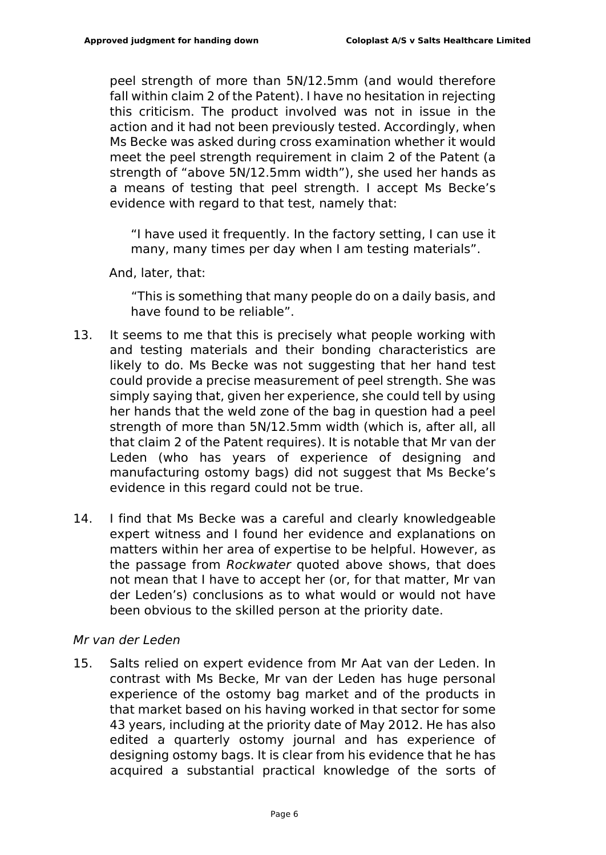peel strength of more than 5N/12.5mm (and would therefore fall within claim 2 of the Patent). I have no hesitation in rejecting this criticism. The product involved was not in issue in the action and it had not been previously tested. Accordingly, when Ms Becke was asked during cross examination whether it would meet the peel strength requirement in claim 2 of the Patent (a strength of "above 5N/12.5mm width"), she used her hands as a means of testing that peel strength. I accept Ms Becke's evidence with regard to that test, namely that:

"I have used it frequently. In the factory setting, I can use it many, many times per day when I am testing materials".

And, later, that:

"This is something that many people do on a daily basis, and have found to be reliable".

- 13. It seems to me that this is precisely what people working with and testing materials and their bonding characteristics are likely to do. Ms Becke was not suggesting that her hand test could provide a precise measurement of peel strength. She was simply saying that, given her experience, she could tell by using her hands that the weld zone of the bag in question had a peel strength of more than 5N/12.5mm width (which is, after all, all that claim 2 of the Patent requires). It is notable that Mr van der Leden (who has years of experience of designing and manufacturing ostomy bags) did not suggest that Ms Becke's evidence in this regard could not be true.
- 14. I find that Ms Becke was a careful and clearly knowledgeable expert witness and I found her evidence and explanations on matters within her area of expertise to be helpful. However, as the passage from *Rockwater* quoted above shows, that does not mean that I have to accept her (or, for that matter, Mr van der Leden's) conclusions as to what would or would not have been obvious to the skilled person at the priority date.

#### *Mr van der Leden*

15. Salts relied on expert evidence from Mr Aat van der Leden. In contrast with Ms Becke, Mr van der Leden has huge personal experience of the ostomy bag market and of the products in that market based on his having worked in that sector for some 43 years, including at the priority date of May 2012. He has also edited a quarterly ostomy journal and has experience of designing ostomy bags. It is clear from his evidence that he has acquired a substantial practical knowledge of the sorts of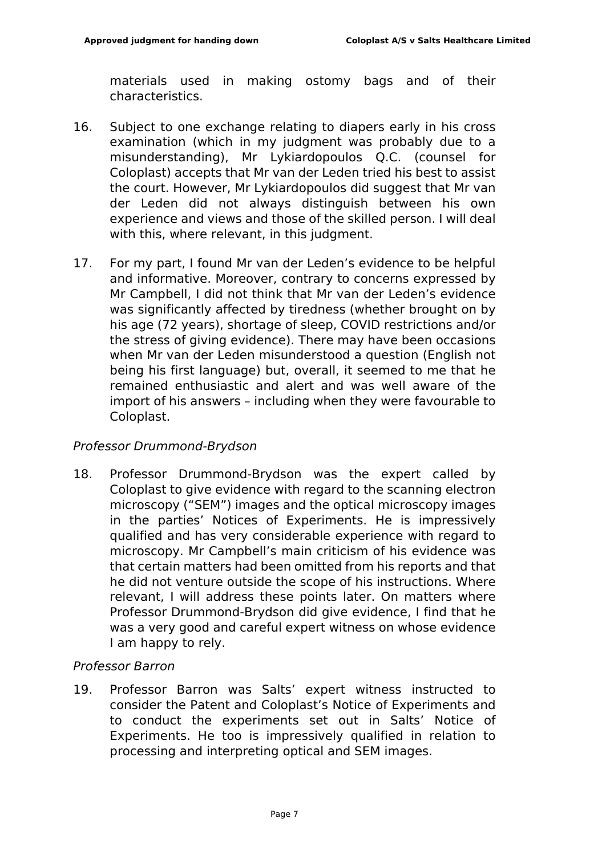materials used in making ostomy bags and of their characteristics.

- 16. Subject to one exchange relating to diapers early in his cross examination (which in my judgment was probably due to a misunderstanding), Mr Lykiardopoulos Q.C. (counsel for Coloplast) accepts that Mr van der Leden tried his best to assist the court. However, Mr Lykiardopoulos did suggest that Mr van der Leden did not always distinguish between his own experience and views and those of the skilled person. I will deal with this, where relevant, in this judgment.
- 17. For my part, I found Mr van der Leden's evidence to be helpful and informative. Moreover, contrary to concerns expressed by Mr Campbell, I did not think that Mr van der Leden's evidence was significantly affected by tiredness (whether brought on by his age (72 years), shortage of sleep, COVID restrictions and/or the stress of giving evidence). There may have been occasions when Mr van der Leden misunderstood a question (English not being his first language) but, overall, it seemed to me that he remained enthusiastic and alert and was well aware of the import of his answers – including when they were favourable to Coloplast.

#### *Professor Drummond-Brydson*

18. Professor Drummond-Brydson was the expert called by Coloplast to give evidence with regard to the scanning electron microscopy ("SEM") images and the optical microscopy images in the parties' Notices of Experiments. He is impressively qualified and has very considerable experience with regard to microscopy. Mr Campbell's main criticism of his evidence was that certain matters had been omitted from his reports and that he did not venture outside the scope of his instructions. Where relevant, I will address these points later. On matters where Professor Drummond-Brydson did give evidence, I find that he was a very good and careful expert witness on whose evidence I am happy to rely.

#### *Professor Barron*

19. Professor Barron was Salts' expert witness instructed to consider the Patent and Coloplast's Notice of Experiments and to conduct the experiments set out in Salts' Notice of Experiments. He too is impressively qualified in relation to processing and interpreting optical and SEM images.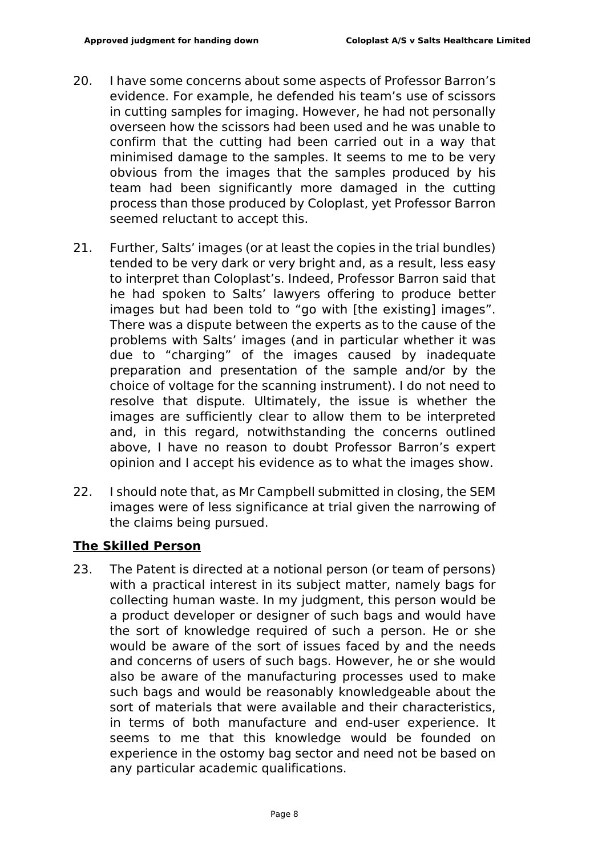- 20. I have some concerns about some aspects of Professor Barron's evidence. For example, he defended his team's use of scissors in cutting samples for imaging. However, he had not personally overseen how the scissors had been used and he was unable to confirm that the cutting had been carried out in a way that minimised damage to the samples. It seems to me to be very obvious from the images that the samples produced by his team had been significantly more damaged in the cutting process than those produced by Coloplast, yet Professor Barron seemed reluctant to accept this.
- 21. Further, Salts' images (or at least the copies in the trial bundles) tended to be very dark or very bright and, as a result, less easy to interpret than Coloplast's. Indeed, Professor Barron said that he had spoken to Salts' lawyers offering to produce better images but had been told to "go with [the existing] images". There was a dispute between the experts as to the cause of the problems with Salts' images (and in particular whether it was due to "charging" of the images caused by inadequate preparation and presentation of the sample and/or by the choice of voltage for the scanning instrument). I do not need to resolve that dispute. Ultimately, the issue is whether the images are sufficiently clear to allow them to be interpreted and, in this regard, notwithstanding the concerns outlined above, I have no reason to doubt Professor Barron's expert opinion and I accept his evidence as to what the images show.
- 22. I should note that, as Mr Campbell submitted in closing, the SEM images were of less significance at trial given the narrowing of the claims being pursued.

## **The Skilled Person**

23. The Patent is directed at a notional person (or team of persons) with a practical interest in its subject matter, namely bags for collecting human waste. In my judgment, this person would be a product developer or designer of such bags and would have the sort of knowledge required of such a person. He or she would be aware of the sort of issues faced by and the needs and concerns of users of such bags. However, he or she would also be aware of the manufacturing processes used to make such bags and would be reasonably knowledgeable about the sort of materials that were available and their characteristics, in terms of both manufacture and end-user experience. It seems to me that this knowledge would be founded on experience in the ostomy bag sector and need not be based on any particular academic qualifications.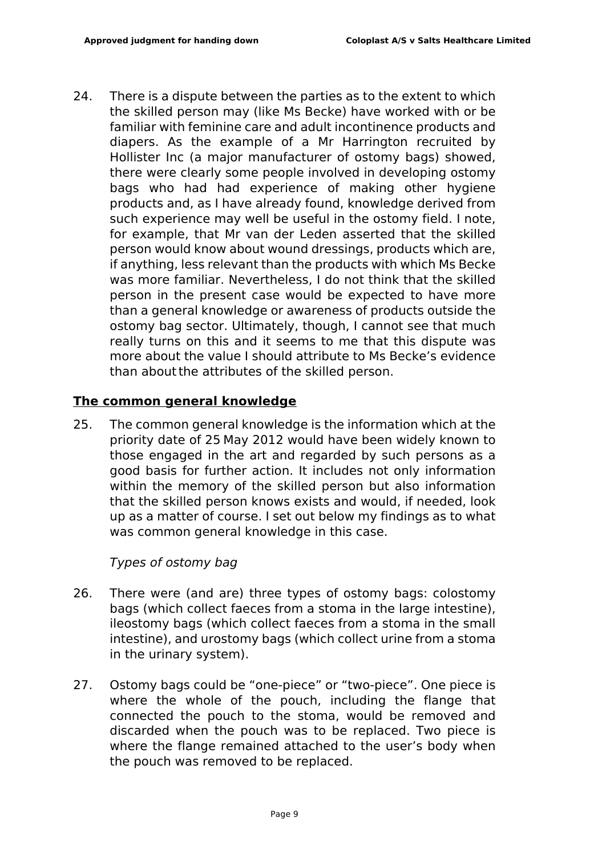24. There is a dispute between the parties as to the extent to which the skilled person may (like Ms Becke) have worked with or be familiar with feminine care and adult incontinence products and diapers. As the example of a Mr Harrington recruited by Hollister Inc (a major manufacturer of ostomy bags) showed, there were clearly some people involved in developing ostomy bags who had had experience of making other hygiene products and, as I have already found, knowledge derived from such experience may well be useful in the ostomy field. I note, for example, that Mr van der Leden asserted that the skilled person would know about wound dressings, products which are, if anything, less relevant than the products with which Ms Becke was more familiar. Nevertheless, I do not think that the skilled person in the present case would be expected to have more than a general knowledge or awareness of products outside the ostomy bag sector. Ultimately, though, I cannot see that much really turns on this and it seems to me that this dispute was more about the value I should attribute to Ms Becke's evidence than aboutthe attributes of the skilled person.

### **The common general knowledge**

25. The common general knowledge is the information which at the priority date of 25 May 2012 would have been widely known to those engaged in the art and regarded by such persons as a good basis for further action. It includes not only information within the memory of the skilled person but also information that the skilled person knows exists and would, if needed, look up as a matter of course. I set out below my findings as to what was common general knowledge in this case.

## *Types of ostomy bag*

- 26. There were (and are) three types of ostomy bags: colostomy bags (which collect faeces from a stoma in the large intestine), ileostomy bags (which collect faeces from a stoma in the small intestine), and urostomy bags (which collect urine from a stoma in the urinary system).
- 27. Ostomy bags could be "one-piece" or "two-piece". One piece is where the whole of the pouch, including the flange that connected the pouch to the stoma, would be removed and discarded when the pouch was to be replaced. Two piece is where the flange remained attached to the user's body when the pouch was removed to be replaced.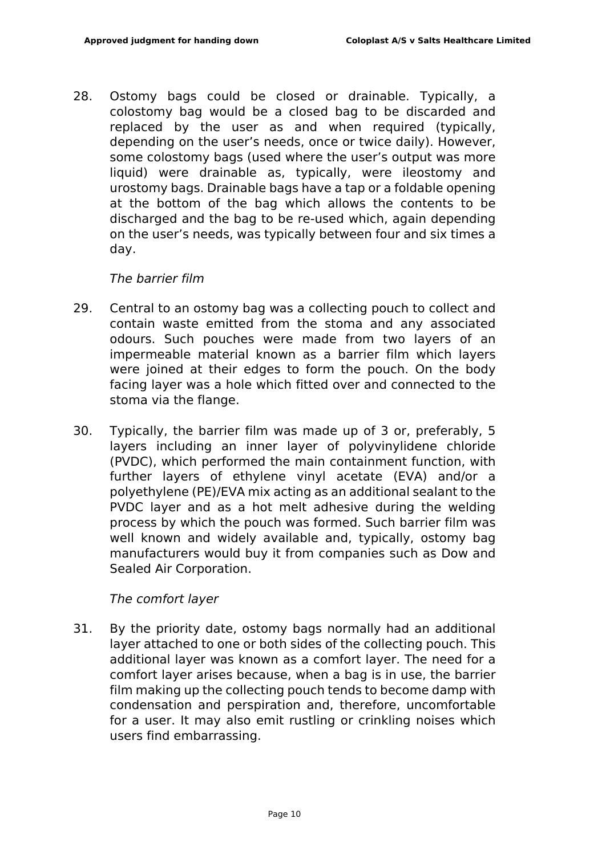28. Ostomy bags could be closed or drainable. Typically, a colostomy bag would be a closed bag to be discarded and replaced by the user as and when required (typically, depending on the user's needs, once or twice daily). However, some colostomy bags (used where the user's output was more liquid) were drainable as, typically, were ileostomy and urostomy bags. Drainable bags have a tap or a foldable opening at the bottom of the bag which allows the contents to be discharged and the bag to be re-used which, again depending on the user's needs, was typically between four and six times a day.

### *The barrier film*

- 29. Central to an ostomy bag was a collecting pouch to collect and contain waste emitted from the stoma and any associated odours. Such pouches were made from two layers of an impermeable material known as a barrier film which layers were joined at their edges to form the pouch. On the body facing layer was a hole which fitted over and connected to the stoma via the flange.
- 30. Typically, the barrier film was made up of 3 or, preferably, 5 layers including an inner layer of polyvinylidene chloride (PVDC), which performed the main containment function, with further layers of ethylene vinyl acetate (EVA) and/or a polyethylene (PE)/EVA mix acting as an additional sealant to the PVDC layer and as a hot melt adhesive during the welding process by which the pouch was formed. Such barrier film was well known and widely available and, typically, ostomy bag manufacturers would buy it from companies such as Dow and Sealed Air Corporation.

#### *The comfort layer*

31. By the priority date, ostomy bags normally had an additional layer attached to one or both sides of the collecting pouch. This additional layer was known as a comfort layer. The need for a comfort layer arises because, when a bag is in use, the barrier film making up the collecting pouch tends to become damp with condensation and perspiration and, therefore, uncomfortable for a user. It may also emit rustling or crinkling noises which users find embarrassing.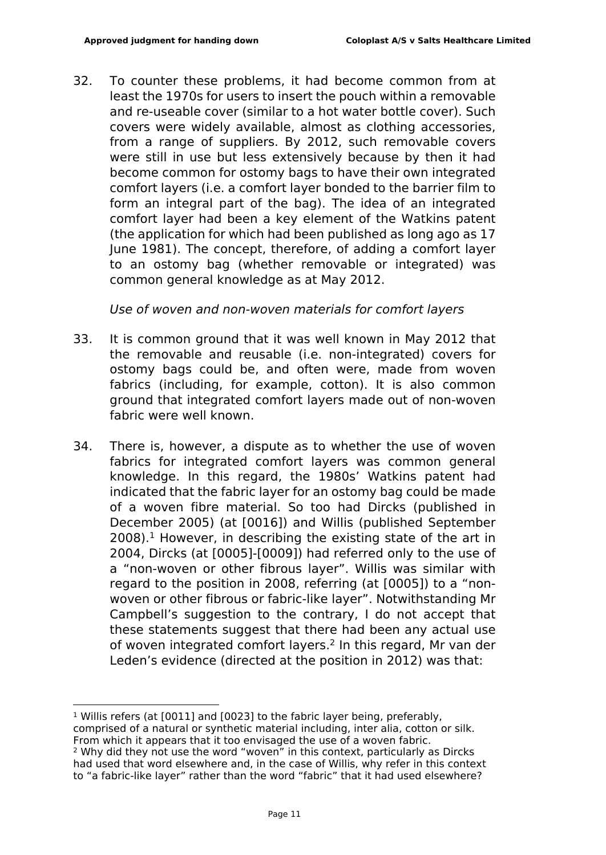32. To counter these problems, it had become common from at least the 1970s for users to insert the pouch within a removable and re-useable cover (similar to a hot water bottle cover). Such covers were widely available, almost as clothing accessories, from a range of suppliers. By 2012, such removable covers were still in use but less extensively because by then it had become common for ostomy bags to have their own integrated comfort layers (i.e. a comfort layer bonded to the barrier film to form an integral part of the bag). The idea of an integrated comfort layer had been a key element of the Watkins patent (the application for which had been published as long ago as 17 June 1981). The concept, therefore, of adding a comfort layer to an ostomy bag (whether removable or integrated) was common general knowledge as at May 2012.

*Use of woven and non-woven materials for comfort layers*

- 33. It is common ground that it was well known in May 2012 that the removable and reusable (i.e. non-integrated) covers for ostomy bags could be, and often were, made from woven fabrics (including, for example, cotton). It is also common ground that integrated comfort layers made out of non-woven fabric were well known.
- 34. There is, however, a dispute as to whether the use of woven fabrics for integrated comfort layers was common general knowledge. In this regard, the 1980s' Watkins patent had indicated that the fabric layer for an ostomy bag could be made of a woven fibre material. So too had Dircks (published in December 2005) (at [0016]) and Willis (published September  $2008$ ).<sup>1</sup> However, in describing the existing state of the art in 2004, Dircks (at [0005]-[0009]) had referred only to the use of a "non-woven or other fibrous layer". Willis was similar with regard to the position in 2008, referring (at [0005]) to a "nonwoven or other fibrous or fabric-like layer". Notwithstanding Mr Campbell's suggestion to the contrary, I do not accept that these statements suggest that there had been any actual use of woven integrated comfort layers.<sup>2</sup> In this regard, Mr van der Leden's evidence (directed at the position in 2012) was that:

<sup>1</sup> Willis refers (at [0011] and [0023] to the fabric layer being, preferably, comprised of a natural or synthetic material including, inter alia, cotton or silk. From which it appears that it too envisaged the use of a woven fabric. <sup>2</sup> Why did they not use the word "woven" in this context, particularly as Dircks had used that word elsewhere and, in the case of Willis, why refer in this context to "a fabric-like layer" rather than the word "fabric" that it had used elsewhere?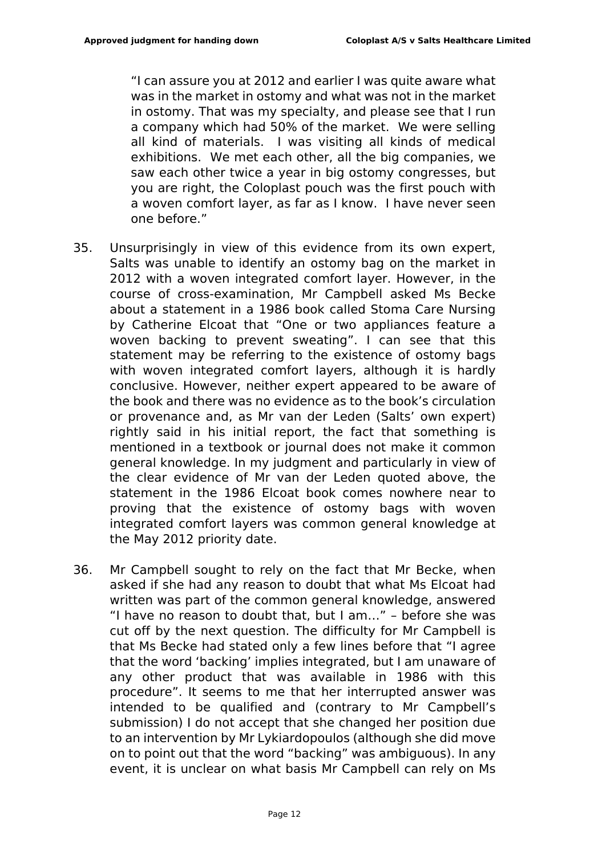"I can assure you at 2012 and earlier I was quite aware what was in the market in ostomy and what was not in the market in ostomy. That was my specialty, and please see that I run a company which had 50% of the market. We were selling all kind of materials. I was visiting all kinds of medical exhibitions. We met each other, all the big companies, we saw each other twice a year in big ostomy congresses, but you are right, the Coloplast pouch was the first pouch with a woven comfort layer, as far as I know. I have never seen one before."

- 35. Unsurprisingly in view of this evidence from its own expert, Salts was unable to identify an ostomy bag on the market in 2012 with a woven integrated comfort layer. However, in the course of cross-examination, Mr Campbell asked Ms Becke about a statement in a 1986 book called Stoma Care Nursing by Catherine Elcoat that "One or two appliances feature a woven backing to prevent sweating". I can see that this statement may be referring to the existence of ostomy bags with woven integrated comfort layers, although it is hardly conclusive. However, neither expert appeared to be aware of the book and there was no evidence as to the book's circulation or provenance and, as Mr van der Leden (Salts' own expert) rightly said in his initial report, the fact that something is mentioned in a textbook or journal does not make it common general knowledge. In my judgment and particularly in view of the clear evidence of Mr van der Leden quoted above, the statement in the 1986 Elcoat book comes nowhere near to proving that the existence of ostomy bags with woven integrated comfort layers was common general knowledge at the May 2012 priority date.
- 36. Mr Campbell sought to rely on the fact that Mr Becke, when asked if she had any reason to doubt that what Ms Elcoat had written was part of the common general knowledge, answered "I have no reason to doubt that, but I am…" – before she was cut off by the next question. The difficulty for Mr Campbell is that Ms Becke had stated only a few lines before that "I agree that the word 'backing' implies integrated, but I am unaware of any other product that was available in 1986 with this procedure". It seems to me that her interrupted answer was intended to be qualified and (contrary to Mr Campbell's submission) I do not accept that she changed her position due to an intervention by Mr Lykiardopoulos (although she did move on to point out that the word "backing" was ambiguous). In any event, it is unclear on what basis Mr Campbell can rely on Ms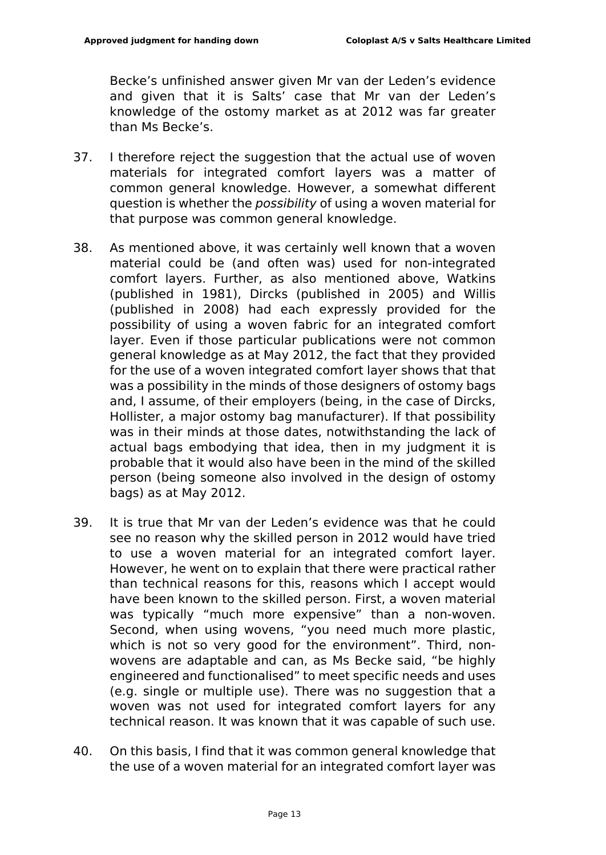Becke's unfinished answer given Mr van der Leden's evidence and given that it is Salts' case that Mr van der Leden's knowledge of the ostomy market as at 2012 was far greater than Ms Becke's.

- 37. I therefore reject the suggestion that the actual use of woven materials for integrated comfort layers was a matter of common general knowledge. However, a somewhat different question is whether the *possibility* of using a woven material for that purpose was common general knowledge.
- 38. As mentioned above, it was certainly well known that a woven material could be (and often was) used for non-integrated comfort layers. Further, as also mentioned above, Watkins (published in 1981), Dircks (published in 2005) and Willis (published in 2008) had each expressly provided for the possibility of using a woven fabric for an integrated comfort layer. Even if those particular publications were not common general knowledge as at May 2012, the fact that they provided for the use of a woven integrated comfort layer shows that that was a possibility in the minds of those designers of ostomy bags and, I assume, of their employers (being, in the case of Dircks, Hollister, a major ostomy bag manufacturer). If that possibility was in their minds at those dates, notwithstanding the lack of actual bags embodying that idea, then in my judgment it is probable that it would also have been in the mind of the skilled person (being someone also involved in the design of ostomy bags) as at May 2012.
- 39. It is true that Mr van der Leden's evidence was that he could see no reason why the skilled person in 2012 would have tried to use a woven material for an integrated comfort layer. However, he went on to explain that there were practical rather than technical reasons for this, reasons which I accept would have been known to the skilled person. First, a woven material was typically "much more expensive" than a non-woven. Second, when using wovens, "you need much more plastic, which is not so very good for the environment". Third, nonwovens are adaptable and can, as Ms Becke said, "be highly engineered and functionalised" to meet specific needs and uses (e.g. single or multiple use). There was no suggestion that a woven was not used for integrated comfort layers for any technical reason. It was known that it was capable of such use.
- 40. On this basis, I find that it was common general knowledge that the use of a woven material for an integrated comfort layer was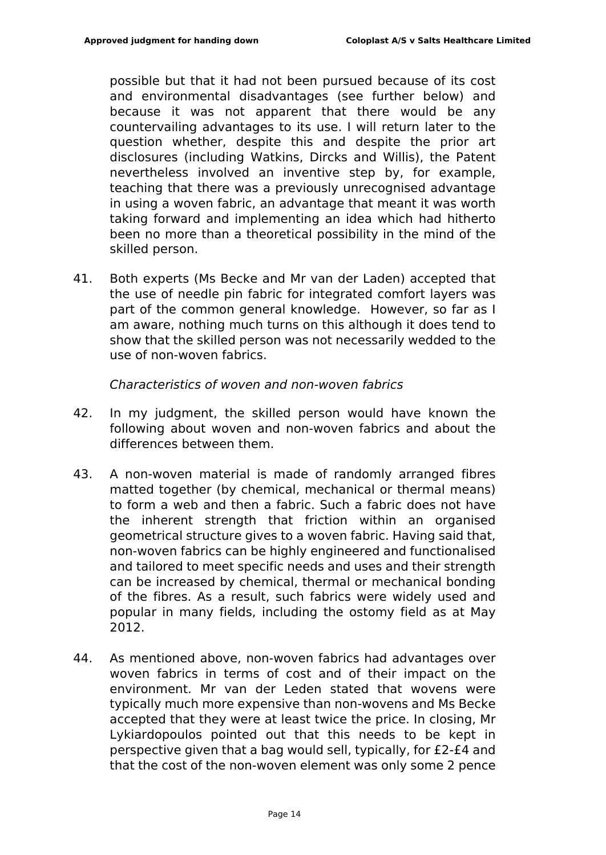possible but that it had not been pursued because of its cost and environmental disadvantages (see further below) and because it was not apparent that there would be any countervailing advantages to its use. I will return later to the question whether, despite this and despite the prior art disclosures (including Watkins, Dircks and Willis), the Patent nevertheless involved an inventive step by, for example, teaching that there was a previously unrecognised advantage in using a woven fabric, an advantage that meant it was worth taking forward and implementing an idea which had hitherto been no more than a theoretical possibility in the mind of the skilled person.

41. Both experts (Ms Becke and Mr van der Laden) accepted that the use of needle pin fabric for integrated comfort layers was part of the common general knowledge. However, so far as I am aware, nothing much turns on this although it does tend to show that the skilled person was not necessarily wedded to the use of non-woven fabrics.

*Characteristics of woven and non-woven fabrics*

- 42. In my judgment, the skilled person would have known the following about woven and non-woven fabrics and about the differences between them.
- 43. A non-woven material is made of randomly arranged fibres matted together (by chemical, mechanical or thermal means) to form a web and then a fabric. Such a fabric does not have the inherent strength that friction within an organised geometrical structure gives to a woven fabric. Having said that, non-woven fabrics can be highly engineered and functionalised and tailored to meet specific needs and uses and their strength can be increased by chemical, thermal or mechanical bonding of the fibres. As a result, such fabrics were widely used and popular in many fields, including the ostomy field as at May 2012.
- 44. As mentioned above, non-woven fabrics had advantages over woven fabrics in terms of cost and of their impact on the environment. Mr van der Leden stated that wovens were typically much more expensive than non-wovens and Ms Becke accepted that they were at least twice the price. In closing, Mr Lykiardopoulos pointed out that this needs to be kept in perspective given that a bag would sell, typically, for £2-£4 and that the cost of the non-woven element was only some 2 pence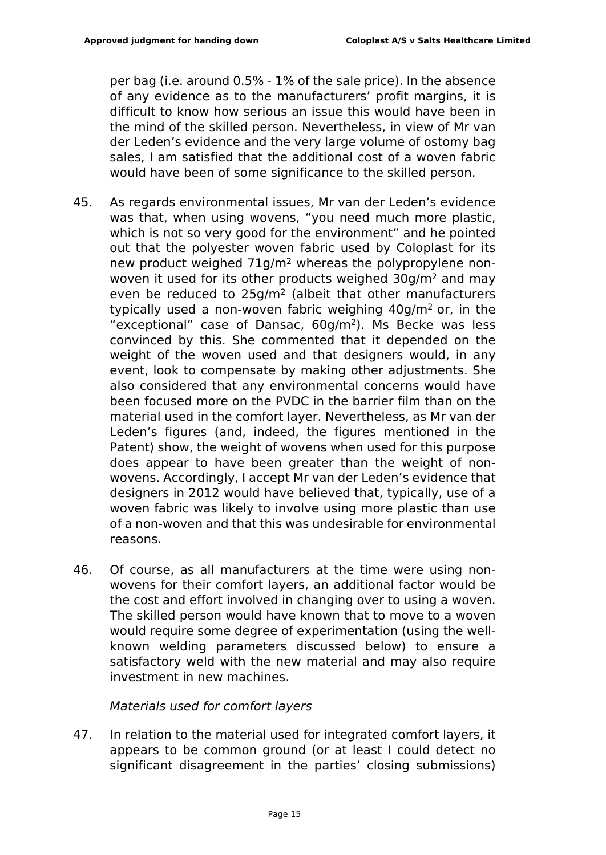per bag (i.e. around 0.5% - 1% of the sale price). In the absence of any evidence as to the manufacturers' profit margins, it is difficult to know how serious an issue this would have been in the mind of the skilled person. Nevertheless, in view of Mr van der Leden's evidence and the very large volume of ostomy bag sales, I am satisfied that the additional cost of a woven fabric would have been of some significance to the skilled person.

- 45. As regards environmental issues, Mr van der Leden's evidence was that, when using wovens, "you need much more plastic, which is not so very good for the environment" and he pointed out that the polyester woven fabric used by Coloplast for its new product weighed 71g/m2 whereas the polypropylene nonwoven it used for its other products weighed 30g/m<sup>2</sup> and may even be reduced to 25g/m<sup>2</sup> (albeit that other manufacturers typically used a non-woven fabric weighing  $40q/m^2$  or, in the "exceptional" case of Dansac, 60g/m<sup>2</sup>). Ms Becke was less convinced by this. She commented that it depended on the weight of the woven used and that designers would, in any event, look to compensate by making other adjustments. She also considered that any environmental concerns would have been focused more on the PVDC in the barrier film than on the material used in the comfort layer. Nevertheless, as Mr van der Leden's figures (and, indeed, the figures mentioned in the Patent) show, the weight of wovens when used for this purpose does appear to have been greater than the weight of nonwovens. Accordingly, I accept Mr van der Leden's evidence that designers in 2012 would have believed that, typically, use of a woven fabric was likely to involve using more plastic than use of a non-woven and that this was undesirable for environmental reasons.
- 46. Of course, as all manufacturers at the time were using nonwovens for their comfort layers, an additional factor would be the cost and effort involved in changing over to using a woven. The skilled person would have known that to move to a woven would require some degree of experimentation (using the wellknown welding parameters discussed below) to ensure a satisfactory weld with the new material and may also require investment in new machines.

#### *Materials used for comfort layers*

47. In relation to the material used for integrated comfort layers, it appears to be common ground (or at least I could detect no significant disagreement in the parties' closing submissions)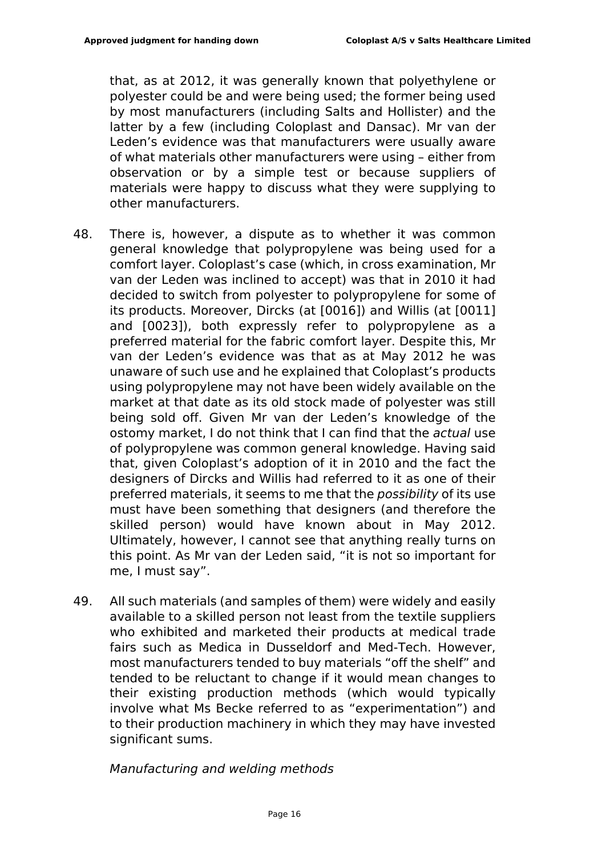that, as at 2012, it was generally known that polyethylene or polyester could be and were being used; the former being used by most manufacturers (including Salts and Hollister) and the latter by a few (including Coloplast and Dansac). Mr van der Leden's evidence was that manufacturers were usually aware of what materials other manufacturers were using – either from observation or by a simple test or because suppliers of materials were happy to discuss what they were supplying to other manufacturers.

- 48. There is, however, a dispute as to whether it was common general knowledge that polypropylene was being used for a comfort layer. Coloplast's case (which, in cross examination, Mr van der Leden was inclined to accept) was that in 2010 it had decided to switch from polyester to polypropylene for some of its products. Moreover, Dircks (at [0016]) and Willis (at [0011] and [0023]), both expressly refer to polypropylene as a preferred material for the fabric comfort layer. Despite this, Mr van der Leden's evidence was that as at May 2012 he was unaware of such use and he explained that Coloplast's products using polypropylene may not have been widely available on the market at that date as its old stock made of polyester was still being sold off. Given Mr van der Leden's knowledge of the ostomy market, I do not think that I can find that the *actual* use of polypropylene was common general knowledge. Having said that, given Coloplast's adoption of it in 2010 and the fact the designers of Dircks and Willis had referred to it as one of their preferred materials, it seems to me that the *possibility* of its use must have been something that designers (and therefore the skilled person) would have known about in May 2012. Ultimately, however, I cannot see that anything really turns on this point. As Mr van der Leden said, "it is not so important for me, I must say".
- 49. All such materials (and samples of them) were widely and easily available to a skilled person not least from the textile suppliers who exhibited and marketed their products at medical trade fairs such as Medica in Dusseldorf and Med-Tech. However, most manufacturers tended to buy materials "off the shelf" and tended to be reluctant to change if it would mean changes to their existing production methods (which would typically involve what Ms Becke referred to as "experimentation") and to their production machinery in which they may have invested significant sums.

#### *Manufacturing and welding methods*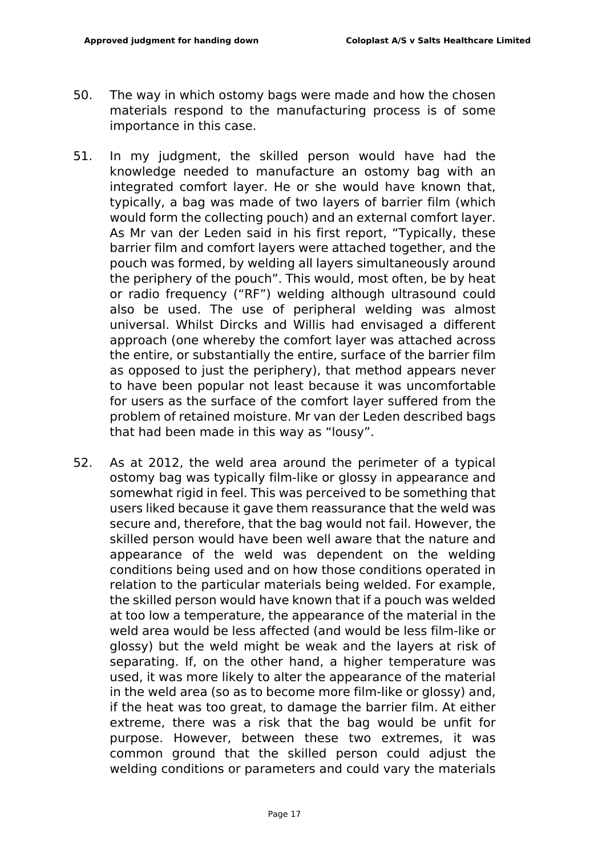- 50. The way in which ostomy bags were made and how the chosen materials respond to the manufacturing process is of some importance in this case.
- 51. In my judgment, the skilled person would have had the knowledge needed to manufacture an ostomy bag with an integrated comfort layer. He or she would have known that, typically, a bag was made of two layers of barrier film (which would form the collecting pouch) and an external comfort layer. As Mr van der Leden said in his first report, "Typically, these barrier film and comfort layers were attached together, and the pouch was formed, by welding all layers simultaneously around the periphery of the pouch". This would, most often, be by heat or radio frequency ("RF") welding although ultrasound could also be used. The use of peripheral welding was almost universal. Whilst Dircks and Willis had envisaged a different approach (one whereby the comfort layer was attached across the entire, or substantially the entire, surface of the barrier film as opposed to just the periphery), that method appears never to have been popular not least because it was uncomfortable for users as the surface of the comfort layer suffered from the problem of retained moisture. Mr van der Leden described bags that had been made in this way as "lousy".
- 52. As at 2012, the weld area around the perimeter of a typical ostomy bag was typically film-like or glossy in appearance and somewhat rigid in feel. This was perceived to be something that users liked because it gave them reassurance that the weld was secure and, therefore, that the bag would not fail. However, the skilled person would have been well aware that the nature and appearance of the weld was dependent on the welding conditions being used and on how those conditions operated in relation to the particular materials being welded. For example, the skilled person would have known that if a pouch was welded at too low a temperature, the appearance of the material in the weld area would be less affected (and would be less film-like or glossy) but the weld might be weak and the layers at risk of separating. If, on the other hand, a higher temperature was used, it was more likely to alter the appearance of the material in the weld area (so as to become more film-like or glossy) and, if the heat was too great, to damage the barrier film. At either extreme, there was a risk that the bag would be unfit for purpose. However, between these two extremes, it was common ground that the skilled person could adjust the welding conditions or parameters and could vary the materials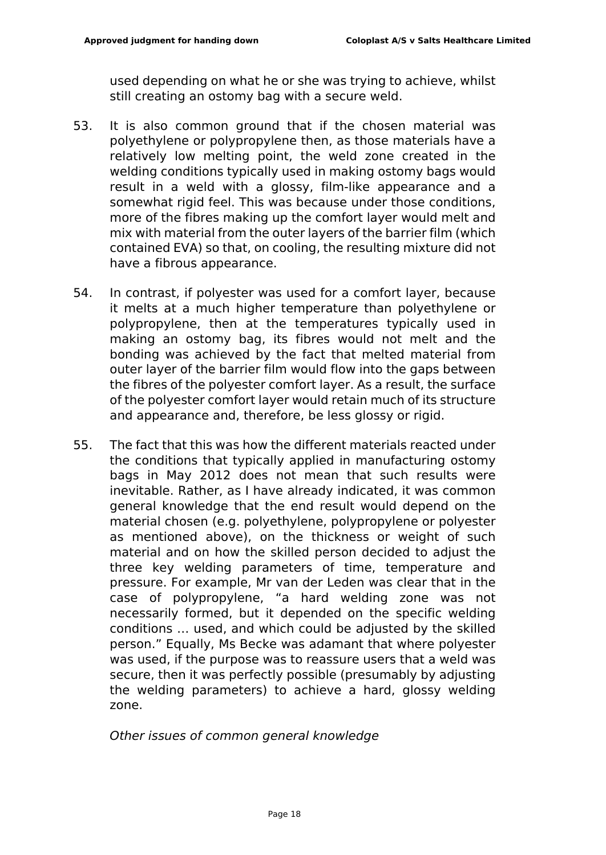used depending on what he or she was trying to achieve, whilst still creating an ostomy bag with a secure weld.

- 53. It is also common ground that if the chosen material was polyethylene or polypropylene then, as those materials have a relatively low melting point, the weld zone created in the welding conditions typically used in making ostomy bags would result in a weld with a glossy, film-like appearance and a somewhat rigid feel. This was because under those conditions, more of the fibres making up the comfort layer would melt and mix with material from the outer layers of the barrier film (which contained EVA) so that, on cooling, the resulting mixture did not have a fibrous appearance.
- 54. In contrast, if polyester was used for a comfort layer, because it melts at a much higher temperature than polyethylene or polypropylene, then at the temperatures typically used in making an ostomy bag, its fibres would not melt and the bonding was achieved by the fact that melted material from outer layer of the barrier film would flow into the gaps between the fibres of the polyester comfort layer. As a result, the surface of the polyester comfort layer would retain much of its structure and appearance and, therefore, be less glossy or rigid.
- 55. The fact that this was how the different materials reacted under the conditions that typically applied in manufacturing ostomy bags in May 2012 does not mean that such results were inevitable. Rather, as I have already indicated, it was common general knowledge that the end result would depend on the material chosen (e.g. polyethylene, polypropylene or polyester as mentioned above), on the thickness or weight of such material and on how the skilled person decided to adjust the three key welding parameters of time, temperature and pressure. For example, Mr van der Leden was clear that in the case of polypropylene, "a hard welding zone was not necessarily formed, but it depended on the specific welding conditions … used, and which could be adjusted by the skilled person." Equally, Ms Becke was adamant that where polyester was used, if the purpose was to reassure users that a weld was secure, then it was perfectly possible (presumably by adjusting the welding parameters) to achieve a hard, glossy welding zone.

*Other issues of common general knowledge*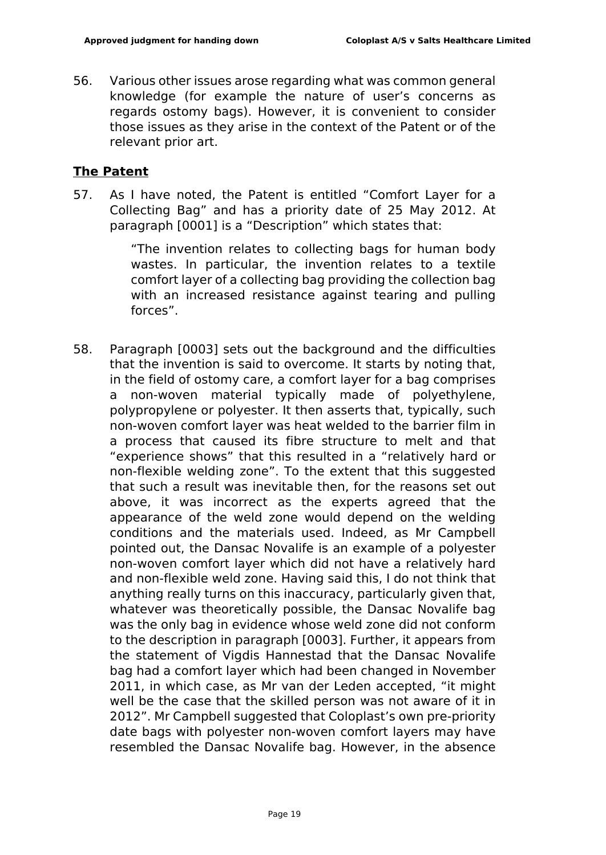56. Various other issues arose regarding what was common general knowledge (for example the nature of user's concerns as regards ostomy bags). However, it is convenient to consider those issues as they arise in the context of the Patent or of the relevant prior art.

## **The Patent**

57. As I have noted, the Patent is entitled "Comfort Layer for a Collecting Bag" and has a priority date of 25 May 2012. At paragraph [0001] is a "Description" which states that:

> "The invention relates to collecting bags for human body wastes. In particular, the invention relates to a textile comfort layer of a collecting bag providing the collection bag with an increased resistance against tearing and pulling forces".

58. Paragraph [0003] sets out the background and the difficulties that the invention is said to overcome. It starts by noting that, in the field of ostomy care, a comfort layer for a bag comprises a non-woven material typically made of polyethylene, polypropylene or polyester. It then asserts that, typically, such non-woven comfort layer was heat welded to the barrier film in a process that caused its fibre structure to melt and that "experience shows" that this resulted in a "relatively hard or non-flexible welding zone". To the extent that this suggested that such a result was inevitable then, for the reasons set out above, it was incorrect as the experts agreed that the appearance of the weld zone would depend on the welding conditions and the materials used. Indeed, as Mr Campbell pointed out, the Dansac Novalife is an example of a polyester non-woven comfort layer which did not have a relatively hard and non-flexible weld zone. Having said this, I do not think that anything really turns on this inaccuracy, particularly given that, whatever was theoretically possible, the Dansac Novalife bag was the only bag in evidence whose weld zone did not conform to the description in paragraph [0003]. Further, it appears from the statement of Vigdis Hannestad that the Dansac Novalife bag had a comfort layer which had been changed in November 2011, in which case, as Mr van der Leden accepted, "it might well be the case that the skilled person was not aware of it in 2012". Mr Campbell suggested that Coloplast's own pre-priority date bags with polyester non-woven comfort layers may have resembled the Dansac Novalife bag. However, in the absence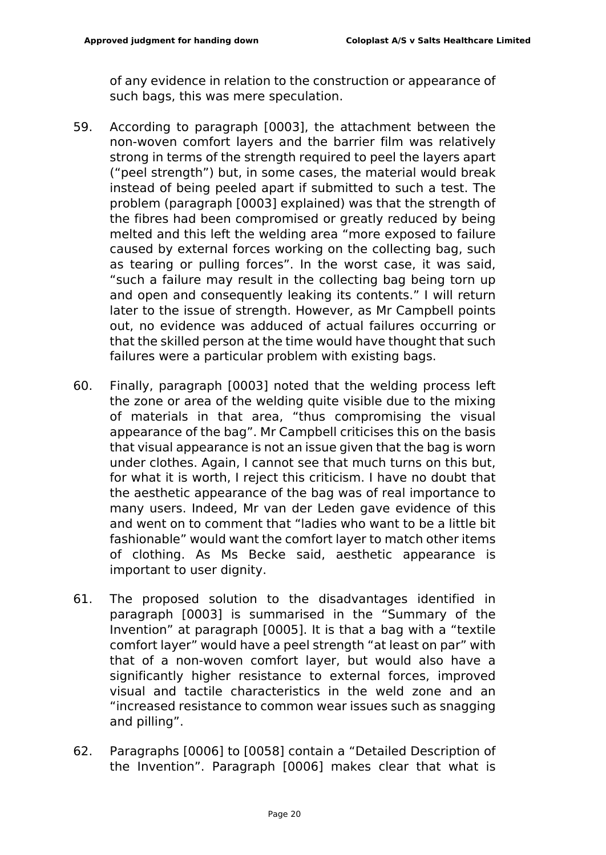of any evidence in relation to the construction or appearance of such bags, this was mere speculation.

- 59. According to paragraph [0003], the attachment between the non-woven comfort layers and the barrier film was relatively strong in terms of the strength required to peel the layers apart ("peel strength") but, in some cases, the material would break instead of being peeled apart if submitted to such a test. The problem (paragraph [0003] explained) was that the strength of the fibres had been compromised or greatly reduced by being melted and this left the welding area "more exposed to failure caused by external forces working on the collecting bag, such as tearing or pulling forces". In the worst case, it was said, "such a failure may result in the collecting bag being torn up and open and consequently leaking its contents." I will return later to the issue of strength. However, as Mr Campbell points out, no evidence was adduced of actual failures occurring or that the skilled person at the time would have thought that such failures were a particular problem with existing bags.
- 60. Finally, paragraph [0003] noted that the welding process left the zone or area of the welding quite visible due to the mixing of materials in that area, "thus compromising the visual appearance of the bag". Mr Campbell criticises this on the basis that visual appearance is not an issue given that the bag is worn under clothes. Again, I cannot see that much turns on this but, for what it is worth, I reject this criticism. I have no doubt that the aesthetic appearance of the bag was of real importance to many users. Indeed, Mr van der Leden gave evidence of this and went on to comment that "ladies who want to be a little bit fashionable" would want the comfort layer to match other items of clothing. As Ms Becke said, aesthetic appearance is important to user dignity.
- 61. The proposed solution to the disadvantages identified in paragraph [0003] is summarised in the "Summary of the Invention" at paragraph [0005]. It is that a bag with a "textile comfort layer" would have a peel strength "at least on par" with that of a non-woven comfort layer, but would also have a significantly higher resistance to external forces, improved visual and tactile characteristics in the weld zone and an "increased resistance to common wear issues such as snagging and pilling".
- 62. Paragraphs [0006] to [0058] contain a "Detailed Description of the Invention". Paragraph [0006] makes clear that what is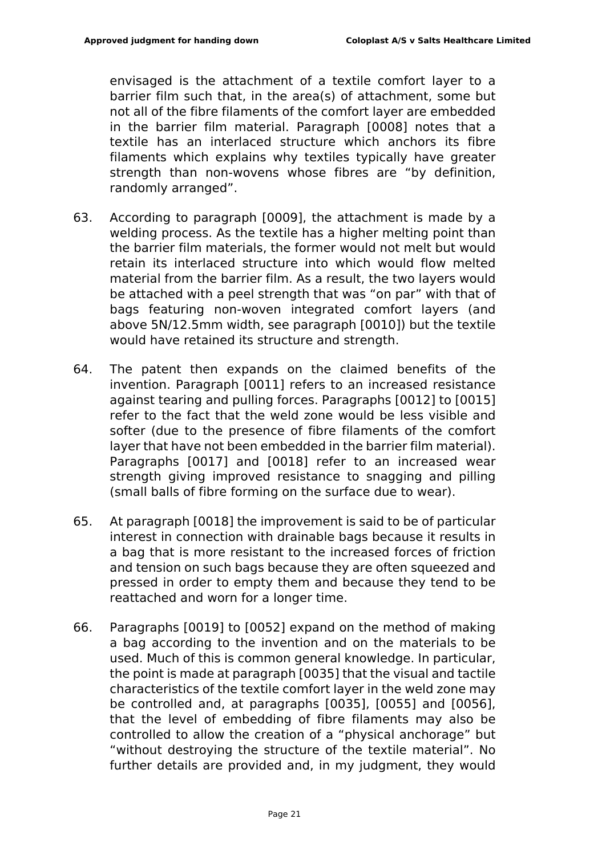envisaged is the attachment of a textile comfort layer to a barrier film such that, in the area(s) of attachment, some but not all of the fibre filaments of the comfort layer are embedded in the barrier film material. Paragraph [0008] notes that a textile has an interlaced structure which anchors its fibre filaments which explains why textiles typically have greater strength than non-wovens whose fibres are "by definition, randomly arranged".

- 63. According to paragraph [0009], the attachment is made by a welding process. As the textile has a higher melting point than the barrier film materials, the former would not melt but would retain its interlaced structure into which would flow melted material from the barrier film. As a result, the two layers would be attached with a peel strength that was "on par" with that of bags featuring non-woven integrated comfort layers (and above 5N/12.5mm width, see paragraph [0010]) but the textile would have retained its structure and strength.
- 64. The patent then expands on the claimed benefits of the invention. Paragraph [0011] refers to an increased resistance against tearing and pulling forces. Paragraphs [0012] to [0015] refer to the fact that the weld zone would be less visible and softer (due to the presence of fibre filaments of the comfort layer that have not been embedded in the barrier film material). Paragraphs [0017] and [0018] refer to an increased wear strength giving improved resistance to snagging and pilling (small balls of fibre forming on the surface due to wear).
- 65. At paragraph [0018] the improvement is said to be of particular interest in connection with drainable bags because it results in a bag that is more resistant to the increased forces of friction and tension on such bags because they are often squeezed and pressed in order to empty them and because they tend to be reattached and worn for a longer time.
- 66. Paragraphs [0019] to [0052] expand on the method of making a bag according to the invention and on the materials to be used. Much of this is common general knowledge. In particular, the point is made at paragraph [0035] that the visual and tactile characteristics of the textile comfort layer in the weld zone may be controlled and, at paragraphs [0035], [0055] and [0056], that the level of embedding of fibre filaments may also be controlled to allow the creation of a "physical anchorage" but "without destroying the structure of the textile material". No further details are provided and, in my judgment, they would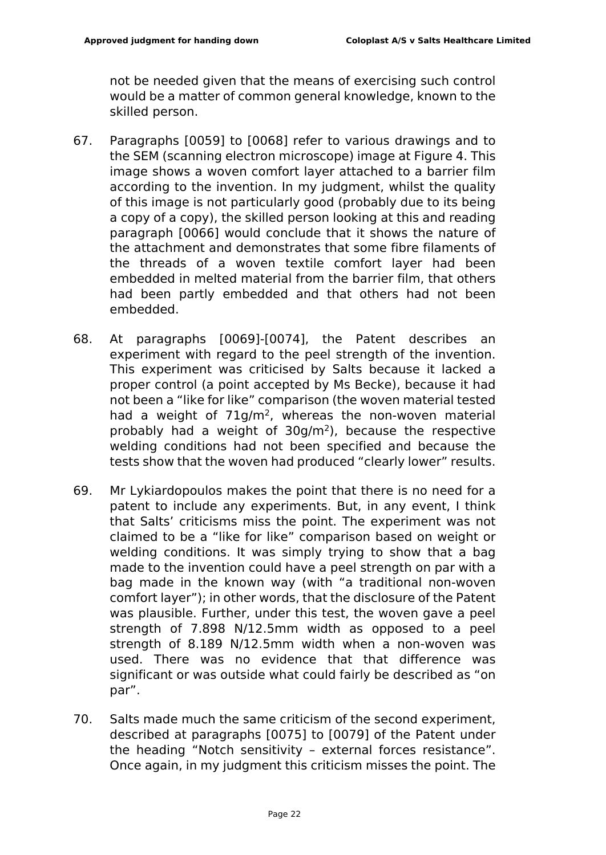not be needed given that the means of exercising such control would be a matter of common general knowledge, known to the skilled person.

- 67. Paragraphs [0059] to [0068] refer to various drawings and to the SEM (scanning electron microscope) image at Figure 4. This image shows a woven comfort layer attached to a barrier film according to the invention. In my judgment, whilst the quality of this image is not particularly good (probably due to its being a copy of a copy), the skilled person looking at this and reading paragraph [0066] would conclude that it shows the nature of the attachment and demonstrates that some fibre filaments of the threads of a woven textile comfort layer had been embedded in melted material from the barrier film, that others had been partly embedded and that others had not been embedded.
- 68. At paragraphs [0069]-[0074], the Patent describes an experiment with regard to the peel strength of the invention. This experiment was criticised by Salts because it lacked a proper control (a point accepted by Ms Becke), because it had not been a "like for like" comparison (the woven material tested had a weight of 71g/m<sup>2</sup>, whereas the non-woven material probably had a weight of 30g/m<sup>2</sup>), because the respective welding conditions had not been specified and because the tests show that the woven had produced "clearly lower" results.
- 69. Mr Lykiardopoulos makes the point that there is no need for a patent to include any experiments. But, in any event, I think that Salts' criticisms miss the point. The experiment was not claimed to be a "like for like" comparison based on weight or welding conditions. It was simply trying to show that a bag made to the invention could have a peel strength on par with a bag made in the known way (with "a traditional non-woven comfort layer"); in other words, that the disclosure of the Patent was plausible. Further, under this test, the woven gave a peel strength of 7.898 N/12.5mm width as opposed to a peel strength of 8.189 N/12.5mm width when a non-woven was used. There was no evidence that that difference was significant or was outside what could fairly be described as "on par".
- 70. Salts made much the same criticism of the second experiment, described at paragraphs [0075] to [0079] of the Patent under the heading "Notch sensitivity – external forces resistance". Once again, in my judgment this criticism misses the point. The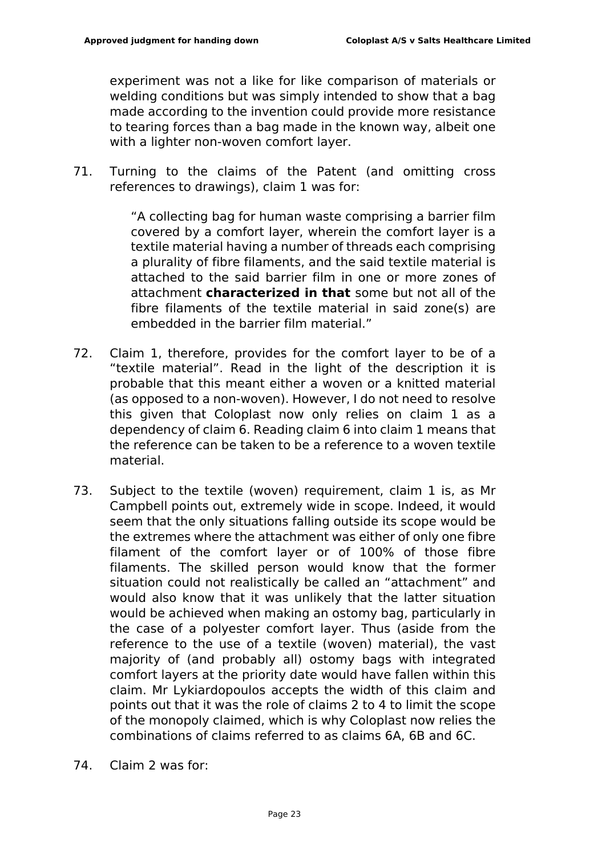experiment was not a like for like comparison of materials or welding conditions but was simply intended to show that a bag made according to the invention could provide more resistance to tearing forces than a bag made in the known way, albeit one with a lighter non-woven comfort layer.

71. Turning to the claims of the Patent (and omitting cross references to drawings), claim 1 was for:

> "A collecting bag for human waste comprising a barrier film covered by a comfort layer, wherein the comfort layer is a textile material having a number of threads each comprising a plurality of fibre filaments, and the said textile material is attached to the said barrier film in one or more zones of attachment **characterized in that** some but not all of the fibre filaments of the textile material in said zone(s) are embedded in the barrier film material."

- 72. Claim 1, therefore, provides for the comfort layer to be of a "textile material". Read in the light of the description it is probable that this meant either a woven or a knitted material (as opposed to a non-woven). However, I do not need to resolve this given that Coloplast now only relies on claim 1 as a dependency of claim 6. Reading claim 6 into claim 1 means that the reference can be taken to be a reference to a woven textile material.
- 73. Subject to the textile (woven) requirement, claim 1 is, as Mr Campbell points out, extremely wide in scope. Indeed, it would seem that the only situations falling outside its scope would be the extremes where the attachment was either of only one fibre filament of the comfort layer or of 100% of those fibre filaments. The skilled person would know that the former situation could not realistically be called an "attachment" and would also know that it was unlikely that the latter situation would be achieved when making an ostomy bag, particularly in the case of a polyester comfort layer. Thus (aside from the reference to the use of a textile (woven) material), the vast majority of (and probably all) ostomy bags with integrated comfort layers at the priority date would have fallen within this claim. Mr Lykiardopoulos accepts the width of this claim and points out that it was the role of claims 2 to 4 to limit the scope of the monopoly claimed, which is why Coloplast now relies the combinations of claims referred to as claims 6A, 6B and 6C.
- 74. Claim 2 was for: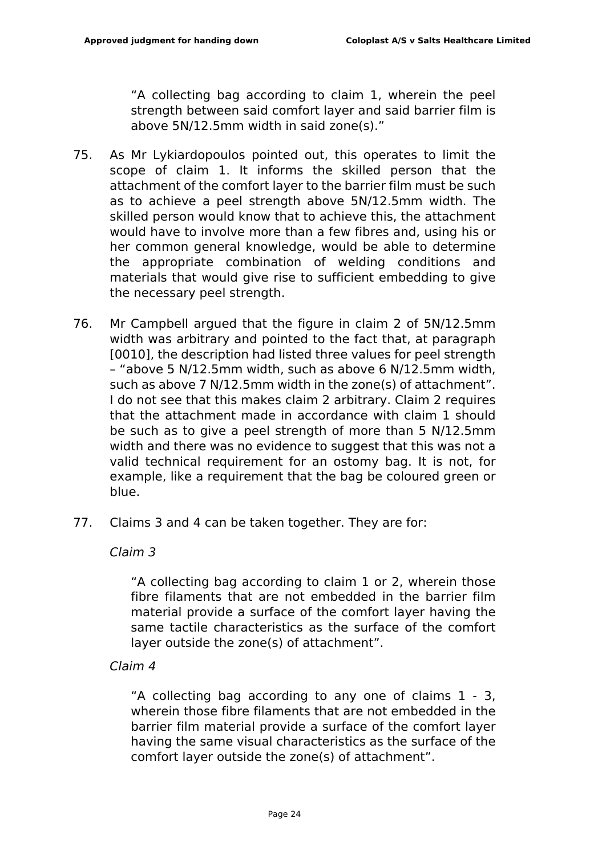"A collecting bag according to claim 1, wherein the peel strength between said comfort layer and said barrier film is above 5N/12.5mm width in said zone(s)."

- 75. As Mr Lykiardopoulos pointed out, this operates to limit the scope of claim 1. It informs the skilled person that the attachment of the comfort layer to the barrier film must be such as to achieve a peel strength above 5N/12.5mm width. The skilled person would know that to achieve this, the attachment would have to involve more than a few fibres and, using his or her common general knowledge, would be able to determine the appropriate combination of welding conditions and materials that would give rise to sufficient embedding to give the necessary peel strength.
- 76. Mr Campbell argued that the figure in claim 2 of 5N/12.5mm width was arbitrary and pointed to the fact that, at paragraph [0010], the description had listed three values for peel strength – "above 5 N/12.5mm width, such as above 6 N/12.5mm width, such as above 7 N/12.5mm width in the zone(s) of attachment". I do not see that this makes claim 2 arbitrary. Claim 2 requires that the attachment made in accordance with claim 1 should be such as to give a peel strength of more than 5 N/12.5mm width and there was no evidence to suggest that this was not a valid technical requirement for an ostomy bag. It is not, for example, like a requirement that the bag be coloured green or blue.
- 77. Claims 3 and 4 can be taken together. They are for:

*Claim 3*

"A collecting bag according to claim 1 or 2, wherein those fibre filaments that are not embedded in the barrier film material provide a surface of the comfort layer having the same tactile characteristics as the surface of the comfort layer outside the zone(s) of attachment".

*Claim 4*

"A collecting bag according to any one of claims 1 - 3, wherein those fibre filaments that are not embedded in the barrier film material provide a surface of the comfort layer having the same visual characteristics as the surface of the comfort layer outside the zone(s) of attachment".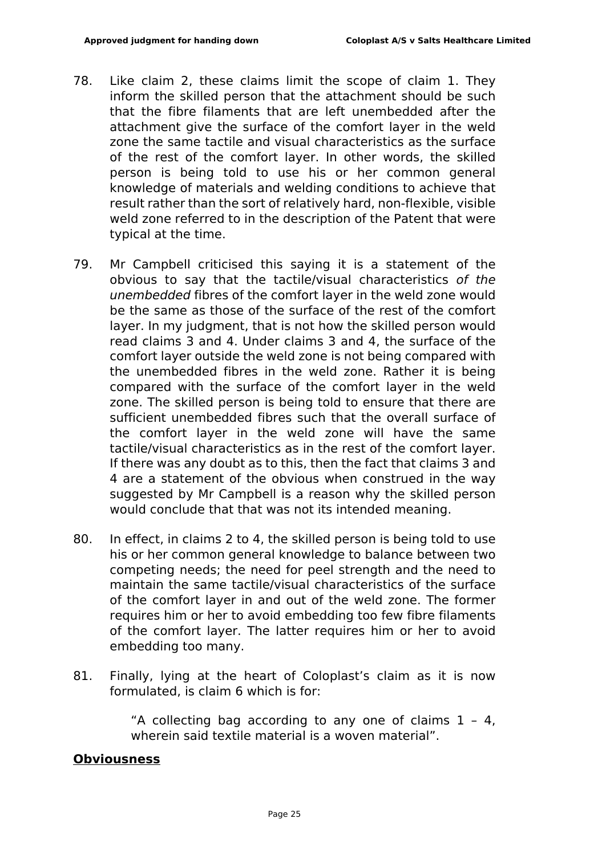- 78. Like claim 2, these claims limit the scope of claim 1. They inform the skilled person that the attachment should be such that the fibre filaments that are left unembedded after the attachment give the surface of the comfort layer in the weld zone the same tactile and visual characteristics as the surface of the rest of the comfort layer. In other words, the skilled person is being told to use his or her common general knowledge of materials and welding conditions to achieve that result rather than the sort of relatively hard, non-flexible, visible weld zone referred to in the description of the Patent that were typical at the time.
- 79. Mr Campbell criticised this saying it is a statement of the obvious to say that the tactile/visual characteristics *of the unembedded* fibres of the comfort layer in the weld zone would be the same as those of the surface of the rest of the comfort layer. In my judgment, that is not how the skilled person would read claims 3 and 4. Under claims 3 and 4, the surface of the comfort layer outside the weld zone is not being compared with the unembedded fibres in the weld zone. Rather it is being compared with the surface of the comfort layer in the weld zone. The skilled person is being told to ensure that there are sufficient unembedded fibres such that the overall surface of the comfort layer in the weld zone will have the same tactile/visual characteristics as in the rest of the comfort layer. If there was any doubt as to this, then the fact that claims 3 and 4 are a statement of the obvious when construed in the way suggested by Mr Campbell is a reason why the skilled person would conclude that that was not its intended meaning.
- 80. In effect, in claims 2 to 4, the skilled person is being told to use his or her common general knowledge to balance between two competing needs; the need for peel strength and the need to maintain the same tactile/visual characteristics of the surface of the comfort layer in and out of the weld zone. The former requires him or her to avoid embedding too few fibre filaments of the comfort layer. The latter requires him or her to avoid embedding too many.
- 81. Finally, lying at the heart of Coloplast's claim as it is now formulated, is claim 6 which is for:

"A collecting bag according to any one of claims  $1 - 4$ , wherein said textile material is a woven material".

#### **Obviousness**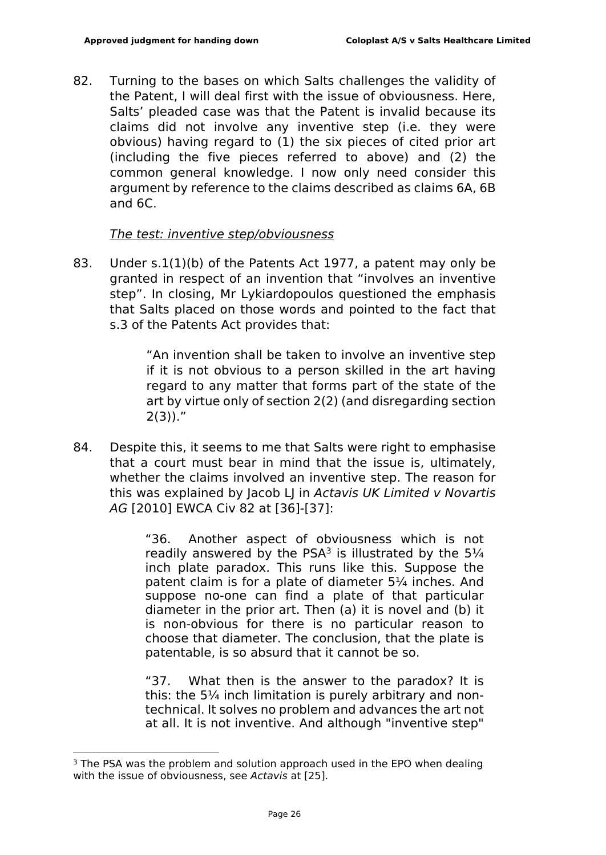82. Turning to the bases on which Salts challenges the validity of the Patent, I will deal first with the issue of obviousness. Here, Salts' pleaded case was that the Patent is invalid because its claims did not involve any inventive step (i.e. they were obvious) having regard to (1) the six pieces of cited prior art (including the five pieces referred to above) and (2) the common general knowledge. I now only need consider this argument by reference to the claims described as claims 6A, 6B and 6C.

#### *The test: inventive step/obviousness*

83. Under s.1(1)(b) of the Patents Act 1977, a patent may only be granted in respect of an invention that "involves an inventive step". In closing, Mr Lykiardopoulos questioned the emphasis that Salts placed on those words and pointed to the fact that s.3 of the Patents Act provides that:

> "An invention shall be taken to involve an inventive step if it is not obvious to a person skilled in the art having regard to any matter that forms part of the state of the art by virtue only of section 2(2) (and disregarding section  $2(3)$ )."

84. Despite this, it seems to me that Salts were right to emphasise that a court must bear in mind that the issue is, ultimately, whether the claims involved an inventive step. The reason for this was explained by Jacob LJ in *Actavis UK Limited v Novartis AG* [2010] EWCA Civ 82 at [36]-[37]:

> "36. Another aspect of obviousness which is not readily answered by the PSA<sup>3</sup> is illustrated by the  $5\frac{1}{4}$ inch plate paradox. This runs like this. Suppose the patent claim is for a plate of diameter 5¼ inches. And suppose no-one can find a plate of that particular diameter in the prior art. Then (a) it is novel and (b) it is non-obvious for there is no particular reason to choose that diameter. The conclusion, that the plate is patentable, is so absurd that it cannot be so.

> "37. What then is the answer to the paradox? It is this: the 5¼ inch limitation is purely arbitrary and nontechnical. It solves no problem and advances the art not at all. It is not inventive. And although "inventive step"

<sup>&</sup>lt;sup>3</sup> The PSA was the problem and solution approach used in the EPO when dealing with the issue of obviousness, see *Actavis* at [25].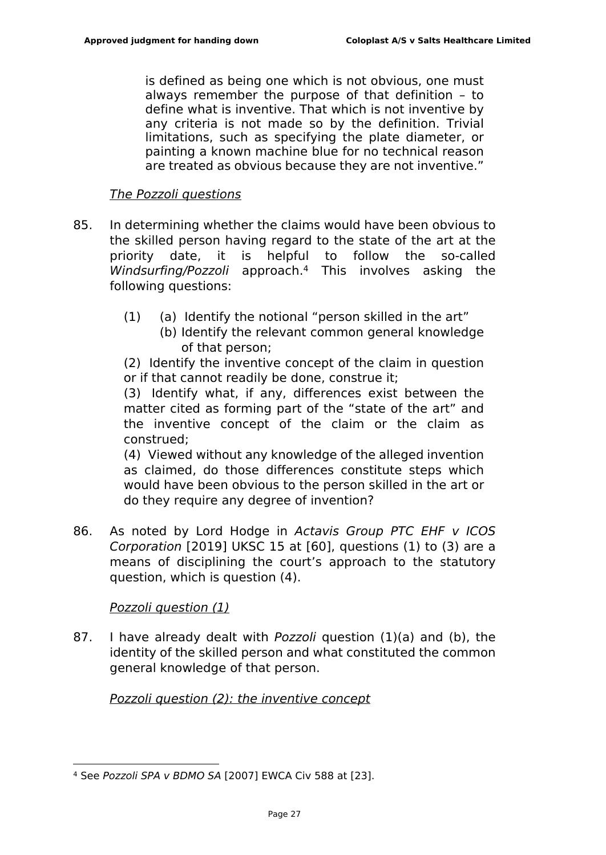is defined as being one which is not obvious, one must always remember the purpose of that definition – to define what is inventive. That which is not inventive by any criteria is not made so by the definition. Trivial limitations, such as specifying the plate diameter, or painting a known machine blue for no technical reason are treated as obvious because they are not inventive."

### *The Pozzoli questions*

- 85. In determining whether the claims would have been obvious to the skilled person having regard to the state of the art at the priority date, it is helpful to follow the so-called *Windsurfing/Pozzoli* approach.<sup>4</sup> This involves asking the following questions:
	- (1) (a) Identify the notional "person skilled in the art"
		- (b) Identify the relevant common general knowledge of that person;

(2) Identify the inventive concept of the claim in question or if that cannot readily be done, construe it;

(3) Identify what, if any, differences exist between the matter cited as forming part of the "state of the art" and the inventive concept of the claim or the claim as construed;

(4) Viewed without any knowledge of the alleged invention as claimed, do those differences constitute steps which would have been obvious to the person skilled in the art or do they require any degree of invention?

86. As noted by Lord Hodge in *Actavis Group PTC EHF v ICOS Corporation* [2019] UKSC 15 at [60], questions (1) to (3) are a means of disciplining the court's approach to the statutory question, which is question (4).

## *Pozzoli question (1)*

87. I have already dealt with *Pozzoli* question (1)(a) and (b), the identity of the skilled person and what constituted the common general knowledge of that person.

*Pozzoli question (2): the inventive concept*

<sup>4</sup> See *Pozzoli SPA v BDMO SA* [2007] EWCA Civ 588 at [23].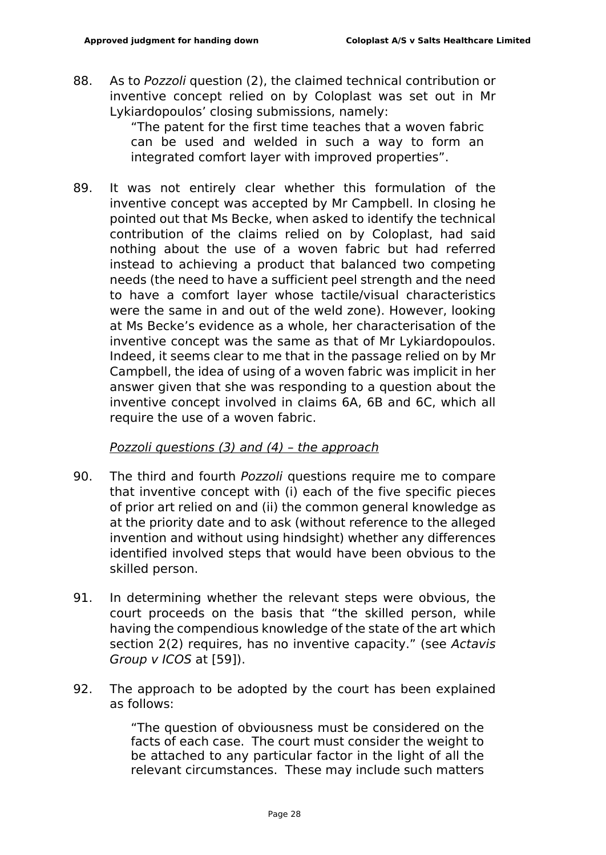88. As to *Pozzoli* question (2), the claimed technical contribution or inventive concept relied on by Coloplast was set out in Mr Lykiardopoulos' closing submissions, namely:

> "The patent for the first time teaches that a woven fabric can be used and welded in such a way to form an integrated comfort layer with improved properties".

89. It was not entirely clear whether this formulation of the inventive concept was accepted by Mr Campbell. In closing he pointed out that Ms Becke, when asked to identify the technical contribution of the claims relied on by Coloplast, had said nothing about the use of a woven fabric but had referred instead to achieving a product that balanced two competing needs (the need to have a sufficient peel strength and the need to have a comfort layer whose tactile/visual characteristics were the same in and out of the weld zone). However, looking at Ms Becke's evidence as a whole, her characterisation of the inventive concept was the same as that of Mr Lykiardopoulos. Indeed, it seems clear to me that in the passage relied on by Mr Campbell, the idea of using of a woven fabric was implicit in her answer given that she was responding to a question about the inventive concept involved in claims 6A, 6B and 6C, which all require the use of a woven fabric.

#### *Pozzoli questions (3) and (4) – the approach*

- 90. The third and fourth *Pozzoli* questions require me to compare that inventive concept with (i) each of the five specific pieces of prior art relied on and (ii) the common general knowledge as at the priority date and to ask (without reference to the alleged invention and without using hindsight) whether any differences identified involved steps that would have been obvious to the skilled person.
- 91. In determining whether the relevant steps were obvious, the court proceeds on the basis that "the skilled person, while having the compendious knowledge of the state of the art which section 2(2) requires, has no inventive capacity." (see *Actavis Group v ICOS* at [59]).
- 92. The approach to be adopted by the court has been explained as follows:

"The question of obviousness must be considered on the facts of each case. The court must consider the weight to be attached to any particular factor in the light of all the relevant circumstances. These may include such matters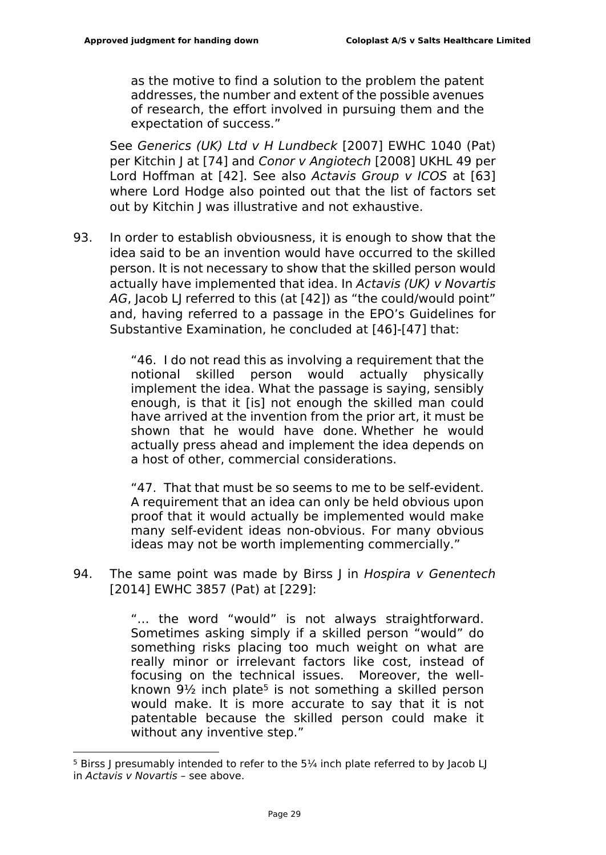as the motive to find a solution to the problem the patent addresses, the number and extent of the possible avenues of research, the effort involved in pursuing them and the expectation of success."

See *Generics (UK) Ltd v H Lundbeck* [2007] EWHC 1040 (Pat) per Kitchin J at [74] and *Conor v Angiotech* [2008] UKHL 49 per Lord Hoffman at [42]. See also *Actavis Group v ICOS* at [63] where Lord Hodge also pointed out that the list of factors set out by Kitchin J was illustrative and not exhaustive.

93. In order to establish obviousness, it is enough to show that the idea said to be an invention would have occurred to the skilled person. It is not necessary to show that the skilled person would actually have implemented that idea. In *Actavis (UK) v Novartis*  AG, Jacob LJ referred to this (at [42]) as "the could/would point" and, having referred to a passage in the EPO's Guidelines for Substantive Examination, he concluded at [46]-[47] that:

> "46. I do not read this as involving a requirement that the notional skilled person would actually physically implement the idea. What the passage is saying, sensibly enough, is that it [is] not enough the skilled man could have arrived at the invention from the prior art, it must be shown that he would have done. Whether he would actually press ahead and implement the idea depends on a host of other, commercial considerations.

> "47. That that must be so seems to me to be self-evident. A requirement that an idea can only be held obvious upon proof that it would actually be implemented would make many self-evident ideas non-obvious. For many obvious ideas may not be worth implementing commercially."

94. The same point was made by Birss J in *Hospira v Genentech* [2014] EWHC 3857 (Pat) at [229]:

> "… the word "would" is not always straightforward. Sometimes asking simply if a skilled person "would" do something risks placing too much weight on what are really minor or irrelevant factors like cost, instead of focusing on the technical issues. Moreover, the wellknown  $9\frac{1}{2}$  inch plate<sup>5</sup> is not something a skilled person would make. It is more accurate to say that it is not patentable because the skilled person could make it without any inventive step."

 $5$  Birss J presumably intended to refer to the  $5\frac{1}{4}$  inch plate referred to by Jacob LJ in *Actavis v Novartis* – see above.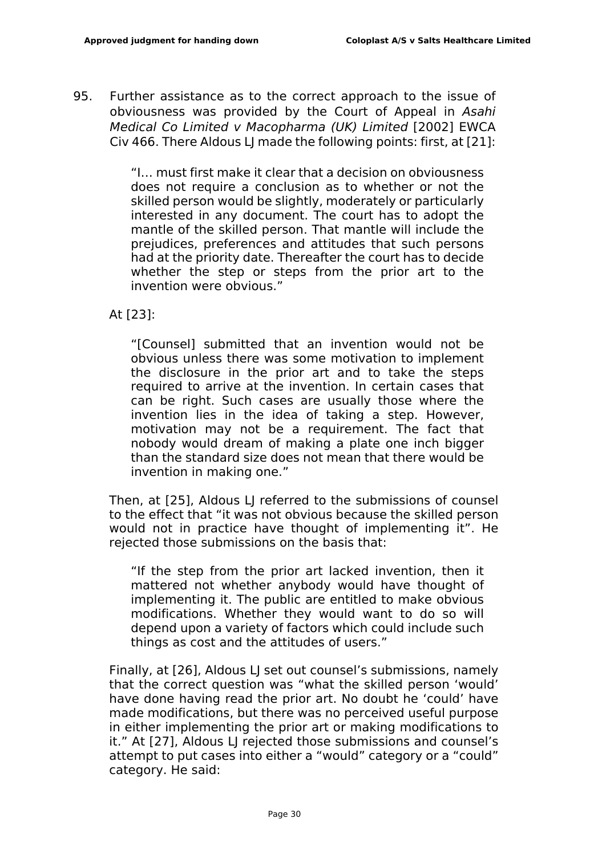95. Further assistance as to the correct approach to the issue of obviousness was provided by the Court of Appeal in *Asahi Medical Co Limited v Macopharma (UK) Limited* [2002] EWCA Civ 466. There Aldous LJ made the following points: first, at [21]:

> "I… must first make it clear that a decision on obviousness does not require a conclusion as to whether or not the skilled person would be slightly, moderately or particularly interested in any document. The court has to adopt the mantle of the skilled person. That mantle will include the prejudices, preferences and attitudes that such persons had at the priority date. Thereafter the court has to decide whether the step or steps from the prior art to the invention were obvious."

At [23]:

"[Counsel] submitted that an invention would not be obvious unless there was some motivation to implement the disclosure in the prior art and to take the steps required to arrive at the invention. In certain cases that can be right. Such cases are usually those where the invention lies in the idea of taking a step. However, motivation may not be a requirement. The fact that nobody would dream of making a plate one inch bigger than the standard size does not mean that there would be invention in making one."

Then, at [25], Aldous LJ referred to the submissions of counsel to the effect that "it was not obvious because the skilled person would not in practice have thought of implementing it". He rejected those submissions on the basis that:

"If the step from the prior art lacked invention, then it mattered not whether anybody would have thought of implementing it. The public are entitled to make obvious modifications. Whether they would want to do so will depend upon a variety of factors which could include such things as cost and the attitudes of users."

Finally, at [26], Aldous LJ set out counsel's submissions, namely that the correct question was "what the skilled person 'would' have done having read the prior art. No doubt he 'could' have made modifications, but there was no perceived useful purpose in either implementing the prior art or making modifications to it." At [27], Aldous LJ rejected those submissions and counsel's attempt to put cases into either a "would" category or a "could" category. He said: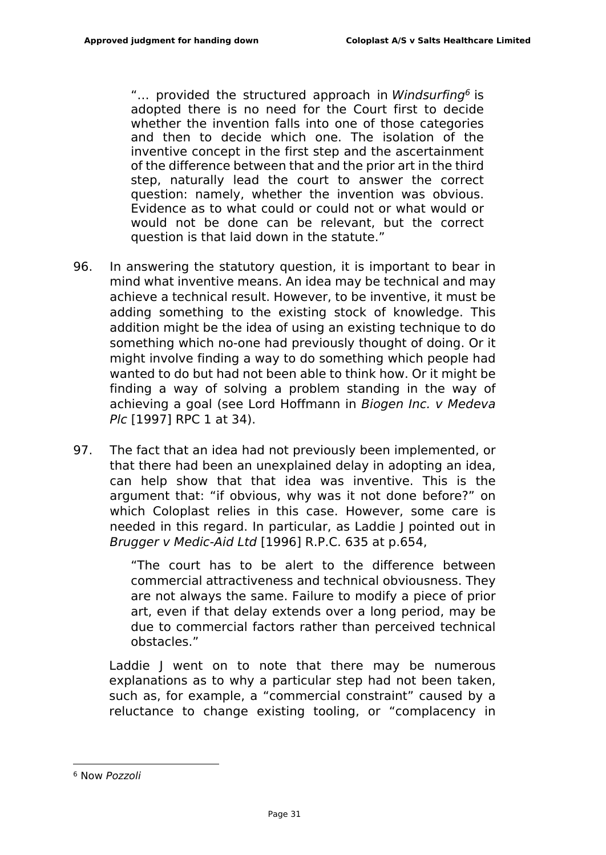"… provided the structured approach in *Windsurfing<sup>6</sup>* is adopted there is no need for the Court first to decide whether the invention falls into one of those categories and then to decide which one. The isolation of the inventive concept in the first step and the ascertainment of the difference between that and the prior art in the third step, naturally lead the court to answer the correct question: namely, whether the invention was obvious. Evidence as to what could or could not or what would or would not be done can be relevant, but the correct question is that laid down in the statute."

- 96. In answering the statutory question, it is important to bear in mind what inventive means. An idea may be technical and may achieve a technical result. However, to be inventive, it must be adding something to the existing stock of knowledge. This addition might be the idea of using an existing technique to do something which no-one had previously thought of doing. Or it might involve finding a way to do something which people had wanted to do but had not been able to think how. Or it might be finding a way of solving a problem standing in the way of achieving a goal (see Lord Hoffmann in *Biogen Inc. v Medeva Plc* [1997] RPC 1 at 34).
- 97. The fact that an idea had not previously been implemented, or that there had been an unexplained delay in adopting an idea, can help show that that idea was inventive. This is the argument that: "if obvious, why was it not done before?" on which Coloplast relies in this case. However, some care is needed in this regard. In particular, as Laddie J pointed out in *Brugger v Medic-Aid Ltd* [1996] R.P.C. 635 at p.654,

"The court has to be alert to the difference between commercial attractiveness and technical obviousness. They are not always the same. Failure to modify a piece of prior art, even if that delay extends over a long period, may be due to commercial factors rather than perceived technical obstacles."

Laddie J went on to note that there may be numerous explanations as to why a particular step had not been taken, such as, for example, a "commercial constraint" caused by a reluctance to change existing tooling, or "complacency in

<sup>6</sup> Now *Pozzoli*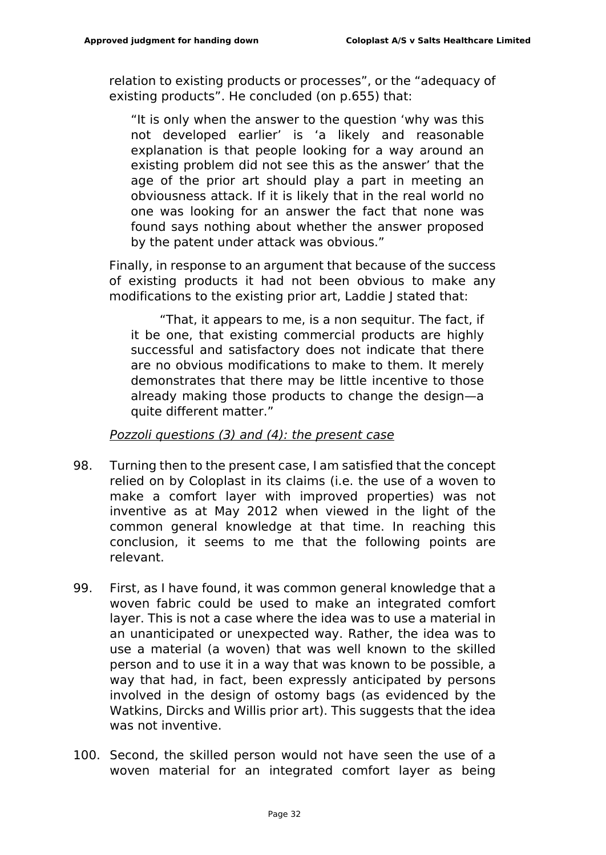relation to existing products or processes", or the "adequacy of existing products". He concluded (on p.655) that:

"It is only when the answer to the question 'why was this not developed earlier' is 'a likely and reasonable explanation is that people looking for a way around an existing problem did not see this as the answer' that the age of the prior art should play a part in meeting an obviousness attack. If it is likely that in the real world no one was looking for an answer the fact that none was found says nothing about whether the answer proposed by the patent under attack was obvious."

Finally, in response to an argument that because of the success of existing products it had not been obvious to make any modifications to the existing prior art, Laddie J stated that:

"That, it appears to me, is a non sequitur. The fact, if it be one, that existing commercial products are highly successful and satisfactory does not indicate that there are no obvious modifications to make to them. It merely demonstrates that there may be little incentive to those already making those products to change the design—a quite different matter."

*Pozzoli questions (3) and (4): the present case*

- 98. Turning then to the present case, I am satisfied that the concept relied on by Coloplast in its claims (i.e. the use of a woven to make a comfort layer with improved properties) was not inventive as at May 2012 when viewed in the light of the common general knowledge at that time. In reaching this conclusion, it seems to me that the following points are relevant.
- 99. First, as I have found, it was common general knowledge that a woven fabric could be used to make an integrated comfort layer. This is not a case where the idea was to use a material in an unanticipated or unexpected way. Rather, the idea was to use a material (a woven) that was well known to the skilled person and to use it in a way that was known to be possible, a way that had, in fact, been expressly anticipated by persons involved in the design of ostomy bags (as evidenced by the Watkins, Dircks and Willis prior art). This suggests that the idea was not inventive.
- 100. Second, the skilled person would not have seen the use of a woven material for an integrated comfort layer as being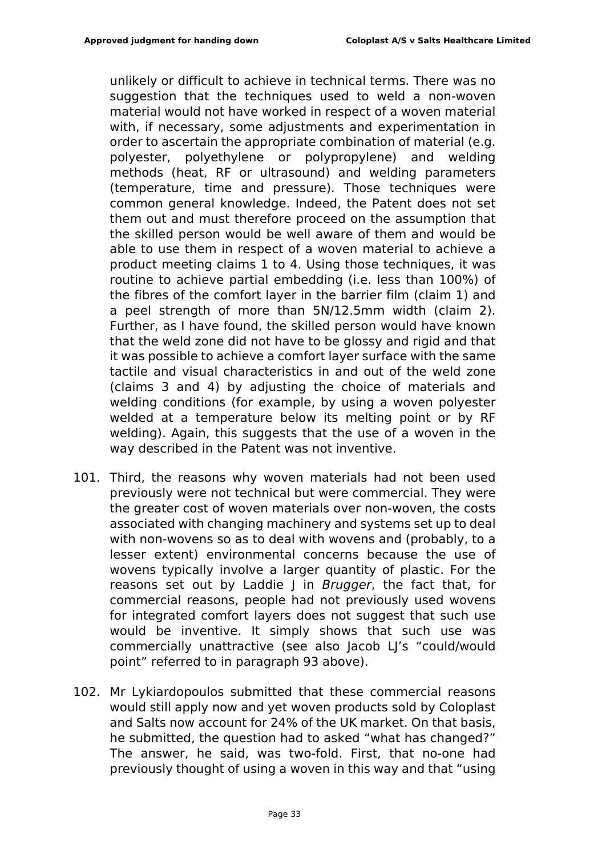unlikely or difficult to achieve in technical terms. There was no suggestion that the techniques used to weld a non-woven material would not have worked in respect of a woven material with, if necessary, some adjustments and experimentation in order to ascertain the appropriate combination of material (e.g. polyester, polyethylene or polypropylene) and welding methods (heat, RF or ultrasound) and welding parameters (temperature, time and pressure). Those techniques were common general knowledge. Indeed, the Patent does not set them out and must therefore proceed on the assumption that the skilled person would be well aware of them and would be able to use them in respect of a woven material to achieve a product meeting claims 1 to 4. Using those techniques, it was routine to achieve partial embedding (i.e. less than 100%) of the fibres of the comfort layer in the barrier film (claim 1) and a peel strength of more than 5N/12.5mm width (claim 2). Further, as I have found, the skilled person would have known that the weld zone did not have to be glossy and rigid and that it was possible to achieve a comfort layer surface with the same tactile and visual characteristics in and out of the weld zone (claims 3 and 4) by adjusting the choice of materials and welding conditions (for example, by using a woven polyester welded at a temperature below its melting point or by RF welding). Again, this suggests that the use of a woven in the way described in the Patent was not inventive.

- 101. Third, the reasons why woven materials had not been used previously were not technical but were commercial. They were the greater cost of woven materials over non-woven, the costs associated with changing machinery and systems set up to deal with non-wovens so as to deal with wovens and (probably, to a lesser extent) environmental concerns because the use of wovens typically involve a larger quantity of plastic. For the reasons set out by Laddie J in *Brugger*, the fact that, for commercial reasons, people had not previously used wovens for integrated comfort layers does not suggest that such use would be inventive. It simply shows that such use was commercially unattractive (see also Jacob LJ's "could/would point" referred to in paragraph 93 above).
- 102. Mr Lykiardopoulos submitted that these commercial reasons would still apply now and yet woven products sold by Coloplast and Salts now account for 24% of the UK market. On that basis, he submitted, the question had to asked "what has changed?" The answer, he said, was two-fold. First, that no-one had previously thought of using a woven in this way and that "using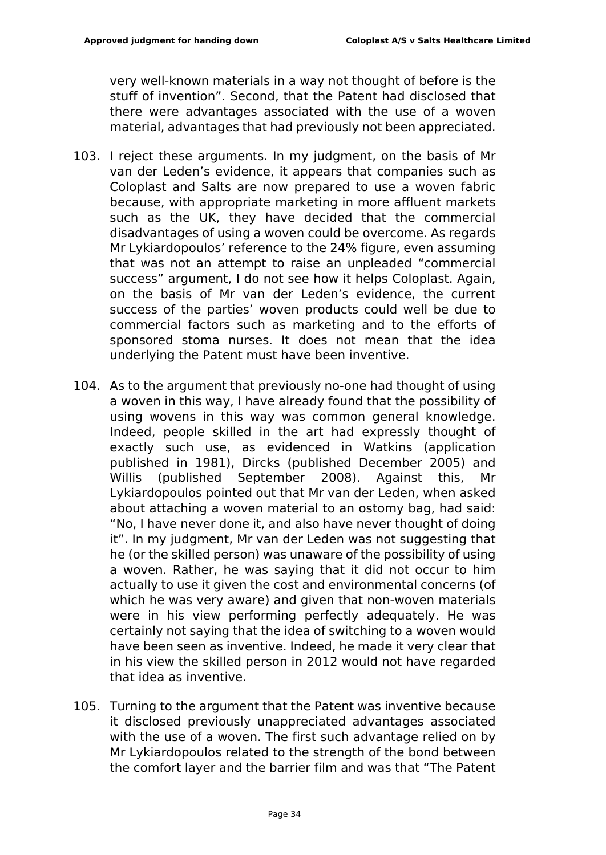very well-known materials in a way not thought of before is the stuff of invention". Second, that the Patent had disclosed that there were advantages associated with the use of a woven material, advantages that had previously not been appreciated.

- 103. I reject these arguments. In my judgment, on the basis of Mr van der Leden's evidence, it appears that companies such as Coloplast and Salts are now prepared to use a woven fabric because, with appropriate marketing in more affluent markets such as the UK, they have decided that the commercial disadvantages of using a woven could be overcome. As regards Mr Lykiardopoulos' reference to the 24% figure, even assuming that was not an attempt to raise an unpleaded "commercial success" argument, I do not see how it helps Coloplast. Again, on the basis of Mr van der Leden's evidence, the current success of the parties' woven products could well be due to commercial factors such as marketing and to the efforts of sponsored stoma nurses. It does not mean that the idea underlying the Patent must have been inventive.
- 104. As to the argument that previously no-one had thought of using a woven in this way, I have already found that the possibility of using wovens in this way was common general knowledge. Indeed, people skilled in the art had expressly thought of exactly such use, as evidenced in Watkins (application published in 1981), Dircks (published December 2005) and Willis (published September 2008). Against this, Mr Lykiardopoulos pointed out that Mr van der Leden, when asked about attaching a woven material to an ostomy bag, had said: "No, I have never done it, and also have never thought of doing it". In my judgment, Mr van der Leden was not suggesting that he (or the skilled person) was unaware of the possibility of using a woven. Rather, he was saying that it did not occur to him actually to use it given the cost and environmental concerns (of which he was very aware) and given that non-woven materials were in his view performing perfectly adequately. He was certainly not saying that the idea of switching to a woven would have been seen as inventive. Indeed, he made it very clear that in his view the skilled person in 2012 would not have regarded that idea as inventive.
- 105. Turning to the argument that the Patent was inventive because it disclosed previously unappreciated advantages associated with the use of a woven. The first such advantage relied on by Mr Lykiardopoulos related to the strength of the bond between the comfort layer and the barrier film and was that "The Patent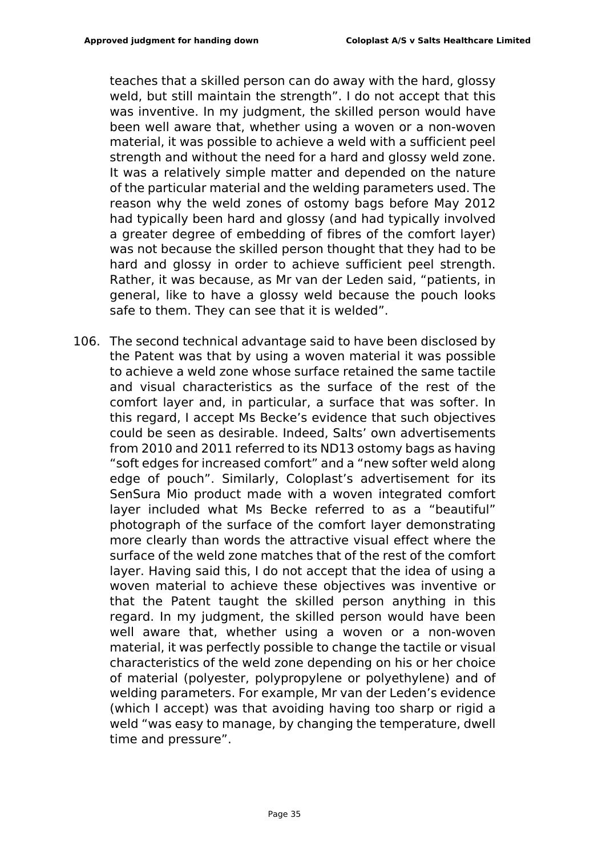teaches that a skilled person can do away with the hard, glossy weld, but still maintain the strength". I do not accept that this was inventive. In my judgment, the skilled person would have been well aware that, whether using a woven or a non-woven material, it was possible to achieve a weld with a sufficient peel strength and without the need for a hard and glossy weld zone. It was a relatively simple matter and depended on the nature of the particular material and the welding parameters used. The reason why the weld zones of ostomy bags before May 2012 had typically been hard and glossy (and had typically involved a greater degree of embedding of fibres of the comfort layer) was not because the skilled person thought that they had to be hard and glossy in order to achieve sufficient peel strength. Rather, it was because, as Mr van der Leden said, "patients, in general, like to have a glossy weld because the pouch looks safe to them. They can see that it is welded".

106. The second technical advantage said to have been disclosed by the Patent was that by using a woven material it was possible to achieve a weld zone whose surface retained the same tactile and visual characteristics as the surface of the rest of the comfort layer and, in particular, a surface that was softer. In this regard, I accept Ms Becke's evidence that such objectives could be seen as desirable. Indeed, Salts' own advertisements from 2010 and 2011 referred to its ND13 ostomy bags as having "soft edges for increased comfort" and a "new softer weld along edge of pouch". Similarly, Coloplast's advertisement for its SenSura Mio product made with a woven integrated comfort layer included what Ms Becke referred to as a "beautiful" photograph of the surface of the comfort layer demonstrating more clearly than words the attractive visual effect where the surface of the weld zone matches that of the rest of the comfort layer. Having said this, I do not accept that the idea of using a woven material to achieve these objectives was inventive or that the Patent taught the skilled person anything in this regard. In my judgment, the skilled person would have been well aware that, whether using a woven or a non-woven material, it was perfectly possible to change the tactile or visual characteristics of the weld zone depending on his or her choice of material (polyester, polypropylene or polyethylene) and of welding parameters. For example, Mr van der Leden's evidence (which I accept) was that avoiding having too sharp or rigid a weld "was easy to manage, by changing the temperature, dwell time and pressure".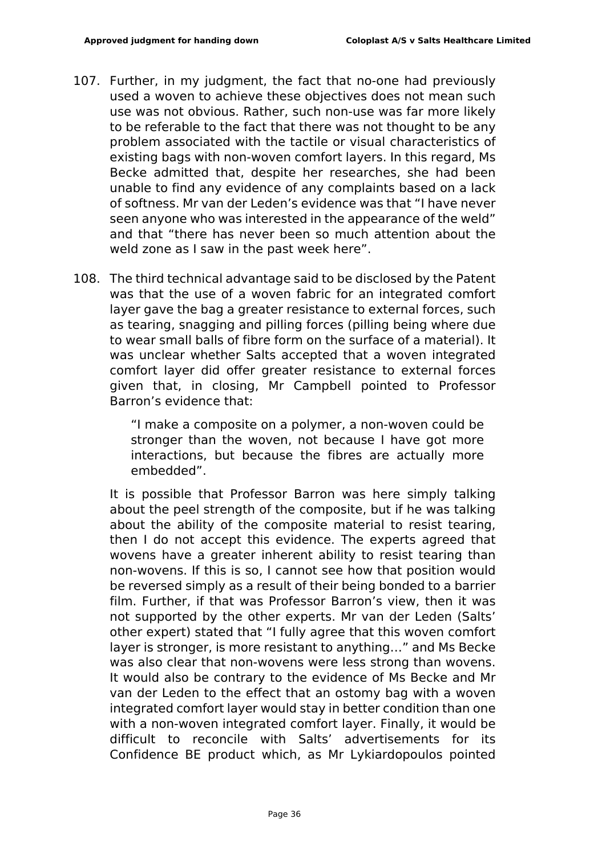- 107. Further, in my judgment, the fact that no-one had previously used a woven to achieve these objectives does not mean such use was not obvious. Rather, such non-use was far more likely to be referable to the fact that there was not thought to be any problem associated with the tactile or visual characteristics of existing bags with non-woven comfort layers. In this regard, Ms Becke admitted that, despite her researches, she had been unable to find any evidence of any complaints based on a lack of softness. Mr van der Leden's evidence was that "I have never seen anyone who was interested in the appearance of the weld" and that "there has never been so much attention about the weld zone as I saw in the past week here".
- 108. The third technical advantage said to be disclosed by the Patent was that the use of a woven fabric for an integrated comfort layer gave the bag a greater resistance to external forces, such as tearing, snagging and pilling forces (pilling being where due to wear small balls of fibre form on the surface of a material). It was unclear whether Salts accepted that a woven integrated comfort layer did offer greater resistance to external forces given that, in closing, Mr Campbell pointed to Professor Barron's evidence that:

"I make a composite on a polymer, a non-woven could be stronger than the woven, not because I have got more interactions, but because the fibres are actually more embedded".

It is possible that Professor Barron was here simply talking about the peel strength of the composite, but if he was talking about the ability of the composite material to resist tearing, then I do not accept this evidence. The experts agreed that wovens have a greater inherent ability to resist tearing than non-wovens. If this is so, I cannot see how that position would be reversed simply as a result of their being bonded to a barrier film. Further, if that was Professor Barron's view, then it was not supported by the other experts. Mr van der Leden (Salts' other expert) stated that "I fully agree that this woven comfort layer is stronger, is more resistant to anything…" and Ms Becke was also clear that non-wovens were less strong than wovens. It would also be contrary to the evidence of Ms Becke and Mr van der Leden to the effect that an ostomy bag with a woven integrated comfort layer would stay in better condition than one with a non-woven integrated comfort layer. Finally, it would be difficult to reconcile with Salts' advertisements for its Confidence BE product which, as Mr Lykiardopoulos pointed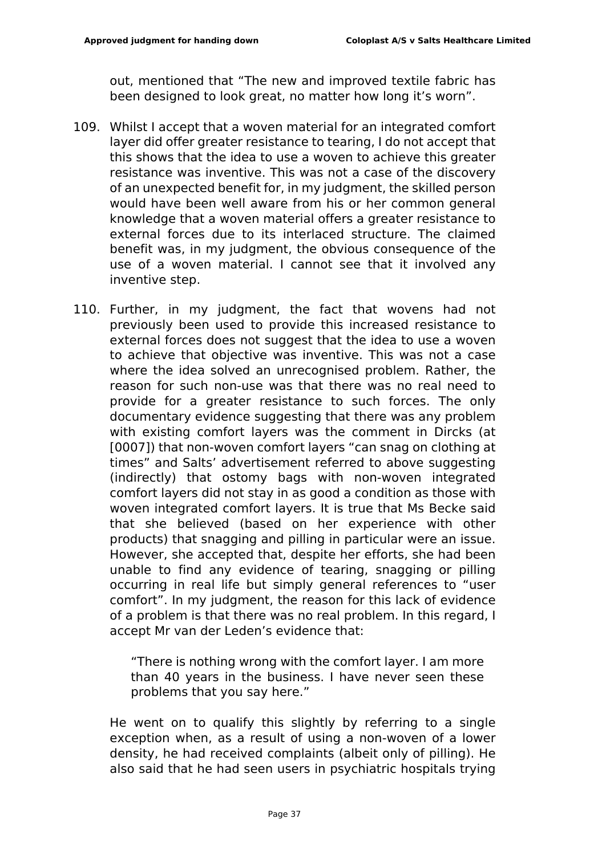out, mentioned that "The new and improved textile fabric has been designed to look great, no matter how long it's worn".

- 109. Whilst I accept that a woven material for an integrated comfort layer did offer greater resistance to tearing, I do not accept that this shows that the idea to use a woven to achieve this greater resistance was inventive. This was not a case of the discovery of an unexpected benefit for, in my judgment, the skilled person would have been well aware from his or her common general knowledge that a woven material offers a greater resistance to external forces due to its interlaced structure. The claimed benefit was, in my judgment, the obvious consequence of the use of a woven material. I cannot see that it involved any inventive step.
- 110. Further, in my judgment, the fact that wovens had not previously been used to provide this increased resistance to external forces does not suggest that the idea to use a woven to achieve that objective was inventive. This was not a case where the idea solved an unrecognised problem. Rather, the reason for such non-use was that there was no real need to provide for a greater resistance to such forces. The only documentary evidence suggesting that there was any problem with existing comfort layers was the comment in Dircks (at [0007]) that non-woven comfort layers "can snag on clothing at times" and Salts' advertisement referred to above suggesting (indirectly) that ostomy bags with non-woven integrated comfort layers did not stay in as good a condition as those with woven integrated comfort layers. It is true that Ms Becke said that she believed (based on her experience with other products) that snagging and pilling in particular were an issue. However, she accepted that, despite her efforts, she had been unable to find any evidence of tearing, snagging or pilling occurring in real life but simply general references to "user comfort". In my judgment, the reason for this lack of evidence of a problem is that there was no real problem. In this regard, I accept Mr van der Leden's evidence that:

"There is nothing wrong with the comfort layer. I am more than 40 years in the business. I have never seen these problems that you say here."

He went on to qualify this slightly by referring to a single exception when, as a result of using a non-woven of a lower density, he had received complaints (albeit only of pilling). He also said that he had seen users in psychiatric hospitals trying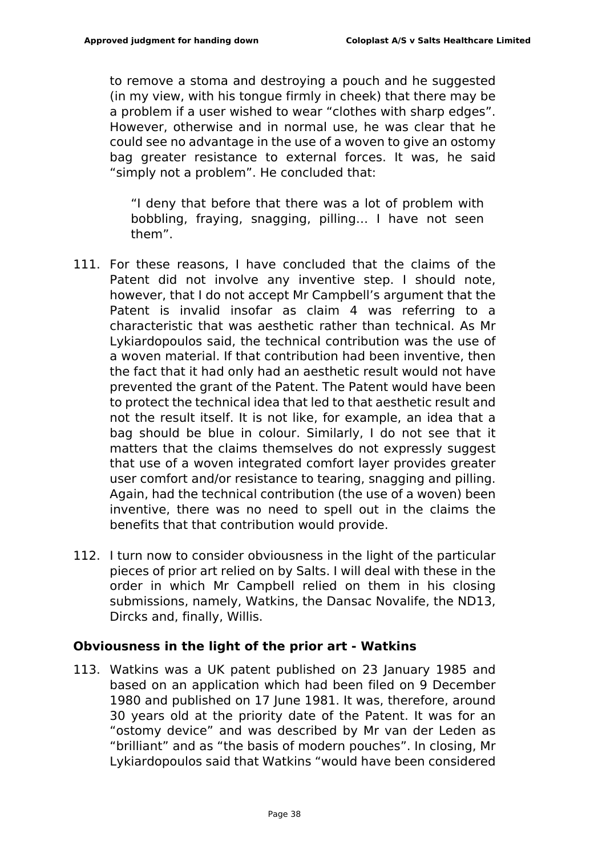to remove a stoma and destroying a pouch and he suggested (in my view, with his tongue firmly in cheek) that there may be a problem if a user wished to wear "clothes with sharp edges". However, otherwise and in normal use, he was clear that he could see no advantage in the use of a woven to give an ostomy bag greater resistance to external forces. It was, he said "simply not a problem". He concluded that:

"I deny that before that there was a lot of problem with bobbling, fraying, snagging, pilling… I have not seen them".

- 111. For these reasons, I have concluded that the claims of the Patent did not involve any inventive step. I should note, however, that I do not accept Mr Campbell's argument that the Patent is invalid insofar as claim 4 was referring to a characteristic that was aesthetic rather than technical. As Mr Lykiardopoulos said, the technical contribution was the use of a woven material. If that contribution had been inventive, then the fact that it had only had an aesthetic result would not have prevented the grant of the Patent. The Patent would have been to protect the technical idea that led to that aesthetic result and not the result itself. It is not like, for example, an idea that a bag should be blue in colour. Similarly, I do not see that it matters that the claims themselves do not expressly suggest that use of a woven integrated comfort layer provides greater user comfort and/or resistance to tearing, snagging and pilling. Again, had the technical contribution (the use of a woven) been inventive, there was no need to spell out in the claims the benefits that that contribution would provide.
- 112. I turn now to consider obviousness in the light of the particular pieces of prior art relied on by Salts. I will deal with these in the order in which Mr Campbell relied on them in his closing submissions, namely, Watkins, the Dansac Novalife, the ND13, Dircks and, finally, Willis.

## **Obviousness in the light of the prior art - Watkins**

113. Watkins was a UK patent published on 23 January 1985 and based on an application which had been filed on 9 December 1980 and published on 17 June 1981. It was, therefore, around 30 years old at the priority date of the Patent. It was for an "ostomy device" and was described by Mr van der Leden as "brilliant" and as "the basis of modern pouches". In closing, Mr Lykiardopoulos said that Watkins "would have been considered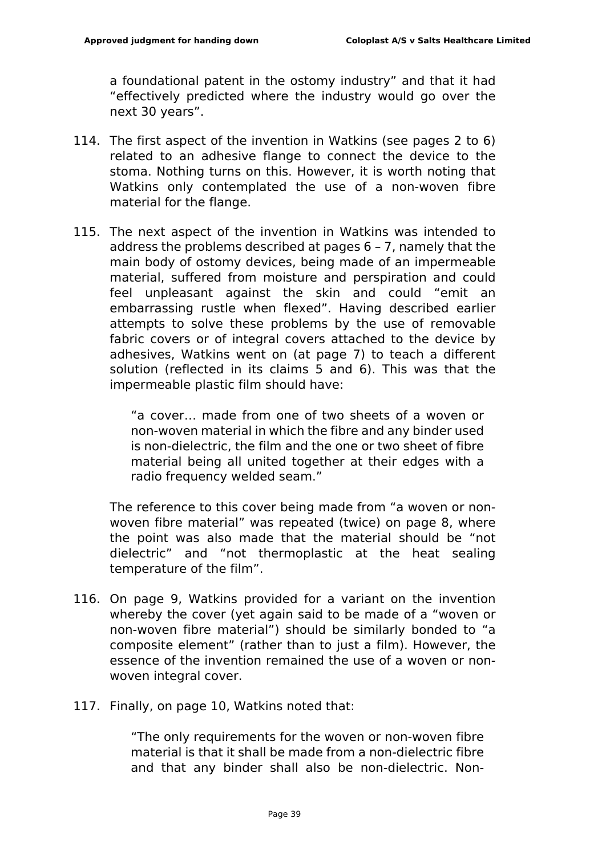a foundational patent in the ostomy industry" and that it had "effectively predicted where the industry would go over the next 30 years".

- 114. The first aspect of the invention in Watkins (see pages 2 to 6) related to an adhesive flange to connect the device to the stoma. Nothing turns on this. However, it is worth noting that Watkins only contemplated the use of a non-woven fibre material for the flange.
- 115. The next aspect of the invention in Watkins was intended to address the problems described at pages 6 – 7, namely that the main body of ostomy devices, being made of an impermeable material, suffered from moisture and perspiration and could feel unpleasant against the skin and could "emit an embarrassing rustle when flexed". Having described earlier attempts to solve these problems by the use of removable fabric covers or of integral covers attached to the device by adhesives, Watkins went on (at page 7) to teach a different solution (reflected in its claims 5 and 6). This was that the impermeable plastic film should have:

"a cover… made from one of two sheets of a woven or non-woven material in which the fibre and any binder used is non-dielectric, the film and the one or two sheet of fibre material being all united together at their edges with a radio frequency welded seam."

The reference to this cover being made from "a woven or nonwoven fibre material" was repeated (twice) on page 8, where the point was also made that the material should be "not dielectric" and "not thermoplastic at the heat sealing temperature of the film".

- 116. On page 9, Watkins provided for a variant on the invention whereby the cover (yet again said to be made of a "woven or non-woven fibre material") should be similarly bonded to "a composite element" (rather than to just a film). However, the essence of the invention remained the use of a woven or nonwoven integral cover.
- 117. Finally, on page 10, Watkins noted that:

"The only requirements for the woven or non-woven fibre material is that it shall be made from a non-dielectric fibre and that any binder shall also be non-dielectric. Non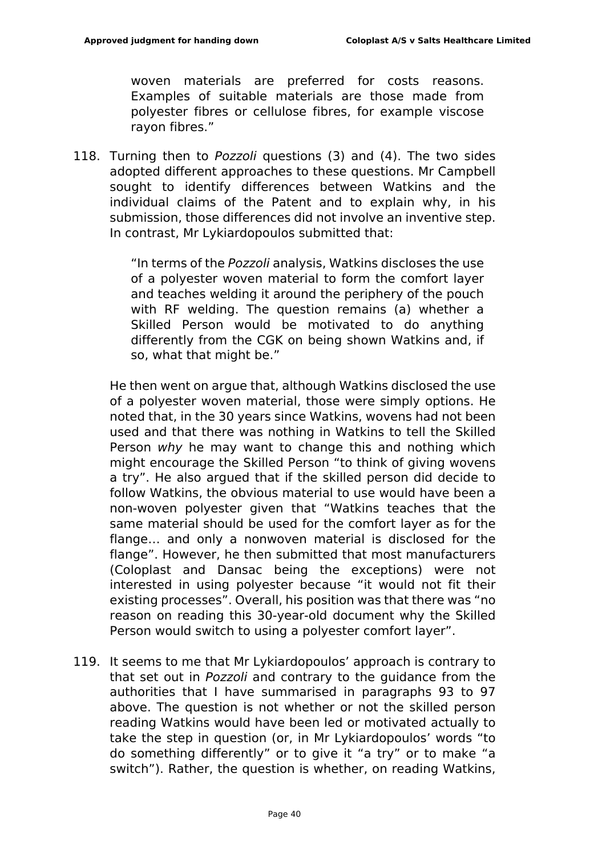woven materials are preferred for costs reasons. Examples of suitable materials are those made from polyester fibres or cellulose fibres, for example viscose rayon fibres."

118. Turning then to *Pozzoli* questions (3) and (4). The two sides adopted different approaches to these questions. Mr Campbell sought to identify differences between Watkins and the individual claims of the Patent and to explain why, in his submission, those differences did not involve an inventive step. In contrast, Mr Lykiardopoulos submitted that:

> "In terms of the *Pozzoli* analysis, Watkins discloses the use of a polyester woven material to form the comfort layer and teaches welding it around the periphery of the pouch with RF welding. The question remains (a) whether a Skilled Person would be motivated to do anything differently from the CGK on being shown Watkins and, if so, what that might be."

He then went on argue that, although Watkins disclosed the use of a polyester woven material, those were simply options. He noted that, in the 30 years since Watkins, wovens had not been used and that there was nothing in Watkins to tell the Skilled Person *why* he may want to change this and nothing which might encourage the Skilled Person "to think of giving wovens a try". He also argued that if the skilled person did decide to follow Watkins, the obvious material to use would have been a non-woven polyester given that "Watkins teaches that the same material should be used for the comfort layer as for the flange… and only a nonwoven material is disclosed for the flange". However, he then submitted that most manufacturers (Coloplast and Dansac being the exceptions) were not interested in using polyester because "it would not fit their existing processes". Overall, his position was that there was "no reason on reading this 30-year-old document why the Skilled Person would switch to using a polyester comfort layer".

119. It seems to me that Mr Lykiardopoulos' approach is contrary to that set out in *Pozzoli* and contrary to the guidance from the authorities that I have summarised in paragraphs 93 to 97 above. The question is not whether or not the skilled person reading Watkins would have been led or motivated actually to take the step in question (or, in Mr Lykiardopoulos' words "to do something differently" or to give it "a try" or to make "a switch"). Rather, the question is whether, on reading Watkins,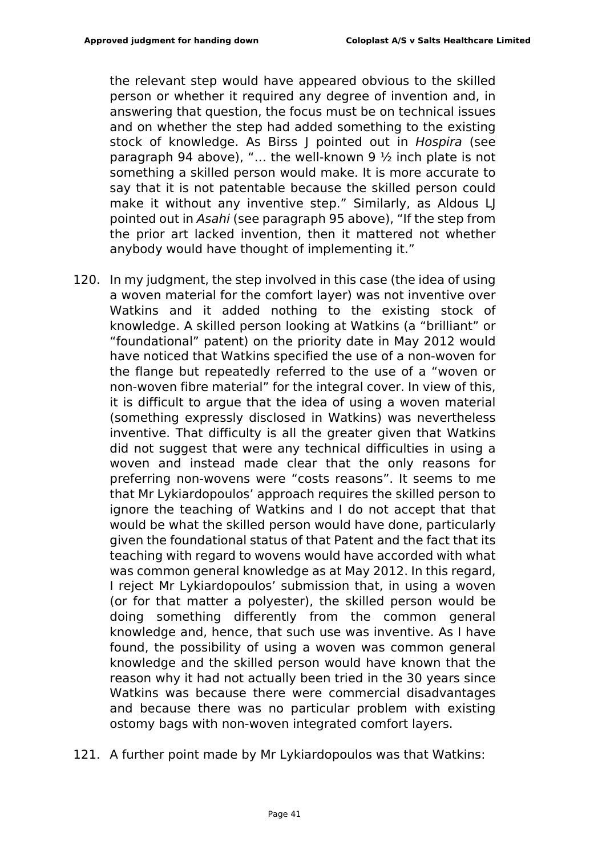the relevant step would have appeared obvious to the skilled person or whether it required any degree of invention and, in answering that question, the focus must be on technical issues and on whether the step had added something to the existing stock of knowledge. As Birss J pointed out in *Hospira* (see paragraph 94 above), "… the well-known 9 ½ inch plate is not something a skilled person would make. It is more accurate to say that it is not patentable because the skilled person could make it without any inventive step." Similarly, as Aldous LJ pointed out in *Asahi* (see paragraph 95 above), "If the step from the prior art lacked invention, then it mattered not whether anybody would have thought of implementing it."

- 120. In my judgment, the step involved in this case (the idea of using a woven material for the comfort layer) was not inventive over Watkins and it added nothing to the existing stock of knowledge. A skilled person looking at Watkins (a "brilliant" or "foundational" patent) on the priority date in May 2012 would have noticed that Watkins specified the use of a non-woven for the flange but repeatedly referred to the use of a "woven or non-woven fibre material" for the integral cover. In view of this, it is difficult to argue that the idea of using a woven material (something expressly disclosed in Watkins) was nevertheless inventive. That difficulty is all the greater given that Watkins did not suggest that were any technical difficulties in using a woven and instead made clear that the only reasons for preferring non-wovens were "costs reasons". It seems to me that Mr Lykiardopoulos' approach requires the skilled person to ignore the teaching of Watkins and I do not accept that that would be what the skilled person would have done, particularly given the foundational status of that Patent and the fact that its teaching with regard to wovens would have accorded with what was common general knowledge as at May 2012. In this regard, I reject Mr Lykiardopoulos' submission that, in using a woven (or for that matter a polyester), the skilled person would be doing something differently from the common general knowledge and, hence, that such use was inventive. As I have found, the possibility of using a woven was common general knowledge and the skilled person would have known that the reason why it had not actually been tried in the 30 years since Watkins was because there were commercial disadvantages and because there was no particular problem with existing ostomy bags with non-woven integrated comfort layers.
- 121. A further point made by Mr Lykiardopoulos was that Watkins: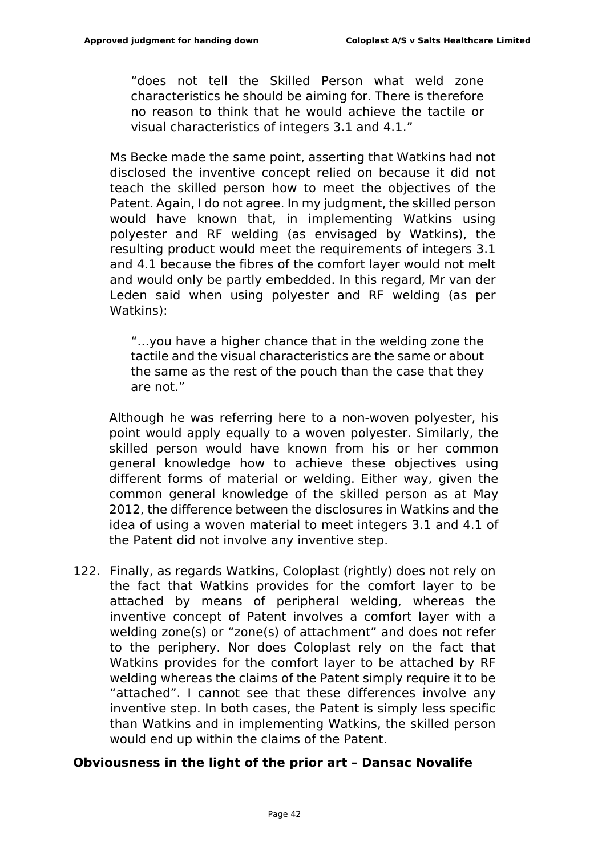"does not tell the Skilled Person what weld zone characteristics he should be aiming for. There is therefore no reason to think that he would achieve the tactile or visual characteristics of integers 3.1 and 4.1."

Ms Becke made the same point, asserting that Watkins had not disclosed the inventive concept relied on because it did not teach the skilled person how to meet the objectives of the Patent. Again, I do not agree. In my judgment, the skilled person would have known that, in implementing Watkins using polyester and RF welding (as envisaged by Watkins), the resulting product would meet the requirements of integers 3.1 and 4.1 because the fibres of the comfort layer would not melt and would only be partly embedded. In this regard, Mr van der Leden said when using polyester and RF welding (as per Watkins):

"…you have a higher chance that in the welding zone the tactile and the visual characteristics are the same or about the same as the rest of the pouch than the case that they are not."

Although he was referring here to a non-woven polyester, his point would apply equally to a woven polyester. Similarly, the skilled person would have known from his or her common general knowledge how to achieve these objectives using different forms of material or welding. Either way, given the common general knowledge of the skilled person as at May 2012, the difference between the disclosures in Watkins and the idea of using a woven material to meet integers 3.1 and 4.1 of the Patent did not involve any inventive step.

122. Finally, as regards Watkins, Coloplast (rightly) does not rely on the fact that Watkins provides for the comfort layer to be attached by means of peripheral welding, whereas the inventive concept of Patent involves a comfort layer with a welding zone(s) or "zone(s) of attachment" and does not refer to the periphery. Nor does Coloplast rely on the fact that Watkins provides for the comfort layer to be attached by RF welding whereas the claims of the Patent simply require it to be "attached". I cannot see that these differences involve any inventive step. In both cases, the Patent is simply less specific than Watkins and in implementing Watkins, the skilled person would end up within the claims of the Patent.

## **Obviousness in the light of the prior art – Dansac Novalife**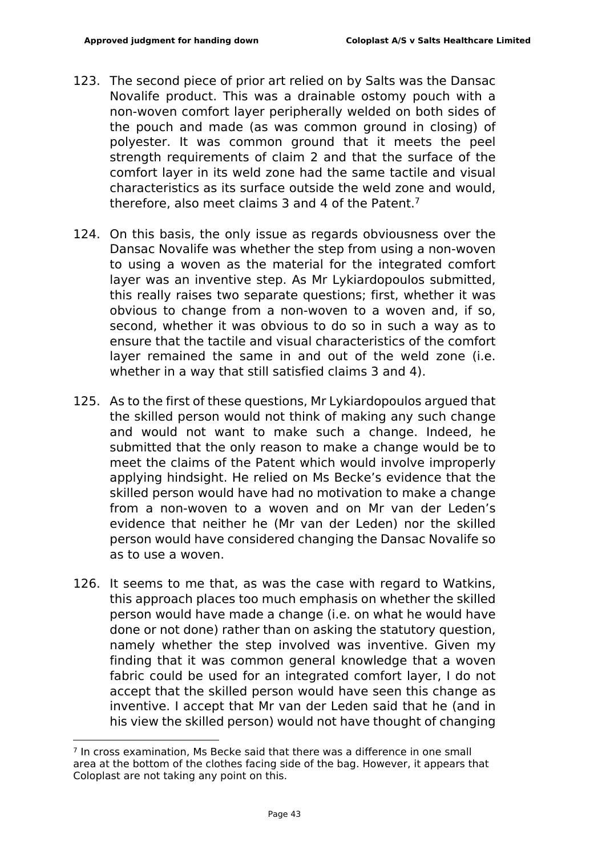- 123. The second piece of prior art relied on by Salts was the Dansac Novalife product. This was a drainable ostomy pouch with a non-woven comfort layer peripherally welded on both sides of the pouch and made (as was common ground in closing) of polyester. It was common ground that it meets the peel strength requirements of claim 2 and that the surface of the comfort layer in its weld zone had the same tactile and visual characteristics as its surface outside the weld zone and would, therefore, also meet claims 3 and 4 of the Patent.<sup>7</sup>
- 124. On this basis, the only issue as regards obviousness over the Dansac Novalife was whether the step from using a non-woven to using a woven as the material for the integrated comfort layer was an inventive step. As Mr Lykiardopoulos submitted, this really raises two separate questions; first, whether it was obvious to change from a non-woven to a woven and, if so, second, whether it was obvious to do so in such a way as to ensure that the tactile and visual characteristics of the comfort layer remained the same in and out of the weld zone (i.e. whether in a way that still satisfied claims 3 and 4).
- 125. As to the first of these questions, Mr Lykiardopoulos argued that the skilled person would not think of making any such change and would not want to make such a change. Indeed, he submitted that the only reason to make a change would be to meet the claims of the Patent which would involve improperly applying hindsight. He relied on Ms Becke's evidence that the skilled person would have had no motivation to make a change from a non-woven to a woven and on Mr van der Leden's evidence that neither he (Mr van der Leden) nor the skilled person would have considered changing the Dansac Novalife so as to use a woven.
- 126. It seems to me that, as was the case with regard to Watkins, this approach places too much emphasis on whether the skilled person would have made a change (i.e. on what he would have done or not done) rather than on asking the statutory question, namely whether the step involved was inventive. Given my finding that it was common general knowledge that a woven fabric could be used for an integrated comfort layer, I do not accept that the skilled person would have seen this change as inventive. I accept that Mr van der Leden said that he (and in his view the skilled person) would not have thought of changing

 $<sup>7</sup>$  In cross examination. Ms Becke said that there was a difference in one small</sup> area at the bottom of the clothes facing side of the bag. However, it appears that Coloplast are not taking any point on this.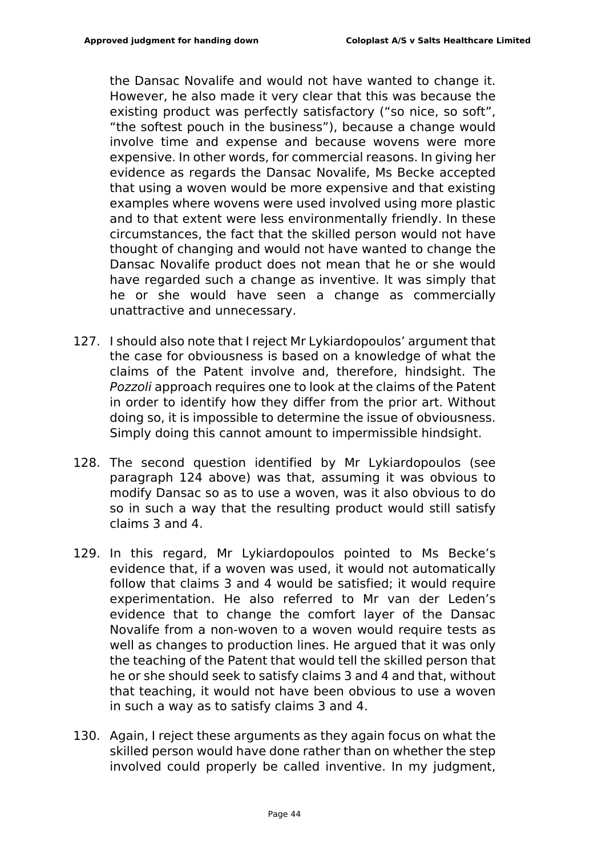the Dansac Novalife and would not have wanted to change it. However, he also made it very clear that this was because the existing product was perfectly satisfactory ("so nice, so soft", "the softest pouch in the business"), because a change would involve time and expense and because wovens were more expensive. In other words, for commercial reasons. In giving her evidence as regards the Dansac Novalife, Ms Becke accepted that using a woven would be more expensive and that existing examples where wovens were used involved using more plastic and to that extent were less environmentally friendly. In these circumstances, the fact that the skilled person would not have thought of changing and would not have wanted to change the Dansac Novalife product does not mean that he or she would have regarded such a change as inventive. It was simply that he or she would have seen a change as commercially unattractive and unnecessary.

- 127. I should also note that I reject Mr Lykiardopoulos' argument that the case for obviousness is based on a knowledge of what the claims of the Patent involve and, therefore, hindsight. The *Pozzoli* approach requires one to look at the claims of the Patent in order to identify how they differ from the prior art. Without doing so, it is impossible to determine the issue of obviousness. Simply doing this cannot amount to impermissible hindsight.
- 128. The second question identified by Mr Lykiardopoulos (see paragraph 124 above) was that, assuming it was obvious to modify Dansac so as to use a woven, was it also obvious to do so in such a way that the resulting product would still satisfy claims 3 and 4.
- 129. In this regard, Mr Lykiardopoulos pointed to Ms Becke's evidence that, if a woven was used, it would not automatically follow that claims 3 and 4 would be satisfied; it would require experimentation. He also referred to Mr van der Leden's evidence that to change the comfort layer of the Dansac Novalife from a non-woven to a woven would require tests as well as changes to production lines. He argued that it was only the teaching of the Patent that would tell the skilled person that he or she should seek to satisfy claims 3 and 4 and that, without that teaching, it would not have been obvious to use a woven in such a way as to satisfy claims 3 and 4.
- 130. Again, I reject these arguments as they again focus on what the skilled person would have done rather than on whether the step involved could properly be called inventive. In my judgment,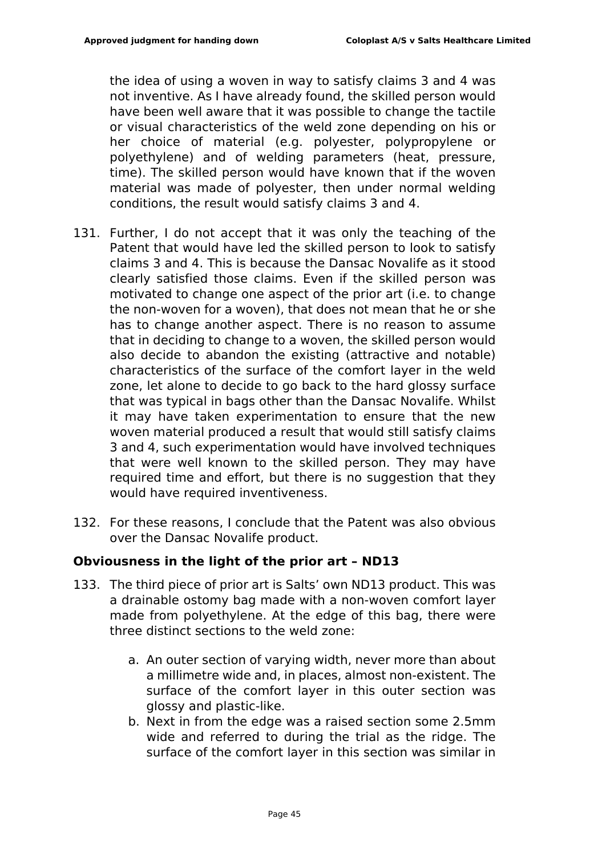the idea of using a woven in way to satisfy claims 3 and 4 was not inventive. As I have already found, the skilled person would have been well aware that it was possible to change the tactile or visual characteristics of the weld zone depending on his or her choice of material (e.g. polyester, polypropylene or polyethylene) and of welding parameters (heat, pressure, time). The skilled person would have known that if the woven material was made of polyester, then under normal welding conditions, the result would satisfy claims 3 and 4.

- 131. Further, I do not accept that it was only the teaching of the Patent that would have led the skilled person to look to satisfy claims 3 and 4. This is because the Dansac Novalife as it stood clearly satisfied those claims. Even if the skilled person was motivated to change one aspect of the prior art (i.e. to change the non-woven for a woven), that does not mean that he or she has to change another aspect. There is no reason to assume that in deciding to change to a woven, the skilled person would also decide to abandon the existing (attractive and notable) characteristics of the surface of the comfort layer in the weld zone, let alone to decide to go back to the hard glossy surface that was typical in bags other than the Dansac Novalife. Whilst it may have taken experimentation to ensure that the new woven material produced a result that would still satisfy claims 3 and 4, such experimentation would have involved techniques that were well known to the skilled person. They may have required time and effort, but there is no suggestion that they would have required inventiveness.
- 132. For these reasons, I conclude that the Patent was also obvious over the Dansac Novalife product.

## **Obviousness in the light of the prior art – ND13**

- 133. The third piece of prior art is Salts' own ND13 product. This was a drainable ostomy bag made with a non-woven comfort layer made from polyethylene. At the edge of this bag, there were three distinct sections to the weld zone:
	- a. An outer section of varying width, never more than about a millimetre wide and, in places, almost non-existent. The surface of the comfort layer in this outer section was glossy and plastic-like.
	- b. Next in from the edge was a raised section some 2.5mm wide and referred to during the trial as the ridge. The surface of the comfort layer in this section was similar in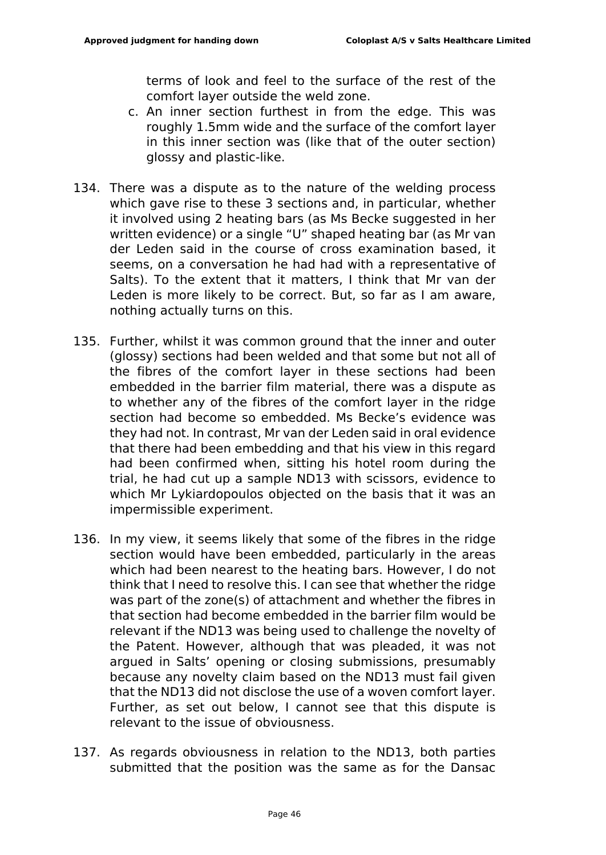terms of look and feel to the surface of the rest of the comfort layer outside the weld zone.

- c. An inner section furthest in from the edge. This was roughly 1.5mm wide and the surface of the comfort layer in this inner section was (like that of the outer section) glossy and plastic-like.
- 134. There was a dispute as to the nature of the welding process which gave rise to these 3 sections and, in particular, whether it involved using 2 heating bars (as Ms Becke suggested in her written evidence) or a single "U" shaped heating bar (as Mr van der Leden said in the course of cross examination based, it seems, on a conversation he had had with a representative of Salts). To the extent that it matters, I think that Mr van der Leden is more likely to be correct. But, so far as I am aware, nothing actually turns on this.
- 135. Further, whilst it was common ground that the inner and outer (glossy) sections had been welded and that some but not all of the fibres of the comfort layer in these sections had been embedded in the barrier film material, there was a dispute as to whether any of the fibres of the comfort layer in the ridge section had become so embedded. Ms Becke's evidence was they had not. In contrast, Mr van der Leden said in oral evidence that there had been embedding and that his view in this regard had been confirmed when, sitting his hotel room during the trial, he had cut up a sample ND13 with scissors, evidence to which Mr Lykiardopoulos objected on the basis that it was an impermissible experiment.
- 136. In my view, it seems likely that some of the fibres in the ridge section would have been embedded, particularly in the areas which had been nearest to the heating bars. However, I do not think that I need to resolve this. I can see that whether the ridge was part of the zone(s) of attachment and whether the fibres in that section had become embedded in the barrier film would be relevant if the ND13 was being used to challenge the novelty of the Patent. However, although that was pleaded, it was not argued in Salts' opening or closing submissions, presumably because any novelty claim based on the ND13 must fail given that the ND13 did not disclose the use of a woven comfort layer. Further, as set out below, I cannot see that this dispute is relevant to the issue of obviousness.
- 137. As regards obviousness in relation to the ND13, both parties submitted that the position was the same as for the Dansac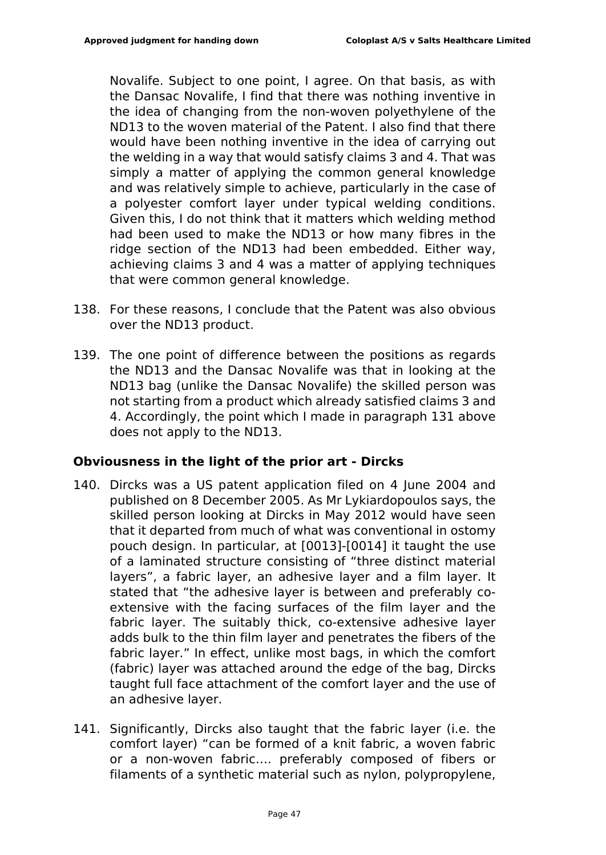Novalife. Subject to one point, I agree. On that basis, as with the Dansac Novalife, I find that there was nothing inventive in the idea of changing from the non-woven polyethylene of the ND13 to the woven material of the Patent. I also find that there would have been nothing inventive in the idea of carrying out the welding in a way that would satisfy claims 3 and 4. That was simply a matter of applying the common general knowledge and was relatively simple to achieve, particularly in the case of a polyester comfort layer under typical welding conditions. Given this, I do not think that it matters which welding method had been used to make the ND13 or how many fibres in the ridge section of the ND13 had been embedded. Either way, achieving claims 3 and 4 was a matter of applying techniques that were common general knowledge.

- 138. For these reasons, I conclude that the Patent was also obvious over the ND13 product.
- 139. The one point of difference between the positions as regards the ND13 and the Dansac Novalife was that in looking at the ND13 bag (unlike the Dansac Novalife) the skilled person was not starting from a product which already satisfied claims 3 and 4. Accordingly, the point which I made in paragraph 131 above does not apply to the ND13.

## **Obviousness in the light of the prior art - Dircks**

- 140. Dircks was a US patent application filed on 4 June 2004 and published on 8 December 2005. As Mr Lykiardopoulos says, the skilled person looking at Dircks in May 2012 would have seen that it departed from much of what was conventional in ostomy pouch design. In particular, at [0013]-[0014] it taught the use of a laminated structure consisting of "three distinct material layers", a fabric layer, an adhesive layer and a film layer. It stated that "the adhesive layer is between and preferably coextensive with the facing surfaces of the film layer and the fabric layer. The suitably thick, co-extensive adhesive layer adds bulk to the thin film layer and penetrates the fibers of the fabric layer." In effect, unlike most bags, in which the comfort (fabric) layer was attached around the edge of the bag, Dircks taught full face attachment of the comfort layer and the use of an adhesive layer.
- 141. Significantly, Dircks also taught that the fabric layer (i.e. the comfort layer) "can be formed of a knit fabric, a woven fabric or a non-woven fabric…. preferably composed of fibers or filaments of a synthetic material such as nylon, polypropylene,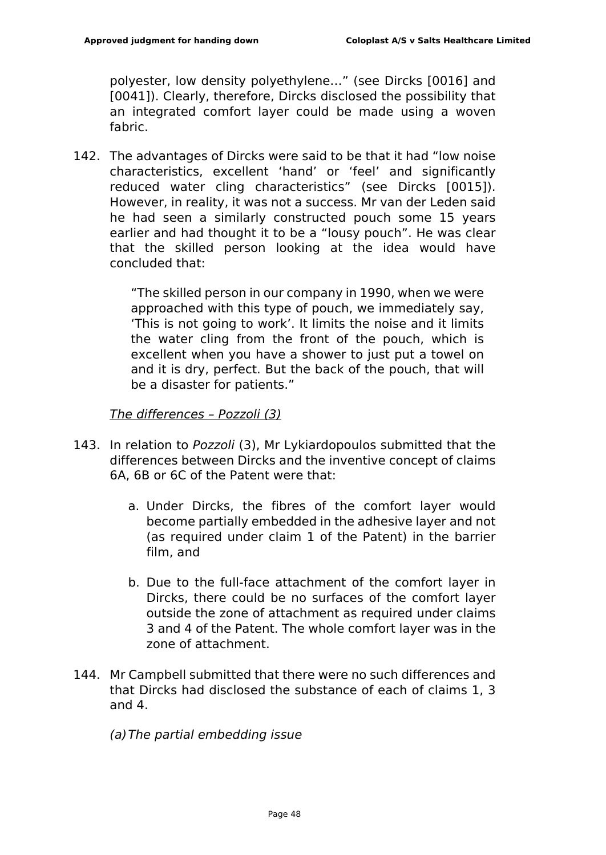polyester, low density polyethylene…" (see Dircks [0016] and [0041]). Clearly, therefore, Dircks disclosed the possibility that an integrated comfort layer could be made using a woven fabric.

142. The advantages of Dircks were said to be that it had "low noise characteristics, excellent 'hand' or 'feel' and significantly reduced water cling characteristics" (see Dircks [0015]). However, in reality, it was not a success. Mr van der Leden said he had seen a similarly constructed pouch some 15 years earlier and had thought it to be a "lousy pouch". He was clear that the skilled person looking at the idea would have concluded that:

> "The skilled person in our company in 1990, when we were approached with this type of pouch, we immediately say, 'This is not going to work'. It limits the noise and it limits the water cling from the front of the pouch, which is excellent when you have a shower to just put a towel on and it is dry, perfect. But the back of the pouch, that will be a disaster for patients."

#### *The differences – Pozzoli (3)*

- 143. In relation to *Pozzoli* (3), Mr Lykiardopoulos submitted that the differences between Dircks and the inventive concept of claims 6A, 6B or 6C of the Patent were that:
	- a. Under Dircks, the fibres of the comfort layer would become partially embedded in the adhesive layer and not (as required under claim 1 of the Patent) in the barrier film, and
	- b. Due to the full-face attachment of the comfort layer in Dircks, there could be no surfaces of the comfort layer outside the zone of attachment as required under claims 3 and 4 of the Patent. The whole comfort layer was in the zone of attachment.
- 144. Mr Campbell submitted that there were no such differences and that Dircks had disclosed the substance of each of claims 1, 3 and 4.
	- *(a)The partial embedding issue*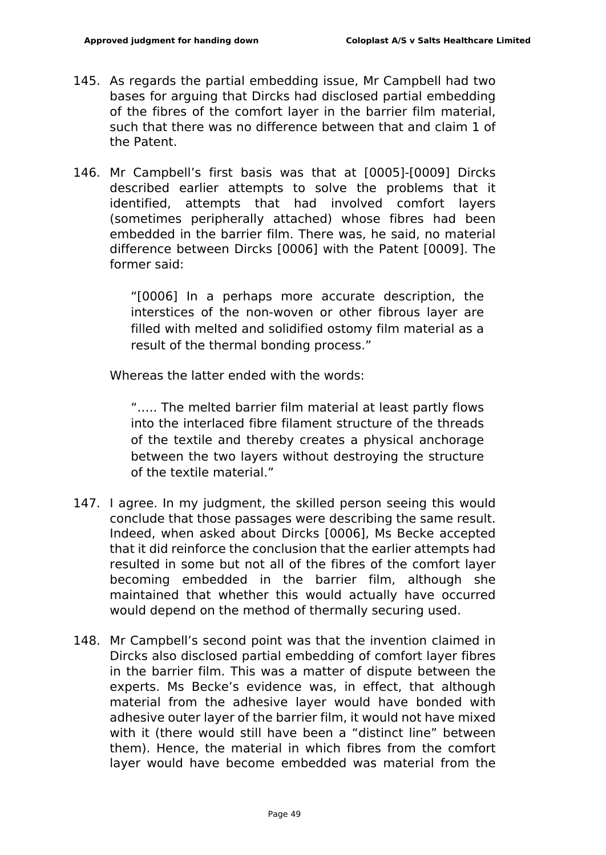- 145. As regards the partial embedding issue, Mr Campbell had two bases for arguing that Dircks had disclosed partial embedding of the fibres of the comfort layer in the barrier film material, such that there was no difference between that and claim 1 of the Patent.
- 146. Mr Campbell's first basis was that at [0005]-[0009] Dircks described earlier attempts to solve the problems that it identified, attempts that had involved comfort layers (sometimes peripherally attached) whose fibres had been embedded in the barrier film. There was, he said, no material difference between Dircks [0006] with the Patent [0009]. The former said:

"[0006] In a perhaps more accurate description, the interstices of the non-woven or other fibrous layer are filled with melted and solidified ostomy film material as a result of the thermal bonding process."

Whereas the latter ended with the words:

"….. The melted barrier film material at least partly flows into the interlaced fibre filament structure of the threads of the textile and thereby creates a physical anchorage between the two layers without destroying the structure of the textile material."

- 147. I agree. In my judgment, the skilled person seeing this would conclude that those passages were describing the same result. Indeed, when asked about Dircks [0006], Ms Becke accepted that it did reinforce the conclusion that the earlier attempts had resulted in some but not all of the fibres of the comfort layer becoming embedded in the barrier film, although she maintained that whether this would actually have occurred would depend on the method of thermally securing used.
- 148. Mr Campbell's second point was that the invention claimed in Dircks also disclosed partial embedding of comfort layer fibres in the barrier film. This was a matter of dispute between the experts. Ms Becke's evidence was, in effect, that although material from the adhesive layer would have bonded with adhesive outer layer of the barrier film, it would not have mixed with it (there would still have been a "distinct line" between them). Hence, the material in which fibres from the comfort layer would have become embedded was material from the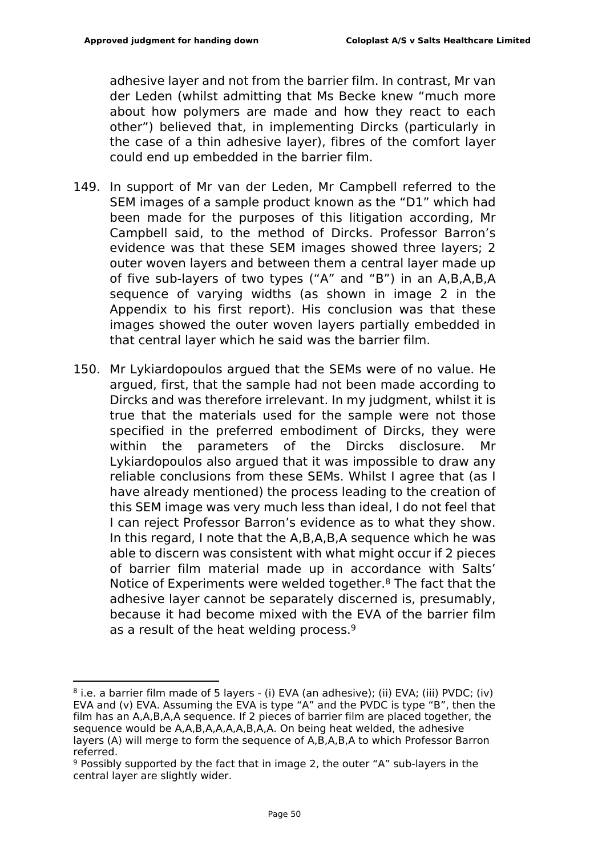adhesive layer and not from the barrier film. In contrast, Mr van der Leden (whilst admitting that Ms Becke knew "much more about how polymers are made and how they react to each other") believed that, in implementing Dircks (particularly in the case of a thin adhesive layer), fibres of the comfort layer could end up embedded in the barrier film.

- 149. In support of Mr van der Leden, Mr Campbell referred to the SEM images of a sample product known as the "D1" which had been made for the purposes of this litigation according, Mr Campbell said, to the method of Dircks. Professor Barron's evidence was that these SEM images showed three layers; 2 outer woven layers and between them a central layer made up of five sub-layers of two types ("A" and "B") in an A,B,A,B,A sequence of varying widths (as shown in image 2 in the Appendix to his first report). His conclusion was that these images showed the outer woven layers partially embedded in that central layer which he said was the barrier film.
- 150. Mr Lykiardopoulos argued that the SEMs were of no value. He argued, first, that the sample had not been made according to Dircks and was therefore irrelevant. In my judgment, whilst it is true that the materials used for the sample were not those specified in the preferred embodiment of Dircks, they were within the parameters of the Dircks disclosure. Mr Lykiardopoulos also argued that it was impossible to draw any reliable conclusions from these SEMs. Whilst I agree that (as I have already mentioned) the process leading to the creation of this SEM image was very much less than ideal, I do not feel that I can reject Professor Barron's evidence as to what they show. In this regard, I note that the A,B,A,B,A sequence which he was able to discern was consistent with what might occur if 2 pieces of barrier film material made up in accordance with Salts' Notice of Experiments were welded together.<sup>8</sup> The fact that the adhesive layer cannot be separately discerned is, presumably, because it had become mixed with the EVA of the barrier film as a result of the heat welding process.<sup>9</sup>

<sup>8</sup> i.e. a barrier film made of 5 layers - (i) EVA (an adhesive); (ii) EVA; (iii) PVDC; (iv) EVA and (v) EVA. Assuming the EVA is type "A" and the PVDC is type "B", then the film has an A,A,B,A,A sequence. If 2 pieces of barrier film are placed together, the sequence would be A,A,B,A,A,A,A,B,A,A. On being heat welded, the adhesive layers (A) will merge to form the sequence of A,B,A,B,A to which Professor Barron referred.

<sup>9</sup> Possibly supported by the fact that in image 2, the outer "A" sub-layers in the central layer are slightly wider.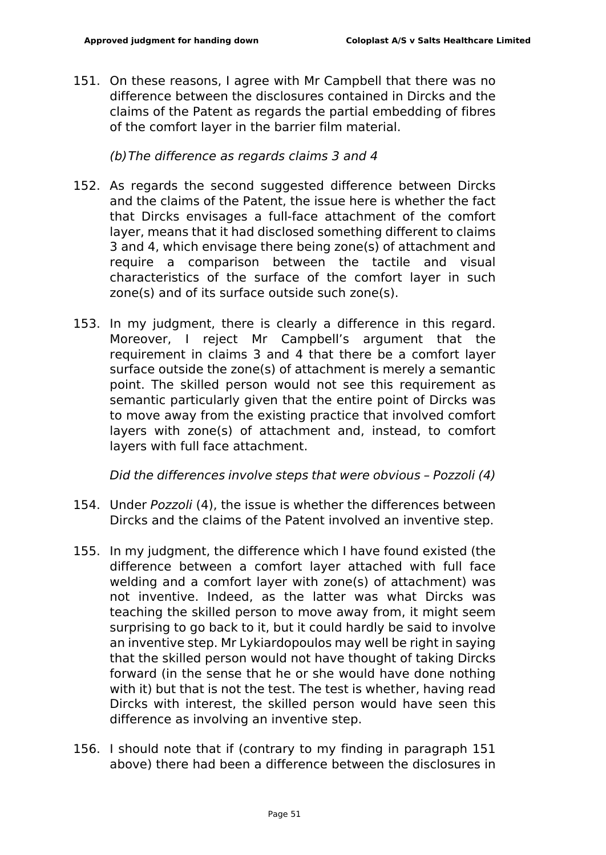151. On these reasons, I agree with Mr Campbell that there was no difference between the disclosures contained in Dircks and the claims of the Patent as regards the partial embedding of fibres of the comfort layer in the barrier film material.

*(b)The difference as regards claims 3 and 4*

- 152. As regards the second suggested difference between Dircks and the claims of the Patent, the issue here is whether the fact that Dircks envisages a full-face attachment of the comfort layer, means that it had disclosed something different to claims 3 and 4, which envisage there being zone(s) of attachment and require a comparison between the tactile and visual characteristics of the surface of the comfort layer in such zone(s) and of its surface outside such zone(s).
- 153. In my judgment, there is clearly a difference in this regard. Moreover, I reject Mr Campbell's argument that the requirement in claims 3 and 4 that there be a comfort layer surface outside the zone(s) of attachment is merely a semantic point. The skilled person would not see this requirement as semantic particularly given that the entire point of Dircks was to move away from the existing practice that involved comfort layers with zone(s) of attachment and, instead, to comfort layers with full face attachment.

*Did the differences involve steps that were obvious – Pozzoli (4)*

- 154. Under *Pozzoli* (4), the issue is whether the differences between Dircks and the claims of the Patent involved an inventive step.
- 155. In my judgment, the difference which I have found existed (the difference between a comfort layer attached with full face welding and a comfort layer with zone(s) of attachment) was not inventive. Indeed, as the latter was what Dircks was teaching the skilled person to move away from, it might seem surprising to go back to it, but it could hardly be said to involve an inventive step. Mr Lykiardopoulos may well be right in saying that the skilled person would not have thought of taking Dircks forward (in the sense that he or she would have done nothing with it) but that is not the test. The test is whether, having read Dircks with interest, the skilled person would have seen this difference as involving an inventive step.
- 156. I should note that if (contrary to my finding in paragraph 151 above) there had been a difference between the disclosures in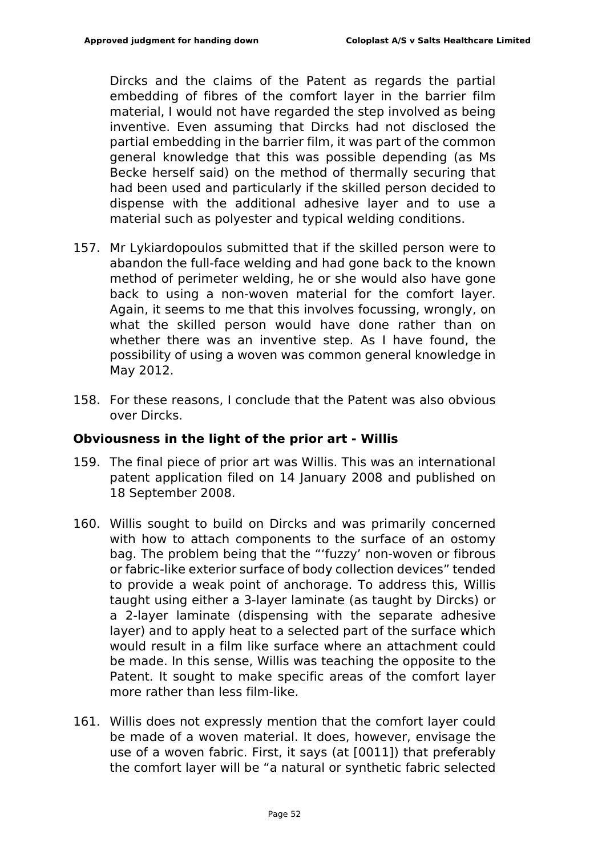Dircks and the claims of the Patent as regards the partial embedding of fibres of the comfort layer in the barrier film material, I would not have regarded the step involved as being inventive. Even assuming that Dircks had not disclosed the partial embedding in the barrier film, it was part of the common general knowledge that this was possible depending (as Ms Becke herself said) on the method of thermally securing that had been used and particularly if the skilled person decided to dispense with the additional adhesive layer and to use a material such as polyester and typical welding conditions.

- 157. Mr Lykiardopoulos submitted that if the skilled person were to abandon the full-face welding and had gone back to the known method of perimeter welding, he or she would also have gone back to using a non-woven material for the comfort layer. Again, it seems to me that this involves focussing, wrongly, on what the skilled person would have done rather than on whether there was an inventive step. As I have found, the possibility of using a woven was common general knowledge in May 2012.
- 158. For these reasons, I conclude that the Patent was also obvious over Dircks.

## **Obviousness in the light of the prior art - Willis**

- 159. The final piece of prior art was Willis. This was an international patent application filed on 14 January 2008 and published on 18 September 2008.
- 160. Willis sought to build on Dircks and was primarily concerned with how to attach components to the surface of an ostomy bag. The problem being that the "'fuzzy' non-woven or fibrous or fabric-like exterior surface of body collection devices" tended to provide a weak point of anchorage. To address this, Willis taught using either a 3-layer laminate (as taught by Dircks) or a 2-layer laminate (dispensing with the separate adhesive layer) and to apply heat to a selected part of the surface which would result in a film like surface where an attachment could be made. In this sense, Willis was teaching the opposite to the Patent. It sought to make specific areas of the comfort layer more rather than less film-like.
- 161. Willis does not expressly mention that the comfort layer could be made of a woven material. It does, however, envisage the use of a woven fabric. First, it says (at [0011]) that preferably the comfort layer will be "a natural or synthetic fabric selected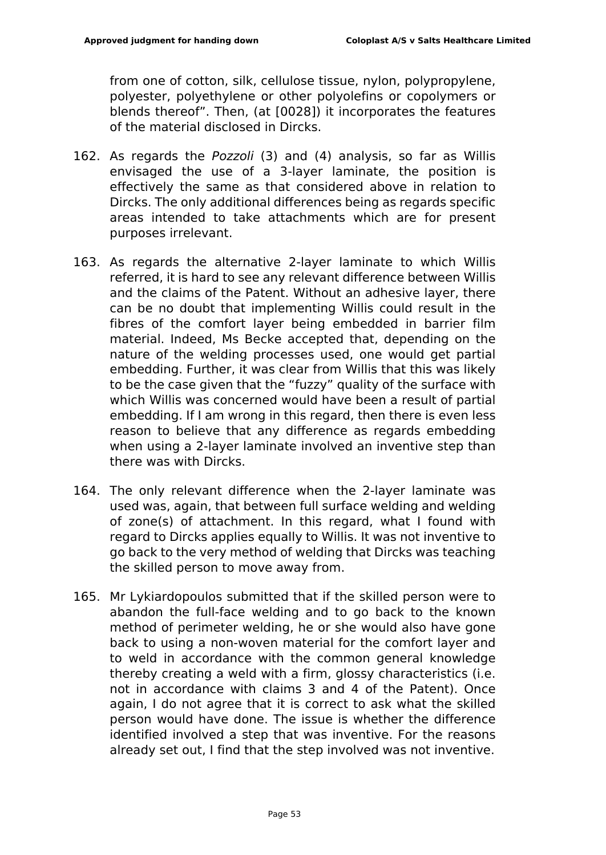from one of cotton, silk, cellulose tissue, nylon, polypropylene, polyester, polyethylene or other polyolefins or copolymers or blends thereof". Then, (at [0028]) it incorporates the features of the material disclosed in Dircks.

- 162. As regards the *Pozzoli* (3) and (4) analysis, so far as Willis envisaged the use of a 3-layer laminate, the position is effectively the same as that considered above in relation to Dircks. The only additional differences being as regards specific areas intended to take attachments which are for present purposes irrelevant.
- 163. As regards the alternative 2-layer laminate to which Willis referred, it is hard to see any relevant difference between Willis and the claims of the Patent. Without an adhesive layer, there can be no doubt that implementing Willis could result in the fibres of the comfort layer being embedded in barrier film material. Indeed, Ms Becke accepted that, depending on the nature of the welding processes used, one would get partial embedding. Further, it was clear from Willis that this was likely to be the case given that the "fuzzy" quality of the surface with which Willis was concerned would have been a result of partial embedding. If I am wrong in this regard, then there is even less reason to believe that any difference as regards embedding when using a 2-layer laminate involved an inventive step than there was with Dircks.
- 164. The only relevant difference when the 2-layer laminate was used was, again, that between full surface welding and welding of zone(s) of attachment. In this regard, what I found with regard to Dircks applies equally to Willis. It was not inventive to go back to the very method of welding that Dircks was teaching the skilled person to move away from.
- 165. Mr Lykiardopoulos submitted that if the skilled person were to abandon the full-face welding and to go back to the known method of perimeter welding, he or she would also have gone back to using a non-woven material for the comfort layer and to weld in accordance with the common general knowledge thereby creating a weld with a firm, glossy characteristics (i.e. not in accordance with claims 3 and 4 of the Patent). Once again, I do not agree that it is correct to ask what the skilled person would have done. The issue is whether the difference identified involved a step that was inventive. For the reasons already set out, I find that the step involved was not inventive.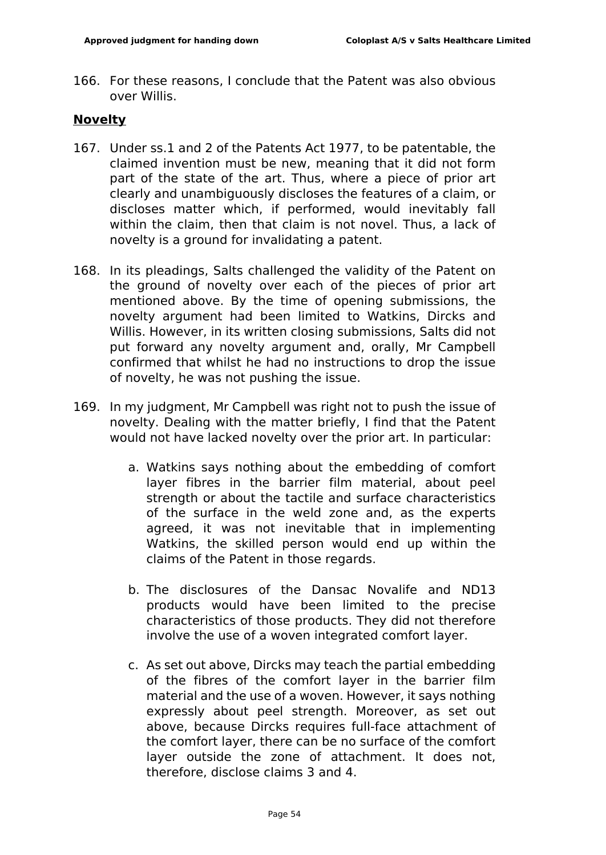166. For these reasons, I conclude that the Patent was also obvious over Willis.

## **Novelty**

- 167. Under ss.1 and 2 of the Patents Act 1977, to be patentable, the claimed invention must be new, meaning that it did not form part of the state of the art. Thus, where a piece of prior art clearly and unambiguously discloses the features of a claim, or discloses matter which, if performed, would inevitably fall within the claim, then that claim is not novel. Thus, a lack of novelty is a ground for invalidating a patent.
- 168. In its pleadings, Salts challenged the validity of the Patent on the ground of novelty over each of the pieces of prior art mentioned above. By the time of opening submissions, the novelty argument had been limited to Watkins, Dircks and Willis. However, in its written closing submissions, Salts did not put forward any novelty argument and, orally, Mr Campbell confirmed that whilst he had no instructions to drop the issue of novelty, he was not pushing the issue.
- 169. In my judgment, Mr Campbell was right not to push the issue of novelty. Dealing with the matter briefly, I find that the Patent would not have lacked novelty over the prior art. In particular:
	- a. Watkins says nothing about the embedding of comfort layer fibres in the barrier film material, about peel strength or about the tactile and surface characteristics of the surface in the weld zone and, as the experts agreed, it was not inevitable that in implementing Watkins, the skilled person would end up within the claims of the Patent in those regards.
	- b. The disclosures of the Dansac Novalife and ND13 products would have been limited to the precise characteristics of those products. They did not therefore involve the use of a woven integrated comfort layer.
	- c. As set out above, Dircks may teach the partial embedding of the fibres of the comfort layer in the barrier film material and the use of a woven. However, it says nothing expressly about peel strength. Moreover, as set out above, because Dircks requires full-face attachment of the comfort layer, there can be no surface of the comfort layer outside the zone of attachment. It does not, therefore, disclose claims 3 and 4.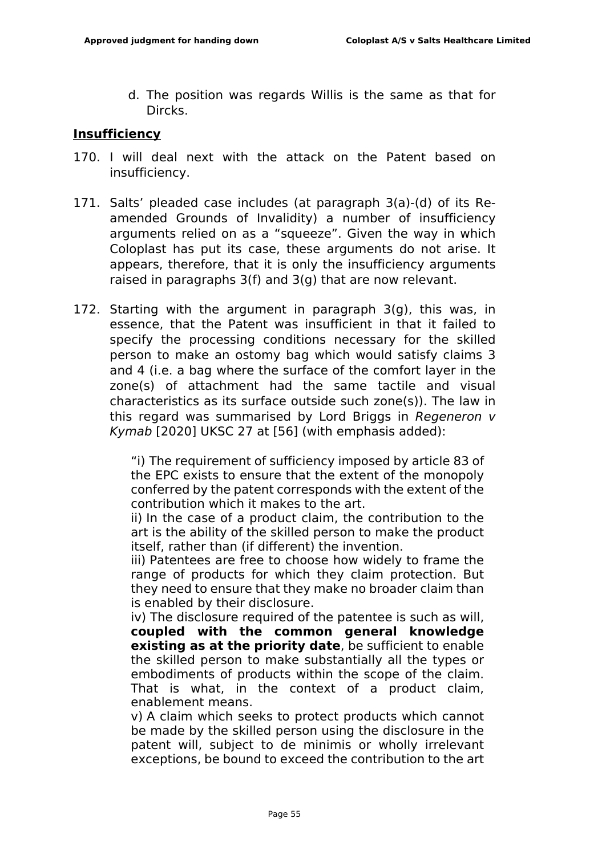d. The position was regards Willis is the same as that for Dircks.

#### **Insufficiency**

- 170. I will deal next with the attack on the Patent based on insufficiency.
- 171. Salts' pleaded case includes (at paragraph 3(a)-(d) of its Reamended Grounds of Invalidity) a number of insufficiency arguments relied on as a "squeeze". Given the way in which Coloplast has put its case, these arguments do not arise. It appears, therefore, that it is only the insufficiency arguments raised in paragraphs 3(f) and 3(g) that are now relevant.
- 172. Starting with the argument in paragraph 3(g), this was, in essence, that the Patent was insufficient in that it failed to specify the processing conditions necessary for the skilled person to make an ostomy bag which would satisfy claims 3 and 4 (i.e. a bag where the surface of the comfort layer in the zone(s) of attachment had the same tactile and visual characteristics as its surface outside such zone(s)). The law in this regard was summarised by Lord Briggs in *Regeneron v Kymab* [2020] UKSC 27 at [56] (with emphasis added):

"i) The requirement of sufficiency imposed by article 83 of the EPC exists to ensure that the extent of the monopoly conferred by the patent corresponds with the extent of the contribution which it makes to the art.

ii) In the case of a product claim, the contribution to the art is the ability of the skilled person to make the product itself, rather than (if different) the invention.

iii) Patentees are free to choose how widely to frame the range of products for which they claim protection. But they need to ensure that they make no broader claim than is enabled by their disclosure.

iv) The disclosure required of the patentee is such as will, **coupled with the common general knowledge existing as at the priority date**, be sufficient to enable the skilled person to make substantially all the types or embodiments of products within the scope of the claim. That is what, in the context of a product claim, enablement means.

v) A claim which seeks to protect products which cannot be made by the skilled person using the disclosure in the patent will, subject to de minimis or wholly irrelevant exceptions, be bound to exceed the contribution to the art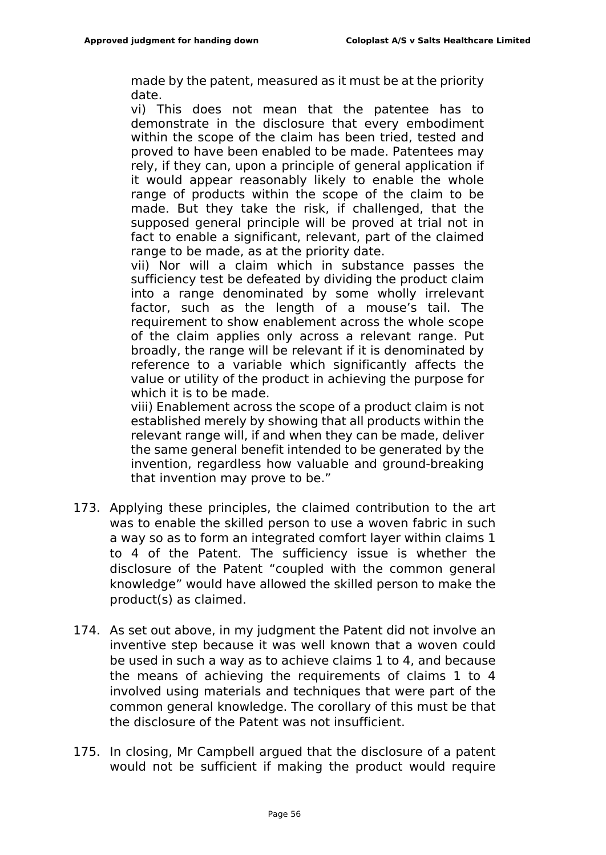made by the patent, measured as it must be at the priority date.

vi) This does not mean that the patentee has to demonstrate in the disclosure that every embodiment within the scope of the claim has been tried, tested and proved to have been enabled to be made. Patentees may rely, if they can, upon a principle of general application if it would appear reasonably likely to enable the whole range of products within the scope of the claim to be made. But they take the risk, if challenged, that the supposed general principle will be proved at trial not in fact to enable a significant, relevant, part of the claimed range to be made, as at the priority date.

vii) Nor will a claim which in substance passes the sufficiency test be defeated by dividing the product claim into a range denominated by some wholly irrelevant factor, such as the length of a mouse's tail. The requirement to show enablement across the whole scope of the claim applies only across a relevant range. Put broadly, the range will be relevant if it is denominated by reference to a variable which significantly affects the value or utility of the product in achieving the purpose for which it is to be made.

viii) Enablement across the scope of a product claim is not established merely by showing that all products within the relevant range will, if and when they can be made, deliver the same general benefit intended to be generated by the invention, regardless how valuable and ground-breaking that invention may prove to be."

- 173. Applying these principles, the claimed contribution to the art was to enable the skilled person to use a woven fabric in such a way so as to form an integrated comfort layer within claims 1 to 4 of the Patent. The sufficiency issue is whether the disclosure of the Patent "coupled with the common general knowledge" would have allowed the skilled person to make the product(s) as claimed.
- 174. As set out above, in my judgment the Patent did not involve an inventive step because it was well known that a woven could be used in such a way as to achieve claims 1 to 4, and because the means of achieving the requirements of claims 1 to 4 involved using materials and techniques that were part of the common general knowledge. The corollary of this must be that the disclosure of the Patent was not insufficient.
- 175. In closing, Mr Campbell argued that the disclosure of a patent would not be sufficient if making the product would require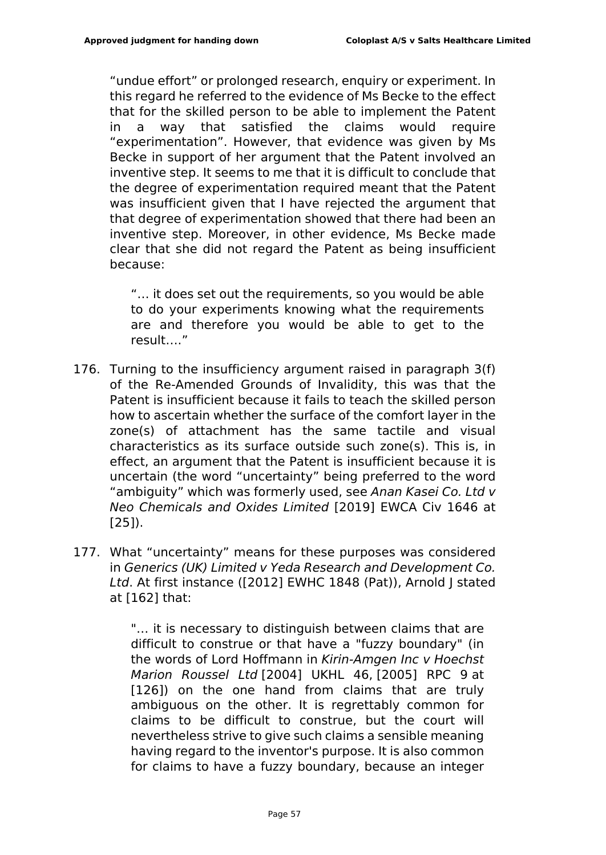"undue effort" or prolonged research, enquiry or experiment. In this regard he referred to the evidence of Ms Becke to the effect that for the skilled person to be able to implement the Patent in a way that satisfied the claims would require "experimentation". However, that evidence was given by Ms Becke in support of her argument that the Patent involved an inventive step. It seems to me that it is difficult to conclude that the degree of experimentation required meant that the Patent was insufficient given that I have rejected the argument that that degree of experimentation showed that there had been an inventive step. Moreover, in other evidence, Ms Becke made clear that she did not regard the Patent as being insufficient because:

"… it does set out the requirements, so you would be able to do your experiments knowing what the requirements are and therefore you would be able to get to the result…."

- 176. Turning to the insufficiency argument raised in paragraph 3(f) of the Re-Amended Grounds of Invalidity, this was that the Patent is insufficient because it fails to teach the skilled person how to ascertain whether the surface of the comfort layer in the zone(s) of attachment has the same tactile and visual characteristics as its surface outside such zone(s). This is, in effect, an argument that the Patent is insufficient because it is uncertain (the word "uncertainty" being preferred to the word "ambiguity" which was formerly used, see *Anan Kasei Co. Ltd v Neo Chemicals and Oxides Limited* [2019] EWCA Civ 1646 at [25]).
- 177. What "uncertainty" means for these purposes was considered in *Generics (UK) Limited v Yeda Research and Development Co. Ltd*. At first instance ([2012] EWHC 1848 (Pat)), Arnold J stated at [162] that:

"… it is necessary to distinguish between claims that are difficult to construe or that have a "fuzzy boundary" (in the words of Lord Hoffmann in *Kirin-Amgen Inc v Hoechst Marion Roussel Ltd* [2004] UKHL 46, [2005] RPC 9 at [126]) on the one hand from claims that are truly ambiguous on the other. It is regrettably common for claims to be difficult to construe, but the court will nevertheless strive to give such claims a sensible meaning having regard to the inventor's purpose. It is also common for claims to have a fuzzy boundary, because an integer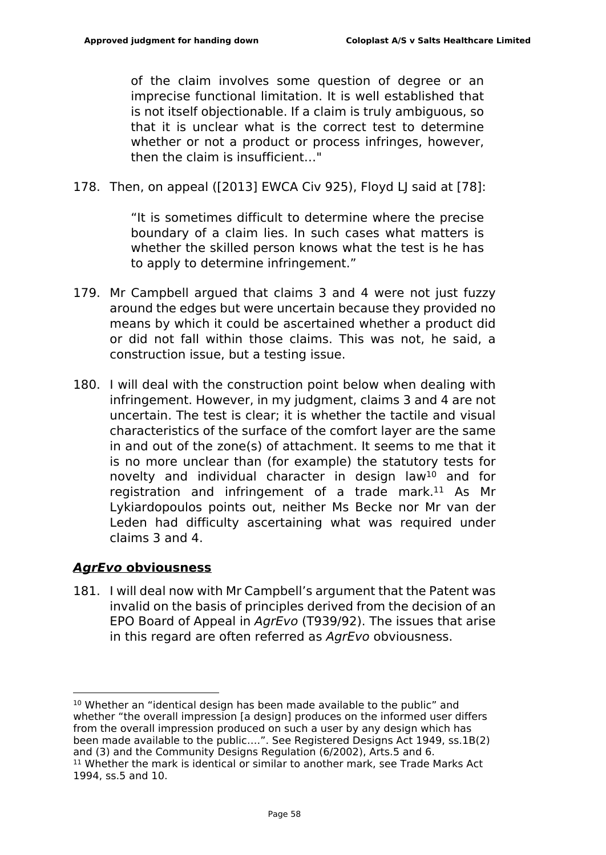of the claim involves some question of degree or an imprecise functional limitation. It is well established that is not itself objectionable. If a claim is truly ambiguous, so that it is unclear what is the correct test to determine whether or not a product or process infringes, however, then the claim is insufficient…"

178. Then, on appeal ([2013] EWCA Civ 925), Floyd LJ said at [78]:

"It is sometimes difficult to determine where the precise boundary of a claim lies. In such cases what matters is whether the skilled person knows what the test is he has to apply to determine infringement."

- 179. Mr Campbell argued that claims 3 and 4 were not just fuzzy around the edges but were uncertain because they provided no means by which it could be ascertained whether a product did or did not fall within those claims. This was not, he said, a construction issue, but a testing issue.
- 180. I will deal with the construction point below when dealing with infringement. However, in my judgment, claims 3 and 4 are not uncertain. The test is clear; it is whether the tactile and visual characteristics of the surface of the comfort layer are the same in and out of the zone(s) of attachment. It seems to me that it is no more unclear than (for example) the statutory tests for novelty and individual character in design law<sup>10</sup> and for registration and infringement of a trade mark.<sup>11</sup> As Mr Lykiardopoulos points out, neither Ms Becke nor Mr van der Leden had difficulty ascertaining what was required under claims 3 and 4.

## *AgrEvo* **obviousness**

181. I will deal now with Mr Campbell's argument that the Patent was invalid on the basis of principles derived from the decision of an EPO Board of Appeal in *AgrEvo* (T939/92). The issues that arise in this regard are often referred as *AgrEvo* obviousness.

<sup>10</sup> Whether an "identical design has been made available to the public" and whether "the overall impression [a design] produces on the informed user differs from the overall impression produced on such a user by any design which has been made available to the public….". See Registered Designs Act 1949, ss.1B(2) and (3) and the Community Designs Regulation (6/2002), Arts.5 and 6. <sup>11</sup> Whether the mark is identical or similar to another mark, see Trade Marks Act 1994, ss.5 and 10.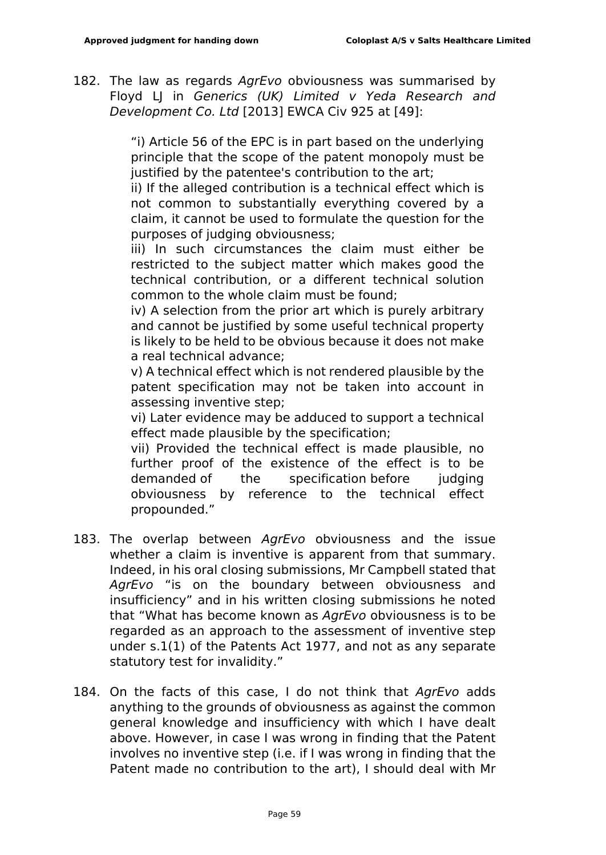182. The law as regards *AgrEvo* obviousness was summarised by Floyd LJ in *Generics (UK) Limited v Yeda Research and Development Co. Ltd* [2013] EWCA Civ 925 at [49]:

> "i) Article 56 of the EPC is in part based on the underlying principle that the scope of the patent monopoly must be justified by the patentee's contribution to the art:

> ii) If the alleged contribution is a technical effect which is not common to substantially everything covered by a claim, it cannot be used to formulate the question for the purposes of judging obviousness;

> iii) In such circumstances the claim must either be restricted to the subject matter which makes good the technical contribution, or a different technical solution common to the whole claim must be found;

> iv) A selection from the prior art which is purely arbitrary and cannot be justified by some useful technical property is likely to be held to be obvious because it does not make a real technical advance;

> v) A technical effect which is not rendered plausible by the patent specification may not be taken into account in assessing inventive step;

> vi) Later evidence may be adduced to support a technical effect made plausible by the specification;

> vii) Provided the technical effect is made plausible, no further proof of the existence of the effect is to be demanded of the specification before judging obviousness by reference to the technical effect propounded."

- 183. The overlap between *AgrEvo* obviousness and the issue whether a claim is inventive is apparent from that summary. Indeed, in his oral closing submissions, Mr Campbell stated that *AgrEvo* "is on the boundary between obviousness and insufficiency" and in his written closing submissions he noted that "What has become known as *AgrEvo* obviousness is to be regarded as an approach to the assessment of inventive step under s.1(1) of the Patents Act 1977, and not as any separate statutory test for invalidity."
- 184. On the facts of this case, I do not think that *AgrEvo* adds anything to the grounds of obviousness as against the common general knowledge and insufficiency with which I have dealt above. However, in case I was wrong in finding that the Patent involves no inventive step (i.e. if I was wrong in finding that the Patent made no contribution to the art), I should deal with Mr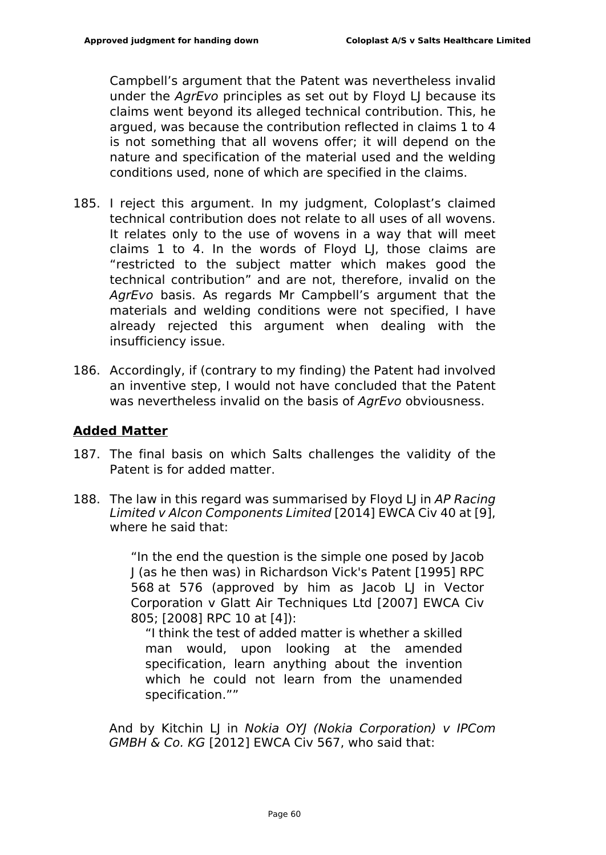Campbell's argument that the Patent was nevertheless invalid under the *AgrEvo* principles as set out by Floyd LJ because its claims went beyond its alleged technical contribution. This, he argued, was because the contribution reflected in claims 1 to 4 is not something that all wovens offer; it will depend on the nature and specification of the material used and the welding conditions used, none of which are specified in the claims.

- 185. I reject this argument. In my judgment, Coloplast's claimed technical contribution does not relate to all uses of all wovens. It relates only to the use of wovens in a way that will meet claims 1 to 4. In the words of Floyd LJ, those claims are "restricted to the subject matter which makes good the technical contribution" and are not, therefore, invalid on the *AgrEvo* basis. As regards Mr Campbell's argument that the materials and welding conditions were not specified, I have already rejected this argument when dealing with the insufficiency issue.
- 186. Accordingly, if (contrary to my finding) the Patent had involved an inventive step, I would not have concluded that the Patent was nevertheless invalid on the basis of *AgrEvo* obviousness.

#### **Added Matter**

- 187. The final basis on which Salts challenges the validity of the Patent is for added matter.
- 188. The law in this regard was summarised by Floyd LJ in *AP Racing Limited v Alcon Components Limited* [2014] EWCA Civ 40 at [9], where he said that:

"In the end the question is the simple one posed by Jacob J (as he then was) in Richardson Vick's Patent [1995] RPC 568 at 576 (approved by him as Jacob LJ in Vector Corporation v Glatt Air Techniques Ltd [2007] EWCA Civ 805; [2008] RPC 10 at [4]):

"I think the test of added matter is whether a skilled man would, upon looking at the amended specification, learn anything about the invention which he could not learn from the unamended specification.""

And by Kitchin LJ in *Nokia OYJ (Nokia Corporation) v IPCom GMBH & Co. KG* [2012] EWCA Civ 567, who said that: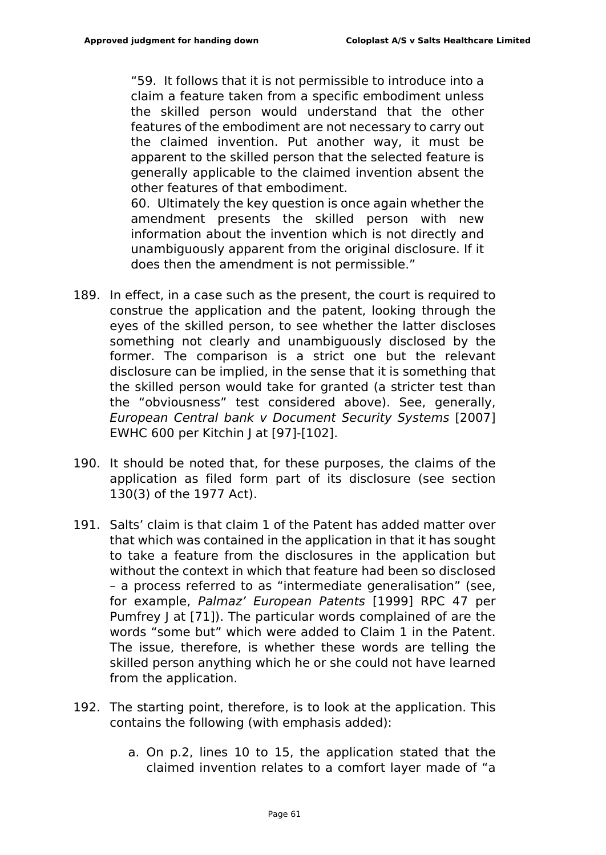"59. It follows that it is not permissible to introduce into a claim a feature taken from a specific embodiment unless the skilled person would understand that the other features of the embodiment are not necessary to carry out the claimed invention. Put another way, it must be apparent to the skilled person that the selected feature is generally applicable to the claimed invention absent the other features of that embodiment.

60. Ultimately the key question is once again whether the amendment presents the skilled person with new information about the invention which is not directly and unambiguously apparent from the original disclosure. If it does then the amendment is not permissible."

- 189. In effect, in a case such as the present, the court is required to construe the application and the patent, looking through the eyes of the skilled person, to see whether the latter discloses something not clearly and unambiguously disclosed by the former. The comparison is a strict one but the relevant disclosure can be implied, in the sense that it is something that the skilled person would take for granted (a stricter test than the "obviousness" test considered above). See, generally, *European Central bank v Document Security Systems* [2007] EWHC 600 per Kitchin J at [97]-[102].
- 190. It should be noted that, for these purposes, the claims of the application as filed form part of its disclosure (see section 130(3) of the 1977 Act).
- 191. Salts' claim is that claim 1 of the Patent has added matter over that which was contained in the application in that it has sought to take a feature from the disclosures in the application but without the context in which that feature had been so disclosed – a process referred to as "intermediate generalisation" (see, for example, *Palmaz' European Patents* [1999] RPC 47 per Pumfrey J at [71]). The particular words complained of are the words "some but" which were added to Claim 1 in the Patent. The issue, therefore, is whether these words are telling the skilled person anything which he or she could not have learned from the application.
- 192. The starting point, therefore, is to look at the application. This contains the following (with emphasis added):
	- a. On p.2, lines 10 to 15, the application stated that the claimed invention relates to a comfort layer made of "a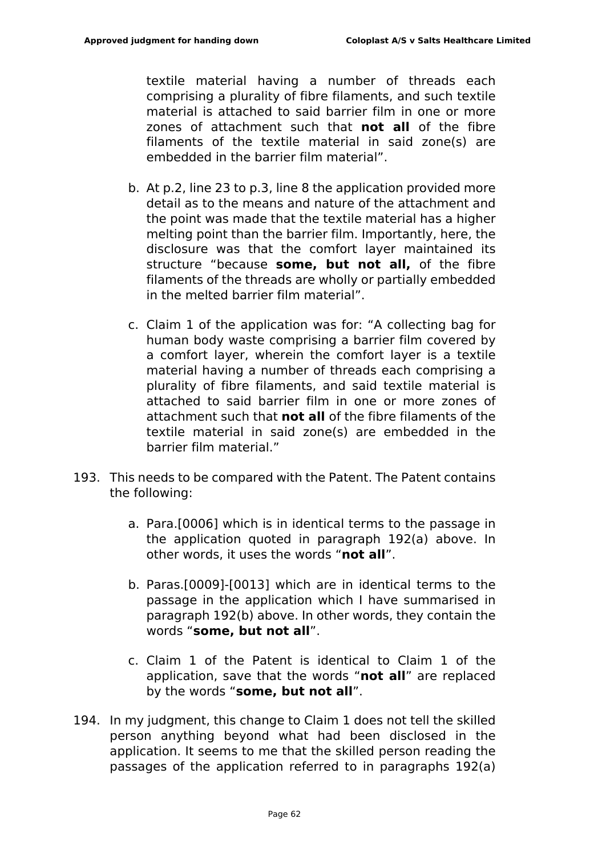textile material having a number of threads each comprising a plurality of fibre filaments, and such textile material is attached to said barrier film in one or more zones of attachment such that **not all** of the fibre filaments of the textile material in said zone(s) are embedded in the barrier film material".

- b. At p.2, line 23 to p.3, line 8 the application provided more detail as to the means and nature of the attachment and the point was made that the textile material has a higher melting point than the barrier film. Importantly, here, the disclosure was that the comfort layer maintained its structure "because **some, but not all,** of the fibre filaments of the threads are wholly or partially embedded in the melted barrier film material".
- c. Claim 1 of the application was for: "A collecting bag for human body waste comprising a barrier film covered by a comfort layer, wherein the comfort layer is a textile material having a number of threads each comprising a plurality of fibre filaments, and said textile material is attached to said barrier film in one or more zones of attachment such that **not all** of the fibre filaments of the textile material in said zone(s) are embedded in the barrier film material."
- 193. This needs to be compared with the Patent. The Patent contains the following:
	- a. Para.[0006] which is in identical terms to the passage in the application quoted in paragraph 192(a) above. In other words, it uses the words "**not all**".
	- b. Paras.[0009]-[0013] which are in identical terms to the passage in the application which I have summarised in paragraph 192(b) above. In other words, they contain the words "**some, but not all**".
	- c. Claim 1 of the Patent is identical to Claim 1 of the application, save that the words "**not all**" are replaced by the words "**some, but not all**".
- 194. In my judgment, this change to Claim 1 does not tell the skilled person anything beyond what had been disclosed in the application. It seems to me that the skilled person reading the passages of the application referred to in paragraphs 192(a)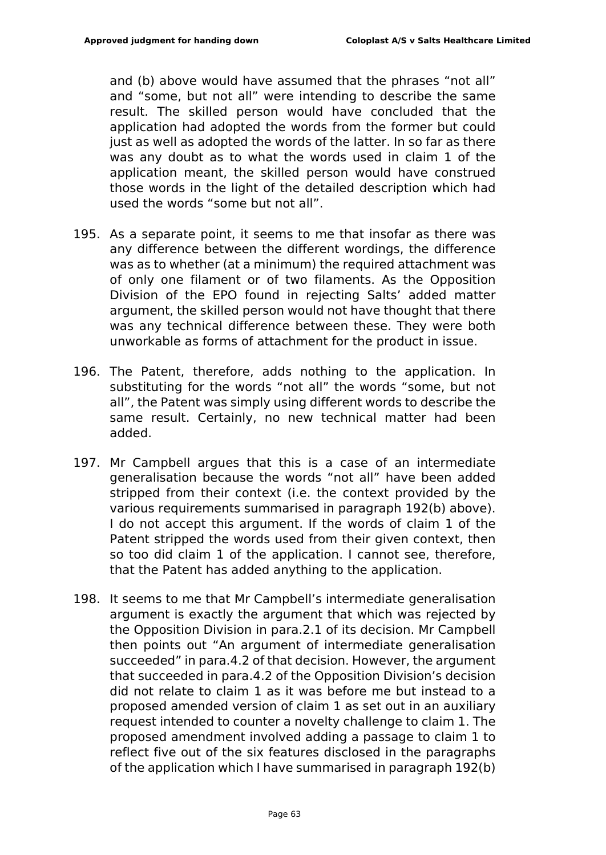and (b) above would have assumed that the phrases "not all" and "some, but not all" were intending to describe the same result. The skilled person would have concluded that the application had adopted the words from the former but could just as well as adopted the words of the latter. In so far as there was any doubt as to what the words used in claim 1 of the application meant, the skilled person would have construed those words in the light of the detailed description which had used the words "some but not all".

- 195. As a separate point, it seems to me that insofar as there was any difference between the different wordings, the difference was as to whether (at a minimum) the required attachment was of only one filament or of two filaments. As the Opposition Division of the EPO found in rejecting Salts' added matter argument, the skilled person would not have thought that there was any technical difference between these. They were both unworkable as forms of attachment for the product in issue.
- 196. The Patent, therefore, adds nothing to the application. In substituting for the words "not all" the words "some, but not all", the Patent was simply using different words to describe the same result. Certainly, no new technical matter had been added.
- 197. Mr Campbell argues that this is a case of an intermediate generalisation because the words "not all" have been added stripped from their context (i.e. the context provided by the various requirements summarised in paragraph 192(b) above). I do not accept this argument. If the words of claim 1 of the Patent stripped the words used from their given context, then so too did claim 1 of the application. I cannot see, therefore, that the Patent has added anything to the application.
- 198. It seems to me that Mr Campbell's intermediate generalisation argument is exactly the argument that which was rejected by the Opposition Division in para.2.1 of its decision. Mr Campbell then points out "An argument of intermediate generalisation succeeded" in para.4.2 of that decision. However, the argument that succeeded in para.4.2 of the Opposition Division's decision did not relate to claim 1 as it was before me but instead to a proposed amended version of claim 1 as set out in an auxiliary request intended to counter a novelty challenge to claim 1. The proposed amendment involved adding a passage to claim 1 to reflect five out of the six features disclosed in the paragraphs of the application which I have summarised in paragraph 192(b)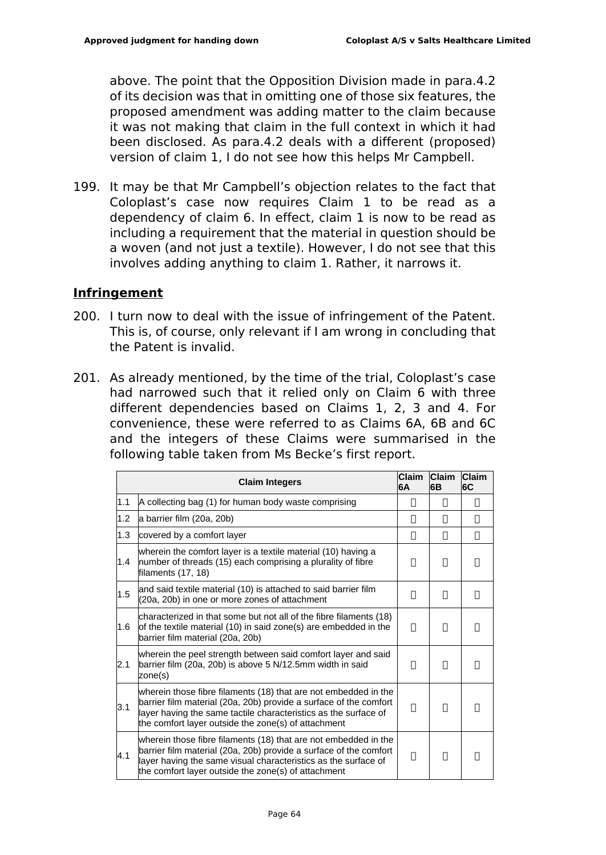above. The point that the Opposition Division made in para.4.2 of its decision was that in omitting one of those six features, the proposed amendment was adding matter to the claim because it was not making that claim in the full context in which it had been disclosed. As para.4.2 deals with a different (proposed) version of claim 1, I do not see how this helps Mr Campbell.

199. It may be that Mr Campbell's objection relates to the fact that Coloplast's case now requires Claim 1 to be read as a dependency of claim 6. In effect, claim 1 is now to be read as including a requirement that the material in question should be a woven (and not just a textile). However, I do not see that this involves adding anything to claim 1. Rather, it narrows it.

### **Infringement**

- 200. I turn now to deal with the issue of infringement of the Patent. This is, of course, only relevant if I am wrong in concluding that the Patent is invalid.
- 201. As already mentioned, by the time of the trial, Coloplast's case had narrowed such that it relied only on Claim 6 with three different dependencies based on Claims 1, 2, 3 and 4. For convenience, these were referred to as Claims 6A, 6B and 6C and the integers of these Claims were summarised in the following table taken from Ms Becke's first report.

|     | <b>Claim Integers</b>                                                                                                                                                                                                                                          | <b>Claim</b><br>6A | <b>Claim</b><br>6B | Claim<br>6C |
|-----|----------------------------------------------------------------------------------------------------------------------------------------------------------------------------------------------------------------------------------------------------------------|--------------------|--------------------|-------------|
| 1.1 | A collecting bag (1) for human body waste comprising                                                                                                                                                                                                           | П                  | П                  | П           |
| 1.2 | a barrier film (20a, 20b)                                                                                                                                                                                                                                      | П                  | П                  | П           |
| 1.3 | covered by a comfort layer                                                                                                                                                                                                                                     | П                  | П                  | П           |
| 1.4 | wherein the comfort layer is a textile material (10) having a<br>number of threads (15) each comprising a plurality of fibre<br>filaments (17, 18)                                                                                                             | П                  | П                  | П           |
| 1.5 | and said textile material (10) is attached to said barrier film<br>(20a, 20b) in one or more zones of attachment                                                                                                                                               | П                  | П                  | П           |
| 1.6 | characterized in that some but not all of the fibre filaments (18)<br>of the textile material (10) in said zone(s) are embedded in the<br>barrier film material (20a, 20b)                                                                                     | п                  | П                  |             |
| 2.1 | wherein the peel strength between said comfort layer and said<br>barrier film (20a, 20b) is above 5 N/12.5mm width in said<br>zone(s)                                                                                                                          | П                  | П                  |             |
| 3.1 | wherein those fibre filaments (18) that are not embedded in the<br>barrier film material (20a, 20b) provide a surface of the comfort<br>layer having the same tactile characteristics as the surface of<br>the comfort layer outside the zone(s) of attachment | П                  | П                  |             |
| 4.1 | wherein those fibre filaments (18) that are not embedded in the<br>barrier film material (20a, 20b) provide a surface of the comfort<br>layer having the same visual characteristics as the surface of<br>the comfort layer outside the zone(s) of attachment  | П                  | П                  |             |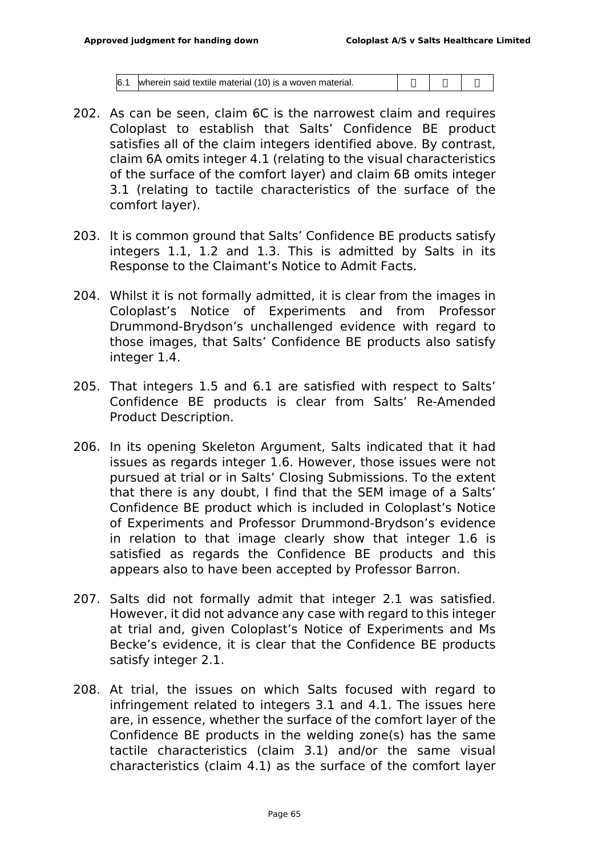|  | $6.1$ wherein said textile material (10) is a woven material. |  | 0000 |  |
|--|---------------------------------------------------------------|--|------|--|
|--|---------------------------------------------------------------|--|------|--|

- 202. As can be seen, claim 6C is the narrowest claim and requires Coloplast to establish that Salts' Confidence BE product satisfies all of the claim integers identified above. By contrast, claim 6A omits integer 4.1 (relating to the visual characteristics of the surface of the comfort layer) and claim 6B omits integer 3.1 (relating to tactile characteristics of the surface of the comfort layer).
- 203. It is common ground that Salts' Confidence BE products satisfy integers 1.1, 1.2 and 1.3. This is admitted by Salts in its Response to the Claimant's Notice to Admit Facts.
- 204. Whilst it is not formally admitted, it is clear from the images in Coloplast's Notice of Experiments and from Professor Drummond-Brydson's unchallenged evidence with regard to those images, that Salts' Confidence BE products also satisfy integer 1.4.
- 205. That integers 1.5 and 6.1 are satisfied with respect to Salts' Confidence BE products is clear from Salts' Re-Amended Product Description.
- 206. In its opening Skeleton Argument, Salts indicated that it had issues as regards integer 1.6. However, those issues were not pursued at trial or in Salts' Closing Submissions. To the extent that there is any doubt, I find that the SEM image of a Salts' Confidence BE product which is included in Coloplast's Notice of Experiments and Professor Drummond-Brydson's evidence in relation to that image clearly show that integer 1.6 is satisfied as regards the Confidence BE products and this appears also to have been accepted by Professor Barron.
- 207. Salts did not formally admit that integer 2.1 was satisfied. However, it did not advance any case with regard to this integer at trial and, given Coloplast's Notice of Experiments and Ms Becke's evidence, it is clear that the Confidence BE products satisfy integer 2.1.
- 208. At trial, the issues on which Salts focused with regard to infringement related to integers 3.1 and 4.1. The issues here are, in essence, whether the surface of the comfort layer of the Confidence BE products in the welding zone(s) has the same tactile characteristics (claim 3.1) and/or the same visual characteristics (claim 4.1) as the surface of the comfort layer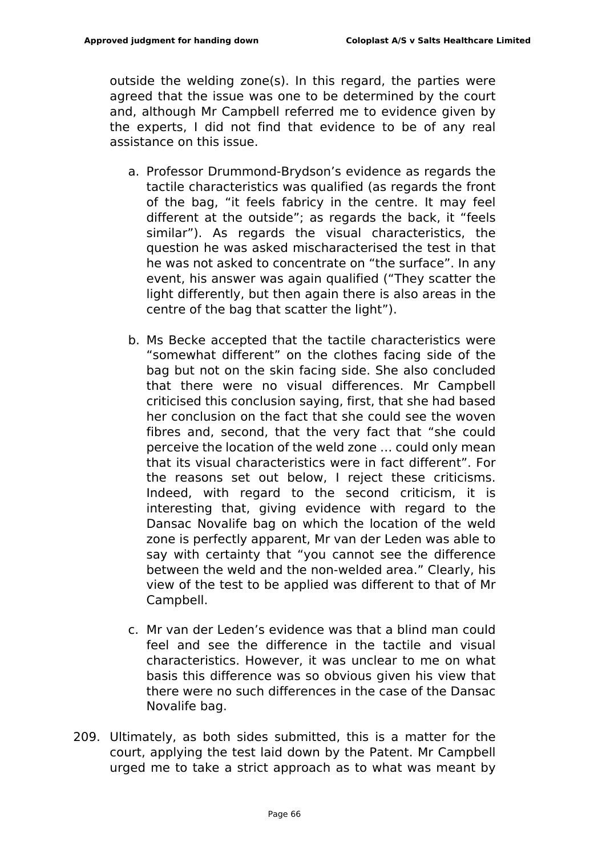outside the welding zone(s). In this regard, the parties were agreed that the issue was one to be determined by the court and, although Mr Campbell referred me to evidence given by the experts, I did not find that evidence to be of any real assistance on this issue.

- a. Professor Drummond-Brydson's evidence as regards the tactile characteristics was qualified (as regards the front of the bag, "it feels fabricy in the centre. It may feel different at the outside"; as regards the back, it "feels similar"). As regards the visual characteristics, the question he was asked mischaracterised the test in that he was not asked to concentrate on "the surface". In any event, his answer was again qualified ("They scatter the light differently, but then again there is also areas in the centre of the bag that scatter the light").
- b. Ms Becke accepted that the tactile characteristics were "somewhat different" on the clothes facing side of the bag but not on the skin facing side. She also concluded that there were no visual differences. Mr Campbell criticised this conclusion saying, first, that she had based her conclusion on the fact that she could see the woven fibres and, second, that the very fact that "she could perceive the location of the weld zone … could only mean that its visual characteristics were in fact different". For the reasons set out below, I reject these criticisms. Indeed, with regard to the second criticism, it is interesting that, giving evidence with regard to the Dansac Novalife bag on which the location of the weld zone is perfectly apparent, Mr van der Leden was able to say with certainty that "you cannot see the difference between the weld and the non-welded area." Clearly, his view of the test to be applied was different to that of Mr Campbell.
- c. Mr van der Leden's evidence was that a blind man could feel and see the difference in the tactile and visual characteristics. However, it was unclear to me on what basis this difference was so obvious given his view that there were no such differences in the case of the Dansac Novalife bag.
- 209. Ultimately, as both sides submitted, this is a matter for the court, applying the test laid down by the Patent. Mr Campbell urged me to take a strict approach as to what was meant by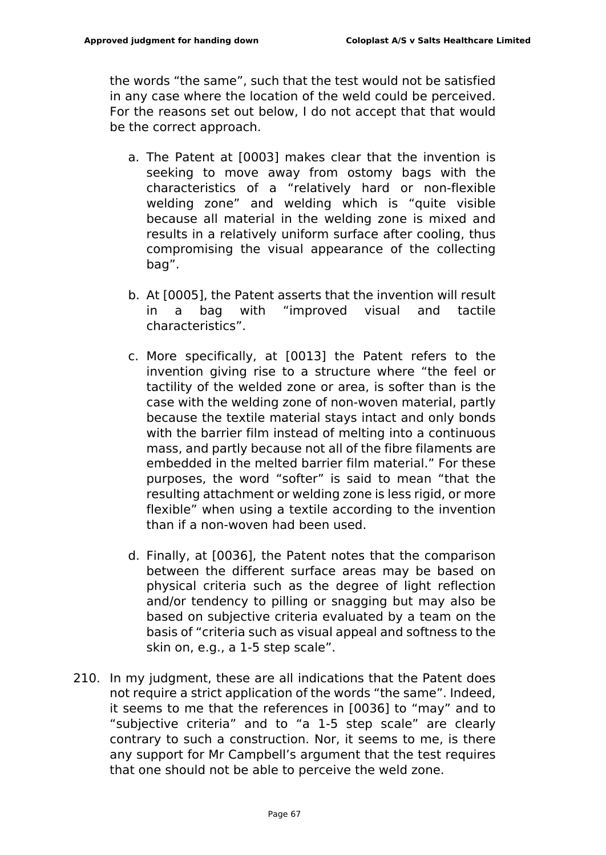the words "the same", such that the test would not be satisfied in any case where the location of the weld could be perceived. For the reasons set out below, I do not accept that that would be the correct approach.

- a. The Patent at [0003] makes clear that the invention is seeking to move away from ostomy bags with the characteristics of a "relatively hard or non-flexible welding zone" and welding which is "quite visible because all material in the welding zone is mixed and results in a relatively uniform surface after cooling, thus compromising the visual appearance of the collecting bag".
- b. At [0005], the Patent asserts that the invention will result a bag with "improved visual and tactile characteristics".
- c. More specifically, at [0013] the Patent refers to the invention giving rise to a structure where "the feel or tactility of the welded zone or area, is softer than is the case with the welding zone of non-woven material, partly because the textile material stays intact and only bonds with the barrier film instead of melting into a continuous mass, and partly because not all of the fibre filaments are embedded in the melted barrier film material." For these purposes, the word "softer" is said to mean "that the resulting attachment or welding zone is less rigid, or more flexible" when using a textile according to the invention than if a non-woven had been used.
- d. Finally, at [0036], the Patent notes that the comparison between the different surface areas may be based on physical criteria such as the degree of light reflection and/or tendency to pilling or snagging but may also be based on subjective criteria evaluated by a team on the basis of "criteria such as visual appeal and softness to the skin on, e.g., a 1-5 step scale".
- 210. In my judgment, these are all indications that the Patent does not require a strict application of the words "the same". Indeed, it seems to me that the references in [0036] to "may" and to "subjective criteria" and to "a 1-5 step scale" are clearly contrary to such a construction. Nor, it seems to me, is there any support for Mr Campbell's argument that the test requires that one should not be able to perceive the weld zone.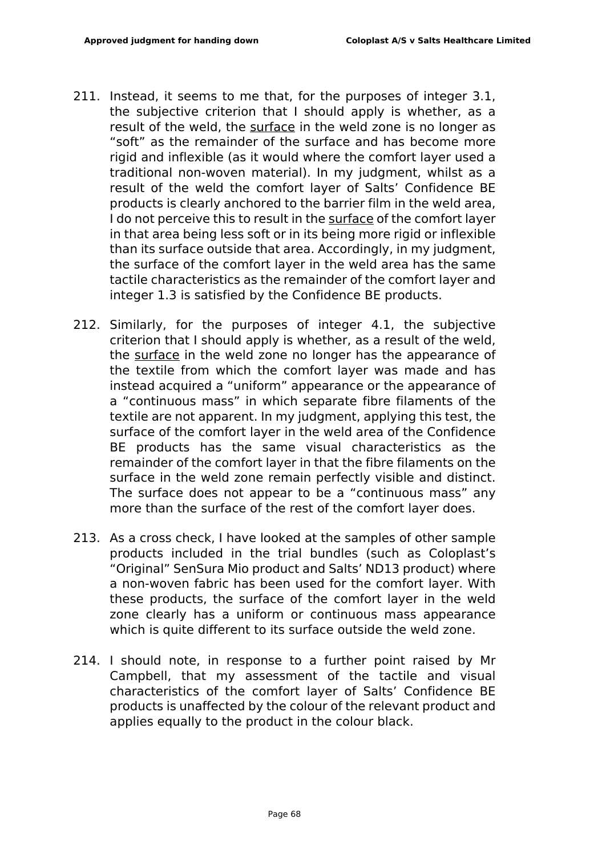- 211. Instead, it seems to me that, for the purposes of integer 3.1, the subjective criterion that I should apply is whether, as a result of the weld, the surface in the weld zone is no longer as "soft" as the remainder of the surface and has become more rigid and inflexible (as it would where the comfort layer used a traditional non-woven material). In my judgment, whilst as a result of the weld the comfort layer of Salts' Confidence BE products is clearly anchored to the barrier film in the weld area, I do not perceive this to result in the surface of the comfort layer in that area being less soft or in its being more rigid or inflexible than its surface outside that area. Accordingly, in my judgment, the surface of the comfort layer in the weld area has the same tactile characteristics as the remainder of the comfort layer and integer 1.3 is satisfied by the Confidence BE products.
- 212. Similarly, for the purposes of integer 4.1, the subjective criterion that I should apply is whether, as a result of the weld, the surface in the weld zone no longer has the appearance of the textile from which the comfort layer was made and has instead acquired a "uniform" appearance or the appearance of a "continuous mass" in which separate fibre filaments of the textile are not apparent. In my judgment, applying this test, the surface of the comfort layer in the weld area of the Confidence BE products has the same visual characteristics as the remainder of the comfort layer in that the fibre filaments on the surface in the weld zone remain perfectly visible and distinct. The surface does not appear to be a "continuous mass" any more than the surface of the rest of the comfort layer does.
- 213. As a cross check, I have looked at the samples of other sample products included in the trial bundles (such as Coloplast's "Original" SenSura Mio product and Salts' ND13 product) where a non-woven fabric has been used for the comfort layer. With these products, the surface of the comfort layer in the weld zone clearly has a uniform or continuous mass appearance which is quite different to its surface outside the weld zone.
- 214. I should note, in response to a further point raised by Mr Campbell, that my assessment of the tactile and visual characteristics of the comfort layer of Salts' Confidence BE products is unaffected by the colour of the relevant product and applies equally to the product in the colour black.